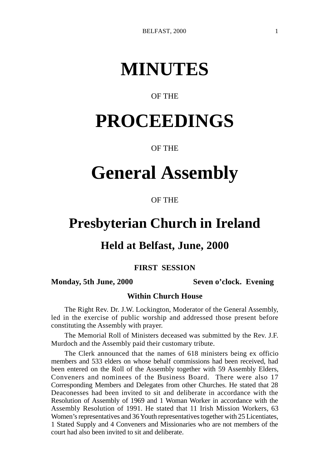# **MINUTES**

## OF THE

# **PROCEEDINGS**

## OF THE

## **General Assembly**

## OF THE

## **Presbyterian Church in Ireland**

## **Held at Belfast, June, 2000**

## **FIRST SESSION**

## **Monday, 5th June, 2000 Seven o'clock. Evening**

## **Within Church House**

The Right Rev. Dr. J.W. Lockington, Moderator of the General Assembly, led in the exercise of public worship and addressed those present before constituting the Assembly with prayer.

The Memorial Roll of Ministers deceased was submitted by the Rev. J.F. Murdoch and the Assembly paid their customary tribute.

The Clerk announced that the names of 618 ministers being ex officio members and 533 elders on whose behalf commissions had been received, had been entered on the Roll of the Assembly together with 59 Assembly Elders, Conveners and nominees of the Business Board. There were also 17 Corresponding Members and Delegates from other Churches. He stated that 28 Deaconesses had been invited to sit and deliberate in accordance with the Resolution of Assembly of 1969 and 1 Woman Worker in accordance with the Assembly Resolution of 1991. He stated that 11 Irish Mission Workers, 63 Women's representatives and 36 Youth representatives together with 25 Licentiates, 1 Stated Supply and 4 Conveners and Missionaries who are not members of the court had also been invited to sit and deliberate.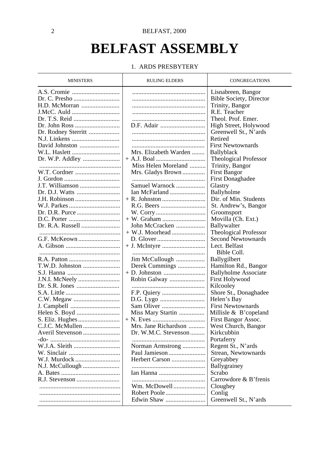## **BELFAST ASSEMBLY**

#### 1. ARDS PRESBYTERY

| <b>MINISTERS</b>    | <b>RULING ELDERS</b>  | CONGREGATIONS                                        |
|---------------------|-----------------------|------------------------------------------------------|
|                     |                       | Lisnabreen, Bangor<br><b>Bible Society, Director</b> |
|                     |                       | Trinity, Bangor                                      |
|                     |                       | R.E. Teacher                                         |
|                     |                       | Theol. Prof. Emer.                                   |
|                     | D.F. Adair            | High Street, Holywood                                |
| Dr. Rodney Sterritt |                       | Greenwell St., N'ards                                |
|                     |                       | Retired                                              |
|                     |                       | <b>First Newtownards</b>                             |
|                     | Mrs. Elizabeth Warden | Ballyblack                                           |
| Dr. W.P. Addley     |                       | <b>Theological Professor</b>                         |
|                     | Miss Helen Moreland   | Trinity, Bangor                                      |
|                     | Mrs. Gladys Brown     | <b>First Bangor</b>                                  |
|                     |                       | <b>First Donaghadee</b>                              |
| J.T. Williamson     | Samuel Warnock        | Glastry                                              |
|                     | Ian McFarland         | Ballyholme                                           |
| J.H. Robinson       |                       | Dir. of Min. Students                                |
|                     | R.G. Beers            | St. Andrew's, Bangor                                 |
|                     | W. Corry              | Groomsport                                           |
|                     |                       | Movilla (Ch. Ext.)                                   |
|                     | John McCracken        | Ballywalter                                          |
|                     | $+$ W.J. Moorhead     | <b>Theological Professor</b>                         |
|                     |                       | <b>Second Newtownards</b>                            |
|                     |                       | Lect. Belfast                                        |
|                     |                       | Bible Coll.                                          |
|                     | Jim McCullough        | Ballygilbert                                         |
|                     | Derek Cummings        | Hamilton Rd., Bangor                                 |
|                     |                       | <b>Ballyholme Associate</b>                          |
|                     | Robin Galway          | <b>First Holywood</b>                                |
|                     |                       | Kilcooley                                            |
|                     |                       | Shore St., Donaghadee                                |
|                     |                       | Helen's Bay                                          |
|                     | Sam Oliver            | <b>First Newtownards</b>                             |
|                     | Miss Mary Startin     | Millisle $\&\ B$ 'copeland                           |
| S. Eliz. Hughes     |                       | First Bangor Assoc.                                  |
|                     | Mrs. Jane Richardson  | West Church, Bangor                                  |
|                     | Dr. W.M.C. Stevenson  | Kirkcubbin                                           |
|                     |                       | Portaferry                                           |
|                     | Norman Armstrong      | Regent St., N'ards                                   |
|                     | Paul Jamieson         | Strean, Newtownards                                  |
|                     | Herbert Carson        | Greyabbey                                            |
|                     |                       | Ballygrainey                                         |
|                     |                       | Scrabo                                               |
|                     |                       | Carrowdore & B'frenis                                |
|                     | Wm. McDowell          | Cloughey                                             |
|                     | Robert Poole          | Conlig                                               |
|                     | Edwin Shaw            | Greenwell St., N'ards                                |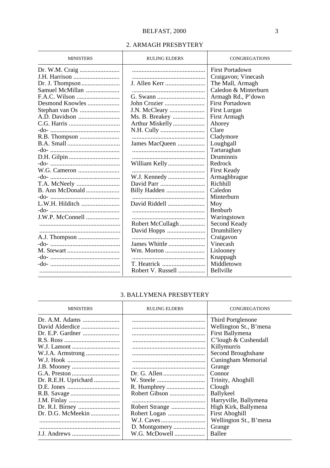#### 2. ARMAGH PRESBYTERY

| <b>MINISTERS</b> | <b>RULING ELDERS</b>  | <b>CONGREGATIONS</b>   |
|------------------|-----------------------|------------------------|
|                  |                       | <b>First Portadown</b> |
|                  |                       | Craigavon; Vinecash    |
|                  | J. Allen Kerr         | The Mall, Armagh       |
| Samuel McMillan  |                       | Caledon & Minterburn   |
|                  |                       | Armagh Rd., P'down     |
| Desmond Knowles  | John Crozier          | <b>First Portadown</b> |
|                  | <b>J.N. McCleary </b> | First Lurgan           |
|                  | Ms. B. Breakey        | First Armagh           |
|                  | Arthur Miskelly       | Ahorey                 |
|                  |                       | Clare                  |
|                  |                       | Cladymore              |
|                  | James MacQueen        | Loughgall              |
|                  |                       | Tartaraghan            |
|                  |                       | Druminnis              |
|                  |                       | Redrock                |
|                  |                       | <b>First Keady</b>     |
|                  | W.J. Kennedy          | Armaghbrague           |
|                  |                       | Richhill               |
| B. Ann McDonald  |                       | Caledon                |
|                  |                       | Minterburn             |
| L.W.H. Hilditch  | David Riddell         | Moy                    |
|                  |                       | Benburb                |
|                  |                       | Waringstown            |
|                  | Robert McCullagh      | Second Keady           |
|                  |                       | Drumhillery            |
|                  |                       | Craigavon              |
|                  | James Whittle         | Vinecash               |
|                  | Wm. Morton            | Lislooney              |
|                  |                       | Knappagh               |
|                  |                       | Middletown             |
|                  | Robert V. Russell     | Bellville              |

### 3. BALLYMENA PRESBYTERY

| <b>MINISTERS</b>     | <b>RULING ELDERS</b> | <b>CONGREGATIONS</b>   |
|----------------------|----------------------|------------------------|
|                      |                      | Third Portglenone      |
| David Alderdice      |                      | Wellington St., B'mena |
| Dr. E.P. Gardner     |                      | First Ballymena        |
|                      |                      | C'lough & Cushendall   |
|                      |                      | Killymurris            |
|                      |                      | Second Broughshane     |
|                      |                      | Cuningham Memorial     |
|                      |                      | Grange                 |
|                      |                      | Connor                 |
| Dr. R.E.H. Uprichard |                      | Trinity, Ahoghill      |
|                      | R. Humphrey          | Clough                 |
|                      | Robert Gibson        | Ballykeel              |
|                      |                      | Harryville, Ballymena  |
|                      | Robert Strange       | High Kirk, Ballymena   |
| Dr. D.G. McMeekin    |                      | <b>First Ahoghill</b>  |
|                      |                      | Wellington St., B'mena |
|                      |                      | Grange                 |
|                      | W.G. McDowell        | Ballee                 |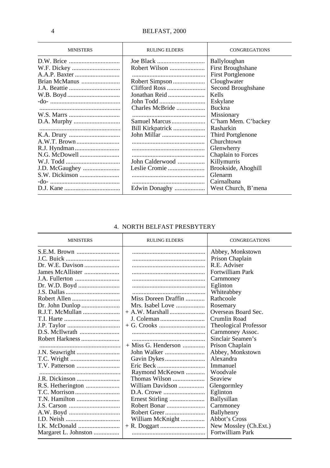| <b>MINISTERS</b> | <b>RULING ELDERS</b> | CONGREGATIONS            |
|------------------|----------------------|--------------------------|
|                  |                      | <b>Ballyloughan</b>      |
|                  | Robert Wilson        | <b>First Broughshane</b> |
|                  |                      | <b>First Portglenone</b> |
| Brian McManus    | Robert Simpson       | Cloughwater              |
|                  | Clifford Ross        | Second Broughshane       |
|                  | Jonathan Reid        | Kells                    |
|                  | John Todd            | Eskylane                 |
|                  | Charles McBride      | Buckna                   |
|                  |                      | Missionary               |
|                  | Samuel Marcus        | C'ham Mem. C'backey      |
|                  | Bill Kirkpatrick     | Rasharkin                |
|                  |                      | Third Portglenone        |
|                  |                      | Churchtown               |
|                  |                      | Glenwherry               |
|                  |                      | Chaplain to Forces       |
|                  | John Calderwood      | Killymurris              |
| J.D. McGaughey   | Leslie Cromie        | Brookside, Ahoghill      |
|                  |                      | Glenarm                  |
|                  |                      | Cairnalbana              |
|                  | Edwin Donaghy        | West Church, B'mena      |

## 4. NORTH BELFAST PRESBYTERY

| <b>RULING ELDERS</b>      | CONGREGATIONS                                                |
|---------------------------|--------------------------------------------------------------|
|                           | Abbey, Monkstown                                             |
|                           | Prison Chaplain                                              |
|                           | R.E. Adviser                                                 |
|                           | Fortwilliam Park                                             |
|                           | Carnmoney                                                    |
|                           | Eglinton                                                     |
|                           | Whiteabbey                                                   |
| Miss Doreen Draffin       | Rathcoole                                                    |
| Mrs. Isabel Love $\ldots$ | Rosemary                                                     |
|                           | Overseas Board Sec.                                          |
|                           | Crumlin Road                                                 |
|                           | Theological Professor                                        |
|                           | Carnmoney Assoc.                                             |
|                           | Sinclair Seamen's                                            |
|                           | Prison Chaplain                                              |
|                           | Abbey, Monkstown                                             |
|                           | Alexandra                                                    |
| Eric Beck                 | Immanuel                                                     |
| Raymond McKeown           | Woodvale                                                     |
| Thomas Wilson $\ldots$    | Seaview                                                      |
|                           | Glengormley                                                  |
|                           | Eglinton                                                     |
|                           | Ballysillan                                                  |
|                           | Carnmoney                                                    |
|                           | Ballyhenry                                                   |
| William McKnight          | Abbot's Cross                                                |
|                           | New Mossley (Ch.Ext.)                                        |
|                           | Fortwilliam Park                                             |
|                           | $+$ Miss G. Henderson<br>William Davidson<br>Ernest Stirling |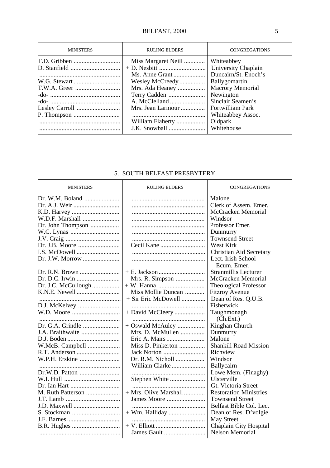## BELFAST, 2000 5

| <b>MINISTERS</b> | <b>RULING ELDERS</b>                                                                                                                                  | <b>CONGREGATIONS</b>                                                                                                                                                                                      |
|------------------|-------------------------------------------------------------------------------------------------------------------------------------------------------|-----------------------------------------------------------------------------------------------------------------------------------------------------------------------------------------------------------|
|                  | Miss Margaret Neill<br>Ms. Anne Grant<br>Wesley McCreedy<br>Mrs. Ada Heaney<br>Terry Cadden<br>A. McClelland<br>Mrs. Jean Larmour<br>William Flaherty | Whiteabbey<br>University Chaplain<br>Duncairn/St. Enoch's<br><b>Ballygomartin</b><br><b>Macrory Memorial</b><br>Newington<br>Sinclair Seamen's<br><b>Fortwilliam Park</b><br>Whiteabbey Assoc.<br>Oldpark |
|                  |                                                                                                                                                       | Whitehouse                                                                                                                                                                                                |

## 5. SOUTH BELFAST PRESBYTERY

| <b>MINISTERS</b>    | <b>RULING ELDERS</b>  | CONGREGATIONS                 |
|---------------------|-----------------------|-------------------------------|
|                     |                       | Malone                        |
|                     |                       | Clerk of Assem. Emer.         |
|                     |                       | McCracken Memorial            |
| W.D.F. Marshall     |                       | Windsor                       |
| Dr. John Thompson   |                       | Professor Emer.               |
|                     |                       | Dunmurry                      |
|                     |                       | <b>Townsend Street</b>        |
| Dr. J.B. Moore      | Cecil Kane            | West Kirk                     |
|                     |                       | Christian Aid Secretary       |
|                     |                       | Lect. Irish School            |
|                     |                       | Ecum. Emer.                   |
|                     |                       | Stranmillis Lecturer          |
|                     | Mrs. R. Simpson       | McCracken Memorial            |
| Dr. J.C. McCullough |                       | <b>Theological Professor</b>  |
|                     | Miss Mollie Duncan    | <b>Fitzroy Avenue</b>         |
|                     | + Sir Eric McDowell   | Dean of Res. O.U.B.           |
|                     |                       | Fisherwick                    |
| W.D. Moore          | + David McCleery      | Taughmonagh                   |
|                     |                       | (Ch.Ext.)                     |
| Dr. G.A. Grindle    | $+$ Oswald McAuley    | Kinghan Church                |
| J.A. Braithwaite    | Mrs. D. McMullen      | Dunmurry                      |
|                     |                       | Malone                        |
| W.McB. Campbell     | Miss D. Pinkerton     | <b>Shankill Road Mission</b>  |
|                     | Jack Norton           | Richview                      |
| W.P.H. Erskine      | Dr. R.M. Nicholl      | Windsor                       |
|                     | William Clarke        | Ballycairn                    |
| Dr.W.D. Patton      |                       | Lowe Mem. (Finaghy)           |
|                     | Stephen White         | Ulsterville                   |
|                     |                       | Gt. Victoria Street           |
| M. Ruth Patterson   | + Mrs. Olive Marshall | <b>Restoration Ministries</b> |
|                     | James Moore           | <b>Townsend Street</b>        |
| J.D. Maxwell        |                       | Belfast Bible Col. Lec.       |
|                     | $+$ Wm. Halliday      | Dean of Res. D'volgie         |
|                     |                       | <b>May Street</b>             |
|                     |                       | Chaplain City Hospital        |
|                     | James Gault           | Nelson Memorial               |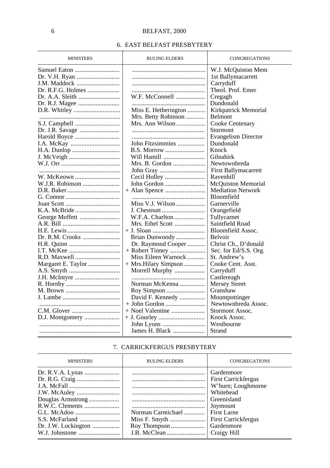## 6. EAST BELFAST PRESBYTERY

| <b>MINISTERS</b>  | <b>RULING ELDERS</b>  | <b>CONGREGATIONS</b>      |
|-------------------|-----------------------|---------------------------|
| Samuel Eaton      |                       | W.J. McQuiston Mem        |
|                   |                       | 1st Ballymacarrett        |
| J.M. Maddock      |                       | Carryduff                 |
| Dr. R.F.G. Holmes |                       | Theol. Prof. Emer         |
|                   | W.F. McConnell        | Cregagh                   |
| Dr. R.J. Magee    |                       | Dundonald                 |
|                   | Miss E. Hetherington  | Kirkpatrick Memorial      |
|                   | Mrs. Betty Robinson   | Belmont                   |
|                   | Mrs. Ann Wilson       | Cooke Centenary           |
|                   |                       | Stormont                  |
|                   |                       | Evangelism Director       |
|                   | John Fitzsimmins      | Dundonald                 |
|                   | B.S. Morrow           | Knock                     |
|                   | Will Hamill           | Gilnahirk                 |
|                   | Mrs. B. Gordon        | Newtownbreda              |
|                   |                       | First Ballymacarrett      |
| W. McKeown        |                       | Ravenhill                 |
| W.J.R. Robinson   | John Gordon           | <b>McQuiston Memorial</b> |
|                   |                       | <b>Mediation Network</b>  |
|                   |                       | <b>Bloomfield</b>         |
|                   |                       | Garnerville               |
|                   |                       | Orangefield               |
|                   | W.F.A. Charlton       | Tullycarnet               |
|                   | Mrs. Ethel Scott      | Saintfield Road           |
|                   |                       | Bloomfield Assoc.         |
| Dr. R.M. Crooks   | Brian Dunwoody        | <b>Belvoir</b>            |
|                   | Dr. Raymond Cooper    | Christ Ch., D'donald      |
| I.T. McKee        |                       | Sec. for Ed/S.S. Org.     |
| R.D. Maxwell      | Miss Eileen Warnock   | St. Andrew's              |
|                   | + Mrs. Hilary Simpson | Cooke Cent. Asst.         |
|                   | Morrell Murphy        | Carryduff                 |
|                   |                       | Castlereagh               |
|                   | Norman McKenna        | <b>Mersey Street</b>      |
| M. Brown          |                       | Granshaw                  |
|                   | David F. Kennedy      | Mountpottinger            |
|                   | + John Gordon         | Newtownbreda Assoc.       |
|                   |                       | Stormont Assoc.           |
|                   |                       | Knock Assoc.              |
|                   |                       | Westbourne                |
|                   | James H. Black        | Strand                    |

### 7. CARRICKFERGUS PRESBYTERY

| <b>MINISTERS</b>  | <b>RULING ELDERS</b> | <b>CONGREGATIONS</b>                                                                                                  |
|-------------------|----------------------|-----------------------------------------------------------------------------------------------------------------------|
| Douglas Armstrong | Norman Carmichael    | Gardenmore<br><b>First Carrickfergus</b><br>W'burn; Loughmorne<br>Whitehead<br>Greenisland<br>Joymount<br>First Larne |
|                   |                      | <b>First Carrickfergus</b>                                                                                            |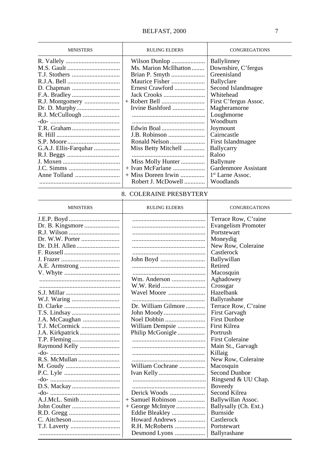## BELFAST, 2000 7

| Wilson Dunlop<br>Ballylinney<br>Ms. Marion McIlhatton<br>Downshire, C'fergus<br>Greenisland<br>Maurice Fisher<br>Ballyclare<br>Ernest Crawford<br>Second Islandmagee<br>Whitehead<br>Jack Crooks<br>First C'fergus Assoc.<br>R.J. Montgomery<br>Irvine Bashford<br>Magheramorne<br>R.J. McCullough<br>Loughmorne<br>Woodburn<br>Joymount<br><b>J.B. Robinson</b><br>Cairncastle<br>Ronald Nelson<br>First Islandmagee<br>G.A.J. Ellis-Farquhar<br>Miss Betty Mitchell<br>Ballycarry<br>Raloo<br>Miss Molly Hunter<br>Ballynure<br>$+$ Ivan McFarlane | <b>MINISTERS</b> | <b>RULING ELDERS</b> | <b>CONGREGATIONS</b> |
|------------------------------------------------------------------------------------------------------------------------------------------------------------------------------------------------------------------------------------------------------------------------------------------------------------------------------------------------------------------------------------------------------------------------------------------------------------------------------------------------------------------------------------------------------|------------------|----------------------|----------------------|
| $+$ Miss Doreen Irwin<br>$1st$ Larne Assoc.<br>Robert J. McDowell<br>Woodlands                                                                                                                                                                                                                                                                                                                                                                                                                                                                       |                  |                      | Gardenmore Assistant |

### 8. COLERAINE PRESBYTERY

| <b>MINISTERS</b> | <b>RULING ELDERS</b> | <b>CONGREGATIONS</b>       |
|------------------|----------------------|----------------------------|
| J.E.P. Boyd      |                      | Terrace Row, C'raine       |
|                  |                      | <b>Evangelism Promoter</b> |
|                  |                      | Portstewart                |
|                  |                      | Moneydig                   |
| Dr. D.H. Allen   |                      | New Row, Coleraine         |
|                  |                      | Castlerock                 |
|                  | John Boyd            | Ballywillan                |
|                  |                      | Retired                    |
|                  |                      | Macosquin                  |
|                  | Wm. Anderson         | Aghadowey                  |
|                  | W.W. Reid            | Crossgar                   |
|                  | Wavel Moore          | Hazelbank                  |
|                  |                      | Ballyrashane               |
|                  | Dr. William Gilmore  | Terrace Row, C'raine       |
|                  |                      | First Garvagh              |
| J.A. McCaughan   |                      | <b>First Dunboe</b>        |
|                  | William Dempsie      | <b>First Kilrea</b>        |
|                  | Philip McGonigle     | Portrush                   |
|                  |                      | <b>First Coleraine</b>     |
|                  |                      | Main St., Garvagh          |
|                  |                      | Killaig                    |
|                  |                      | New Row, Coleraine         |
|                  | William Cochrane     | Macosquin                  |
|                  |                      | Second Dunboe              |
|                  |                      | Ringsend & UU Chap.        |
|                  |                      | Boveedy                    |
|                  | Derick Woods         | Second Kilrea              |
|                  | $+$ Samuel Robinson  | Ballywillan Assoc.         |
|                  | $+$ George McIntyre  | Ballysally (Ch. Ext.)      |
|                  | Eddie Bleakley       | <b>Burnside</b>            |
|                  | Howard Andrews       | Castlerock                 |
|                  | R.H. McRoberts       | Portstewart                |
|                  | Desmond Lyons        | Ballyrashane               |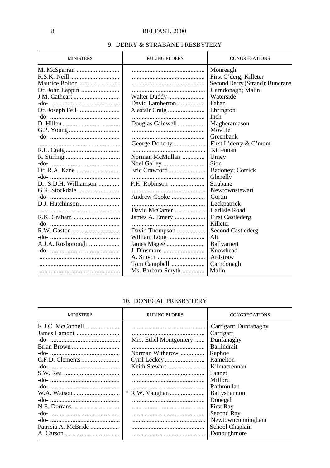## 9. DERRY & STRABANE PRESBYTERY

| <b>MINISTERS</b>      | <b>RULING ELDERS</b> | <b>CONGREGATIONS</b>            |
|-----------------------|----------------------|---------------------------------|
|                       |                      | Monreagh                        |
|                       |                      | First C'derg; Killeter          |
|                       |                      | Second Derry (Strand); Buncrana |
|                       |                      | Carndonagh; Malin               |
|                       |                      | Waterside                       |
|                       | David Lamberton      | Fahan                           |
|                       |                      | Ebrington                       |
|                       |                      | Inch                            |
|                       | Douglas Caldwell     | Magheramason                    |
|                       |                      | Moville                         |
|                       |                      | Greenbank                       |
|                       |                      | First L'derry & C'mont          |
|                       |                      | Kilfennan                       |
|                       | Norman McMullan      | Urney                           |
|                       |                      | Sion                            |
|                       | Eric Crawford        | Badoney; Corrick                |
|                       |                      | Glenelly                        |
| Dr. S.D.H. Williamson | P.H. Robinson        | Strabane                        |
|                       |                      | Newtownstewart                  |
|                       | Andrew Cooke         | Gortin                          |
|                       |                      | Leckpatrick                     |
|                       | David McCarter       | Carlisle Road                   |
|                       | James A. Emery       | <b>First Castlederg</b>         |
|                       |                      | Killeter                        |
|                       | David Thompson       | Second Castlederg               |
|                       | William Long         | Alt                             |
| A.J.A. Rosborough     |                      | Ballyarnett                     |
|                       | J. Dinsmore          | Knowhead                        |
|                       |                      | Ardstraw                        |
|                       | Tom Campbell         | Carndonagh                      |
|                       | Ms. Barbara Smyth    | Malin                           |

#### 10. DONEGAL PRESBYTERY

| <b>MINISTERS</b>    | <b>RULING ELDERS</b>  | <b>CONGREGATIONS</b>  |
|---------------------|-----------------------|-----------------------|
|                     |                       | Carrigart; Dunfanaghy |
|                     |                       | Carrigart             |
|                     | Mrs. Ethel Montgomery | Dunfanaghy            |
| Brian Brown         |                       | <b>Ballindrait</b>    |
|                     | Norman Witherow       | Raphoe                |
|                     |                       | Ramelton              |
|                     |                       | Kilmacrennan          |
|                     |                       | Fannet                |
|                     |                       | Milford               |
|                     |                       | Rathmullan            |
|                     |                       | Ballyshannon          |
|                     |                       | Donegal               |
|                     |                       | <b>First Ray</b>      |
|                     |                       | Second Ray            |
|                     |                       | Newtowncunningham     |
| Patricia A. McBride |                       | School Chaplain       |
|                     |                       | Donoughmore           |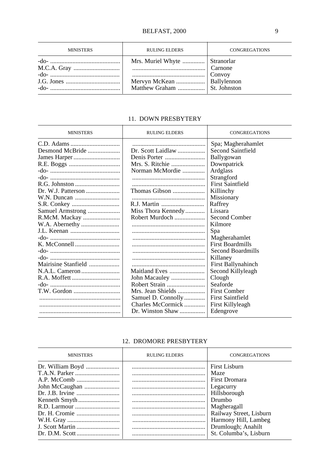| <b>MINISTERS</b> | <b>RULING ELDERS</b>                                                                        | <b>CONGREGATIONS</b> |
|------------------|---------------------------------------------------------------------------------------------|----------------------|
|                  | Mrs. Muriel Whyte  Stranorlar<br>Mervyn McKean  Ballylennon<br>Matthew Graham  St. Johnston | Convoy               |

## 11. DOWN PRESBYTERY

| <b>MINISTERS</b>    | <b>RULING ELDERS</b> | <b>CONGREGATIONS</b>      |
|---------------------|----------------------|---------------------------|
|                     |                      | Spa; Magherahamlet        |
| Desmond McBride     | Dr. Scott Laidlaw    | Second Saintfield         |
| James Harper        |                      | Ballygowan                |
|                     | Mrs. S. Ritchie      | Downpatrick               |
|                     | Norman McMordie      | Ardglass                  |
|                     |                      | Strangford                |
|                     |                      | <b>First Saintfield</b>   |
|                     | Thomas Gibson        | Killinchy                 |
|                     |                      | Missionary                |
|                     |                      | Raffrey                   |
| Samuel Armstrong    | Miss Thora Kennedy   | Lissara                   |
| R.McM. Mackay       | Robert Murdoch       | Second Comber             |
|                     |                      | Kilmore                   |
|                     |                      | Spa                       |
|                     |                      | Magherahamlet             |
|                     |                      | <b>First Boardmills</b>   |
|                     |                      | Second Boardmills         |
|                     |                      | Killaney                  |
| Mairisine Stanfield |                      | <b>First Ballynahinch</b> |
|                     | Maitland Eves        | Second Killyleagh         |
|                     | John Macauley        | Clough                    |
|                     |                      | Seaforde                  |
| T.W. Gordon         | Mrs. Jean Shields    | <b>First Comber</b>       |
|                     | Samuel D. Connolly   | <b>First Saintfield</b>   |
|                     | Charles McCormick    | First Killyleagh          |
|                     | Dr. Winston Shaw     | Edengrove                 |

#### 12. DROMORE PRESBYTERY

| <b>MINISTERS</b> | <b>RULING ELDERS</b> | <b>CONGREGATIONS</b>                                                                                                                                                                            |
|------------------|----------------------|-------------------------------------------------------------------------------------------------------------------------------------------------------------------------------------------------|
|                  |                      | First Lisburn<br>Maze<br>First Dromara<br>Legacurry<br>Hillsborough<br>Drumbo<br>Magheragall<br>Railway Street, Lisburn<br>Harmony Hill, Lambeg<br>Drumlough; Anahilt<br>St. Columba's, Lisburn |
|                  |                      |                                                                                                                                                                                                 |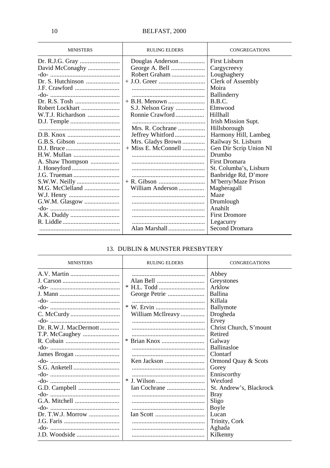| <b>MINISTERS</b>  | <b>RULING ELDERS</b>  | <b>CONGREGATIONS</b>   |
|-------------------|-----------------------|------------------------|
|                   | Douglas Anderson      | First Lisburn          |
| David McConaghy   | George A. Bell        | Cargycreevy            |
|                   | Robert Graham         | Loughaghery            |
| Dr. S. Hutchinson |                       | Clerk of Assembly      |
|                   |                       | Moira                  |
|                   |                       | Ballinderry            |
|                   |                       | B.B.C.                 |
|                   |                       | Elmwood                |
| W.T.J. Richardson | Ronnie Crawford       | Hillhall               |
|                   |                       | Irish Mission Supt.    |
|                   | Mrs. R. Cochrane      | Hillsborough           |
|                   | Jeffrey Whitford      | Harmony Hill, Lambeg   |
|                   | Mrs. Gladys Brown     | Railway St. Lisburn    |
|                   | $+$ Miss E. McConnell | Gen Dir Scrip Union NI |
|                   |                       | Drumbo                 |
| A. Shaw Thompson  |                       | <b>First Dromara</b>   |
|                   |                       | St. Columba's, Lisburn |
|                   |                       | Banbridge Rd, D'more   |
| S.W.W. Neilly     |                       | M'berry/Maze Prison    |
|                   | William Anderson      | Magheragall            |
|                   |                       | Maze                   |
| G.W.M. Glasgow    |                       | Drumlough              |
|                   |                       | Anahilt                |
|                   |                       | <b>First Dromore</b>   |
|                   |                       | Legacurry              |
|                   | Alan Marshall         | Second Dromara         |

## 13. DUBLIN & MUNSTER PRESBYTERY

| <b>MINISTERS</b>        | <b>RULING ELDERS</b> | <b>CONGREGATIONS</b>    |
|-------------------------|----------------------|-------------------------|
|                         |                      | Abbey                   |
|                         | Alan Bell            | Greystones              |
|                         | * H.L. Todd          | Arklow                  |
|                         | George Petrie        | Ballina                 |
|                         |                      | Killala                 |
|                         |                      | Ballymote               |
|                         | William McIlreavy    | Drogheda                |
|                         |                      | Ervey                   |
| $Dr. R.W.J. MacDermott$ |                      | Christ Church, S'mount  |
| T.P. McCaughey          |                      | Retired                 |
|                         |                      | Galway                  |
|                         |                      | <b>Ballinasloe</b>      |
| James Brogan            |                      | Clontarf                |
|                         |                      | Ormond Quay & Scots     |
|                         |                      | Gorey                   |
|                         |                      | Enniscorthy             |
|                         |                      | Wexford                 |
|                         |                      | St. Andrew's, Blackrock |
|                         |                      | <b>Bray</b>             |
|                         |                      | Sligo                   |
|                         |                      | Boyle                   |
| Dr. T.W.J. Morrow       |                      | Lucan                   |
|                         |                      | Trinity, Cork           |
|                         |                      | Aghada                  |
| J.D. Woodside           |                      | Kilkenny                |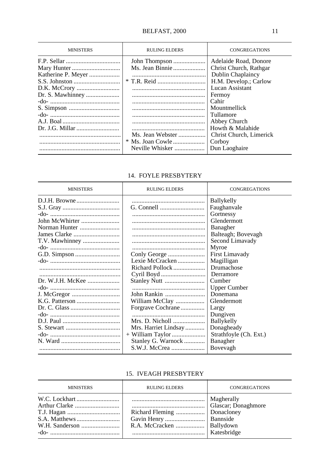| <b>MINISTERS</b>   | <b>RULING ELDERS</b> | <b>CONGREGATIONS</b>    |
|--------------------|----------------------|-------------------------|
|                    | John Thompson        | Adelaide Road, Donore   |
|                    | Ms. Jean Binnie      | Christ Church, Rathgar  |
| Katherine P. Meyer |                      | Dublin Chaplaincy       |
|                    |                      | H.M. Develop.; Carlow   |
|                    |                      | Lucan Assistant         |
| Dr. S. Mawhinney   |                      | Fermoy                  |
|                    |                      | Cahir                   |
|                    |                      | Mountmellick            |
|                    |                      | Tullamore               |
|                    |                      | Abbey Church            |
|                    |                      | Howth & Malahide        |
|                    | Ms. Jean Webster     | Christ Church, Limerick |
|                    |                      | Corboy                  |
|                    | Neville Whisker      | Dun Laoghaire           |

## 14. FOYLE PRESBYTERY

| <b>MINISTERS</b> | <b>RULING ELDERS</b> | <b>CONGREGATIONS</b>   |
|------------------|----------------------|------------------------|
|                  |                      | <b>Ballykelly</b>      |
|                  |                      | Faughanvale            |
|                  |                      | Gortnessy              |
| John McWhirter   |                      | Glendermott            |
| Norman Hunter    |                      | Banagher               |
|                  |                      | Balteagh; Bovevagh     |
|                  |                      | Second Limavady        |
|                  |                      | Myroe                  |
|                  | Conly George         | First Limavady         |
|                  | Lexie McCracken      | Magilligan             |
|                  | Richard Pollock      | Drumachose             |
|                  |                      | Derramore              |
| Dr. W.J.H. McKee |                      | Cumber                 |
|                  |                      | <b>Upper Cumber</b>    |
|                  | John Rankin          | Donemana               |
|                  | William McClay       | Glendermott            |
|                  | Forgrave Cochrane    | Largy                  |
|                  |                      | Dungiven               |
|                  |                      | <b>Ballykelly</b>      |
|                  | Mrs. Harriet Lindsay | Donagheady             |
|                  |                      | Strathfoyle (Ch. Ext.) |
|                  | Stanley G. Warnock   | Banagher               |
|                  |                      | Bovevagh               |

### 15. IVEAGH PRESBYTERY

| <b>MINISTERS</b> | <b>RULING ELDERS</b>                                | <b>CONGREGATIONS</b>                             |
|------------------|-----------------------------------------------------|--------------------------------------------------|
|                  | Gavin Henry   Bannside<br>R.A. McCracken  Ballydown | Magherally<br>Glascar; Donaghmore<br>Katesbridge |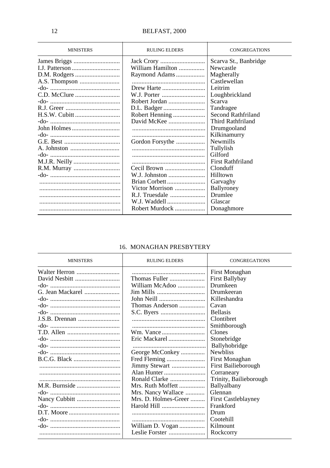| <b>MINISTERS</b> | <b>RULING ELDERS</b> | <b>CONGREGATIONS</b>     |
|------------------|----------------------|--------------------------|
|                  |                      | Scarva St., Banbridge    |
|                  | William Hamilton     | Newcastle                |
|                  | Raymond Adams        | Magherally               |
|                  |                      | Castlewellan             |
|                  |                      | Leitrim                  |
|                  |                      | Loughbrickland           |
|                  | Robert Jordan        | Scarva                   |
|                  |                      | Tandragee                |
|                  | Robert Henning       | Second Rathfriland       |
|                  |                      | Third Rathfriland        |
|                  |                      | Drumgooland              |
|                  |                      | Kilkinamurry             |
|                  | Gordon Forsythe      | <b>Newmills</b>          |
|                  |                      | Tullylish                |
|                  |                      | Gilford                  |
|                  |                      | <b>First Rathfriland</b> |
|                  | Cecil Brown          | Clonduff                 |
|                  | W.J. Johnston        | Hilltown                 |
|                  | Brian Corbett        | Garvaghy                 |
|                  | Victor Morrison      | Ballyroney               |
|                  | R.J. Truesdale       | Drumlee                  |
|                  | W.J. Waddell         | Glascar                  |
|                  | Robert Murdock       | Donaghmore               |

## 16. MONAGHAN PRESBYTERY

| <b>MINISTERS</b> | <b>RULING ELDERS</b> | <b>CONGREGATIONS</b>       |
|------------------|----------------------|----------------------------|
| Walter Herron    |                      | First Monaghan             |
| David Nesbitt    | Thomas Fuller        | First Ballybay             |
|                  | William McAdoo       | Drumkeen                   |
| G. Jean Mackarel | <b>Jim Mills</b>     | Drumkeeran                 |
|                  | John Neill           | Killeshandra               |
|                  | Thomas Anderson      | Cavan                      |
|                  |                      | <b>Bellasis</b>            |
|                  |                      | Clontibret                 |
|                  |                      | Smithborough               |
|                  |                      | Clones                     |
|                  | Eric Mackarel        | Stonebridge                |
|                  |                      | <b>Ballyhobridge</b>       |
|                  | George McConkey      | <b>Newbliss</b>            |
|                  | Fred Fleming         | First Monaghan             |
|                  | Jimmy Stewart        | First Bailieborough        |
|                  |                      | Corraneary                 |
|                  | Ronald Clarke        | Trinity, Bailieborough     |
|                  | Mrs. Ruth Moffett    | Ballyalbany                |
|                  | Mrs. Nancy Wallace   | Glennan                    |
|                  | Mrs. D. Holmes-Greer | <b>First Castleblayney</b> |
|                  |                      | Frankford                  |
|                  |                      | Drum                       |
|                  |                      | Cootehill                  |
|                  | William D. Vogan     | Kilmount                   |
|                  | Leslie Forster       | Rockcorry                  |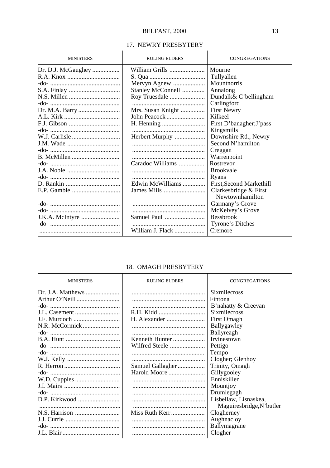| <b>MINISTERS</b>   | <b>RULING ELDERS</b> | <b>CONGREGATIONS</b>     |
|--------------------|----------------------|--------------------------|
| Dr. D.J. McGaughey | William Grills       | Mourne                   |
|                    |                      | Tullyallen               |
|                    | Mervyn Agnew         | Mountnorris              |
|                    | Stanley McConnell    | Annalong                 |
| N.S. Millen        | Roy Truesdale        | Dundalk& C'bellingham    |
|                    |                      | Carlingford              |
| Dr. M.A. Barry     | Mrs. Susan Knight    | <b>First Newry</b>       |
|                    | John Peacock         | Kilkeel                  |
| F.J. Gibson        |                      | First D'banagher; J'pass |
|                    |                      | Kingsmills               |
| W.J. Carlisle      | Herbert Murphy       | Downshire Rd., Newry     |
| J.M. Wade          |                      | Second N'hamilton        |
|                    |                      | Creggan                  |
| B. McMillen        |                      | Warrenpoint              |
|                    | Caradoc Williams     | Rostrevor                |
|                    |                      | <b>Brookvale</b>         |
|                    |                      | Ryans                    |
|                    | Edwin McWilliams     | First, Second Markethill |
| E.P. Gamble        | James Mills          | Clarkesbridge & First    |
|                    |                      | Newtownhamilton          |
|                    |                      | Garmany's Grove          |
|                    |                      | McKelvey's Grove         |
| J.K.A. McIntyre    |                      | <b>Bessbrook</b>         |
|                    |                      | Tyrone's Ditches         |
|                    | William J. Flack     | Cremore                  |
|                    |                      |                          |

#### 17. NEWRY PRESBYTERY

#### 18. OMAGH PRESBYTERY

| <b>MINISTERS</b> | <b>RULING ELDERS</b> | <b>CONGREGATIONS</b>     |
|------------------|----------------------|--------------------------|
|                  |                      | <b>Sixmilecross</b>      |
|                  |                      | Fintona                  |
|                  |                      | B'nahatty & Creevan      |
|                  |                      | <b>Sixmilecross</b>      |
|                  |                      | First Omagh              |
| N.R. McCormick   |                      | Ballygawley              |
|                  |                      | Ballyreagh               |
|                  | Kenneth Hunter       | Irvinestown              |
|                  | Wilfred Steele       | Pettigo                  |
|                  |                      | Tempo                    |
|                  |                      | Clogher; Glenhoy         |
|                  | Samuel Gallagher     | Trinity, Omagh           |
|                  | Harold Moore         | Gillygooley              |
|                  |                      | Enniskillen              |
|                  |                      | Mountjoy                 |
|                  |                      | Drumlegagh               |
|                  |                      | Lisbellaw, Lisnaskea,    |
|                  |                      | Maguiresbridge, N'butler |
|                  | Miss Ruth Kerr       | Clogherney               |
|                  |                      | Aughnacloy               |
|                  |                      | Ballymagrane             |
|                  |                      | Clogher                  |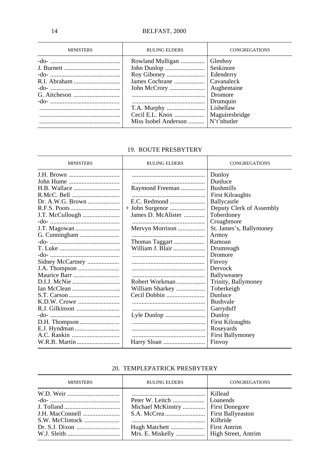| <b>MINISTERS</b> | <b>RULING ELDERS</b>                                                 | <b>CONGREGATIONS</b>                                            |
|------------------|----------------------------------------------------------------------|-----------------------------------------------------------------|
|                  | Rowland Mulligan<br>John Dunlop<br>Miss Isobel Anderson  N't'nbutler | Glenhoy<br>Seskinore<br>Edenderry<br><b>Dromore</b><br>Drumquin |

#### 19. ROUTE PRESBYTERY

| <b>MINISTERS</b> | <b>RULING ELDERS</b> | <b>CONGREGATIONS</b>     |
|------------------|----------------------|--------------------------|
|                  |                      | Dunloy                   |
| John Hume        |                      | Dunluce                  |
|                  | Raymond Freeman      | <b>Bushmills</b>         |
|                  |                      | <b>First Kilraughts</b>  |
|                  | E.C. Redmond         | Ballycastle              |
|                  |                      | Deputy Clerk of Assembly |
|                  | James D. McAlister   | Toberdoney               |
|                  |                      | Croaghmore               |
|                  | Mervyn Morrison      | St. James's, Ballymoney  |
| G. Cunningham    |                      | Armoy                    |
|                  | Thomas Taggart       | Ramoan                   |
|                  | William J. Blair     | Drumreagh                |
|                  |                      | Dromore                  |
|                  |                      | Finvoy                   |
|                  |                      | Dervock                  |
| Maurice Barr     |                      | <b>Ballyweaney</b>       |
|                  | Robert Workman       | Trinity, Ballymoney      |
|                  | William Sharkey      | Toberkeigh               |
|                  |                      | Dunluce                  |
|                  |                      | <b>Bushvale</b>          |
|                  |                      | Garryduff                |
|                  |                      | Dunloy                   |
|                  |                      | <b>First Kilraughts</b>  |
|                  |                      | Roseyards                |
|                  |                      | <b>First Ballymoney</b>  |
| W.R.B. Martin    |                      | Finvoy                   |

### 20. TEMPLEPATRICK PRESBYTERY

| <b>MINISTERS</b> | <b>RULING ELDERS</b>                                                                                                                         | <b>CONGREGATIONS</b> |
|------------------|----------------------------------------------------------------------------------------------------------------------------------------------|----------------------|
|                  | Peter W. Leitch    Loanends<br>Michael McKinstry  First Donegore<br>Hugh Matchett    First Antrim<br>Mrs. E. Miskelly    High Street, Antrim |                      |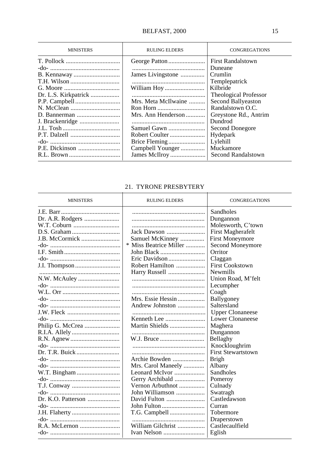| <b>MINISTERS</b>     | <b>RULING ELDERS</b> | <b>CONGREGATIONS</b>     |
|----------------------|----------------------|--------------------------|
|                      |                      | <b>First Randalstown</b> |
|                      |                      | Duneane                  |
|                      | James Livingstone    | Crumlin                  |
|                      |                      | Templepatrick            |
|                      |                      | Kilbride                 |
| Dr. L.S. Kirkpatrick |                      | Theological Professor    |
|                      | Mrs. Meta McIlwaine  | Second Ballyeaston       |
|                      |                      | Randalstown O.C.         |
|                      | Mrs. Ann Henderson   | Greystone Rd., Antrim    |
| J. Brackenridge      |                      | Dundrod                  |
|                      | Samuel Gawn          | Second Donegore          |
|                      |                      | Hydepark                 |
|                      |                      | Lylehill                 |
|                      | Campbell Younger     | Muckamore                |
|                      |                      | Second Randalstown       |

## 21. TYRONE PRESBYTERY

| <b>MINISTERS</b> | <b>RULING ELDERS</b>   | <b>CONGREGATIONS</b>      |
|------------------|------------------------|---------------------------|
|                  |                        | Sandholes                 |
|                  |                        | Dungannon                 |
|                  |                        | Molesworth, C'town        |
|                  | Jack Dawson            | First Magherafelt         |
|                  | Samuel McKinney        | <b>First Moneymore</b>    |
|                  | * Miss Beatrice Miller | Second Moneymore          |
|                  |                        | Orritor                   |
|                  | Eric Davidson          | Claggan                   |
|                  | Robert Hamilton        | <b>First Cookstown</b>    |
|                  | Harry Russell          | Newmills                  |
|                  |                        | Union Road, M'felt        |
|                  |                        | Lecumpher                 |
|                  |                        | Coagh                     |
|                  | Mrs. Essie Hessin      | Ballygoney                |
|                  | Andrew Johnston        | Saltersland               |
| J.W. Fleck       |                        | <b>Upper Clonaneese</b>   |
|                  |                        | Lower Clonaneese          |
|                  | Martin Shields         | Maghera                   |
|                  |                        | Dungannon                 |
|                  |                        | Bellaghy                  |
|                  |                        | Knockloughrim             |
|                  |                        | <b>First Stewartstown</b> |
|                  | Archie Bowden          | Brigh                     |
|                  | Mrs. Carol Maneely     | Albany                    |
| W.T. Bingham     | Leonard McIvor         | Sandholes                 |
|                  | Gerry Archibald        | Pomeroy                   |
| T.J. Conway      | Vernon Arbuthnot       | Culnady                   |
|                  | John Williamson        | Swatragh                  |
|                  |                        | Castledawson              |
|                  |                        | Curran                    |
|                  |                        | Tobermore                 |
|                  |                        | Draperstown               |
|                  | William Gilchrist      | Castlecaulfield           |
|                  |                        | Eglish                    |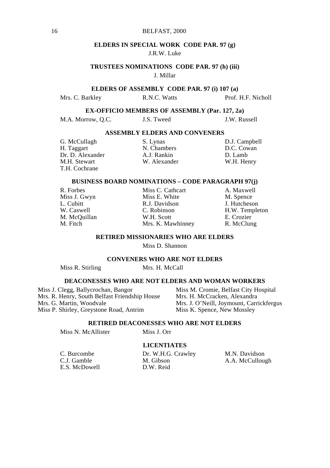#### **ELDERS IN SPECIAL WORK CODE PAR. 97 (g)**

#### J.R.W. Luke

#### **TRUSTEES NOMINATIONS CODE PAR. 97 (h) (iii)** J. Millar

#### **ELDERS OF ASSEMBLY CODE PAR. 97 (i) 107 (a)**

| Mrs. C. Barkley | R.N.C. Watts | Prof. H.F. Nicholl |
|-----------------|--------------|--------------------|
|                 |              |                    |

#### **EX-OFFICIO MEMBERS OF ASSEMBLY (Par. 127, 2a)**

| J.W. Russell<br>M.A. Morrow, Q.C.<br>J.S. Tweed |  |
|-------------------------------------------------|--|
|-------------------------------------------------|--|

#### **ASSEMBLY ELDERS AND CONVENERS**

| G. McCullagh     | S. Lynas     | D.J. Campbell |
|------------------|--------------|---------------|
| H. Taggart       | N. Chambers  | D.C. Cowan    |
| Dr. D. Alexander | A.J. Rankin  | D. Lamb       |
| M.H. Stewart     | W. Alexander | W.H. Henry    |
| T.H. Cochrane    |              |               |

#### **BUSINESS BOARD NOMINATIONS – CODE PARAGRAPH 97(j)**

| R. FOIDES    |
|--------------|
| Miss J. Gwyn |
| L. Cubitt    |
| W. Caswell   |
| M. McQuillan |
| M. Fitch     |

R. Forbes Miss C. Cathcart A. Maxwell<br>
Miss J. Gwyn Miss E. White M. Spence Miss E. White M. Spence<br>
R.J. Davidson<br>
J. Hutcheson R.J. Davidson<br>C. Robinson W.H. Scott<br>
Mrs. K. Mawhinney B. McClung Mrs. K. Mawhinney

H.W. Templeton<br>E. Crozier

#### **RETIRED MISSIONARIES WHO ARE ELDERS**

Miss D. Shannon

#### **CONVENERS WHO ARE NOT ELDERS**

Miss R. Stirling Mrs. H. McCall

#### **DEACONESSES WHO ARE NOT ELDERS AND WOMAN WORKERS**

Miss J. Clegg, Ballycrochan, Bangor Miss M. Cromie, Belfast City Hospital<br>Mrs. R. Henry, South Belfast Friendship House Mrs. H. McCracken, Alexandra Mrs. R. Henry, South Belfast Friendship House<br>Mrs. G. Martin, Woodvale Miss P. Shirley, Greystone Road, Antrim

Mrs. J. O'Neill, Joymount, Carrickfergus<br>Miss K. Spence, New Mossley

#### **RETIRED DEACONESSES WHO ARE NOT ELDERS**

Miss N. McAllister Miss J. Orr

### **LICENTIATES**

E.S. McDowell

C. Burcombe Dr. W.H.G. Crawley M.N. Davidson M. Gibson A.A. McCullough<br>D.W. Reid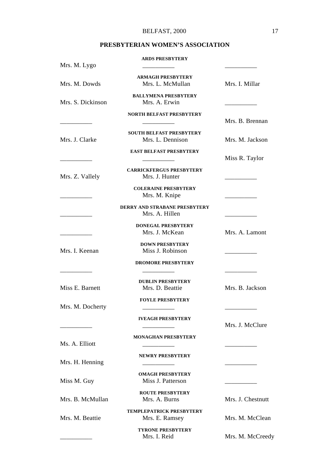## **PRESBYTERIAN WOMEN'S ASSOCIATION**

| Mrs. M. Lygo      | <b>ARDS PRESBYTERY</b>                              |                   |
|-------------------|-----------------------------------------------------|-------------------|
|                   |                                                     |                   |
| Mrs. M. Dowds     | <b>ARMAGH PRESBYTERY</b><br>Mrs. L. McMullan        | Mrs. I. Millar    |
| Mrs. S. Dickinson | <b>BALLYMENA PRESBYTERY</b><br>Mrs. A. Erwin        |                   |
|                   |                                                     |                   |
|                   | <b>NORTH BELFAST PRESBYTERY</b>                     | Mrs. B. Brennan   |
| Mrs. J. Clarke    | <b>SOUTH BELFAST PRESBYTERY</b><br>Mrs. L. Dennison | Mrs. M. Jackson   |
|                   |                                                     |                   |
|                   | <b>EAST BELFAST PRESBYTERY</b>                      | Miss R. Taylor    |
| Mrs. Z. Vallely   | <b>CARRICKFERGUS PRESBYTERY</b><br>Mrs. J. Hunter   |                   |
|                   | <b>COLERAINE PRESBYTERY</b><br>Mrs. M. Knipe        |                   |
|                   | DERRY AND STRABANE PRESBYTERY<br>Mrs. A. Hillen     |                   |
|                   | DONEGAL PRESBYTERY<br>Mrs. J. McKean                | Mrs. A. Lamont    |
| Mrs. I. Keenan    | <b>DOWN PRESBYTERY</b><br>Miss J. Robinson          |                   |
|                   | <b>DROMORE PRESBYTERY</b>                           |                   |
| Miss E. Barnett   | <b>DUBLIN PRESBYTERY</b><br>Mrs. D. Beattie         | Mrs. B. Jackson   |
|                   |                                                     |                   |
| Mrs. M. Docherty  | <b>FOYLE PRESBYTERY</b>                             |                   |
|                   | <b>IVEAGH PRESBYTERY</b>                            | Mrs. J. McClure   |
| Ms. A. Elliott    | <b>MONAGHAN PRESBYTERY</b>                          |                   |
|                   | <b>NEWRY PRESBYTERY</b>                             |                   |
| Mrs. H. Henning   |                                                     |                   |
| Miss M. Guy       | <b>OMAGH PRESBYTERY</b><br>Miss J. Patterson        |                   |
| Mrs. B. McMullan  | <b>ROUTE PRESBYTERY</b><br>Mrs. A. Burns            | Mrs. J. Chestnutt |
|                   |                                                     |                   |
| Mrs. M. Beattie   | TEMPLEPATRICK PRESBYTERY<br>Mrs. E. Ramsey          | Mrs. M. McClean   |
|                   | <b>TYRONE PRESBYTERY</b><br>Mrs. I. Reid            | Mrs. M. McCreedy  |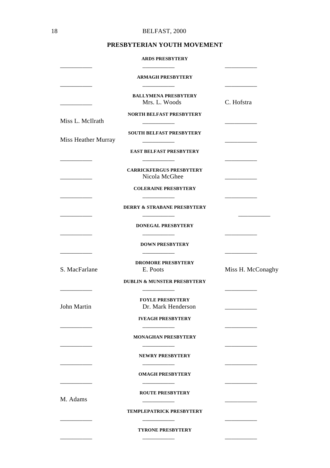## **PRESBYTERIAN YOUTH MOVEMENT**

|                     | <b>ARDS PRESBYTERY</b>                                                    |                   |
|---------------------|---------------------------------------------------------------------------|-------------------|
|                     | <b>ARMAGH PRESBYTERY</b>                                                  |                   |
|                     | <b>BALLYMENA PRESBYTERY</b><br>Mrs. L. Woods                              | C. Hofstra        |
| Miss L. McIlrath    | <b>NORTH BELFAST PRESBYTERY</b>                                           |                   |
| Miss Heather Murray | <b>SOUTH BELFAST PRESBYTERY</b>                                           |                   |
|                     | <b>EAST BELFAST PRESBYTERY</b>                                            |                   |
|                     | <b>CARRICKFERGUS PRESBYTERY</b><br>Nicola McGhee                          |                   |
|                     | <b>COLERAINE PRESBYTERY</b>                                               |                   |
|                     | <b>DERRY &amp; STRABANE PRESBYTERY</b>                                    |                   |
|                     | <b>DONEGAL PRESBYTERY</b>                                                 |                   |
|                     | <b>DOWN PRESBYTERY</b>                                                    |                   |
| S. MacFarlane       | <b>DROMORE PRESBYTERY</b><br>E. Poots                                     | Miss H. McConaghy |
|                     | <b>DUBLIN &amp; MUNSTER PRESBYTERY</b>                                    |                   |
| John Martin         | <b>FOYLE PRESBYTERY</b><br>Dr. Mark Henderson<br><b>IVEAGH PRESBYTERY</b> |                   |
|                     | <b>MONAGHAN PRESBYTERY</b>                                                |                   |
|                     | <b>NEWRY PRESBYTERY</b>                                                   |                   |
|                     | <b>OMAGH PRESBYTERY</b>                                                   |                   |
| M. Adams            | <b>ROUTE PRESBYTERY</b>                                                   |                   |
|                     | <b>TEMPLEPATRICK PRESBYTERY</b>                                           |                   |
|                     | <b>TYRONE PRESBYTERY</b>                                                  |                   |

\_\_\_\_\_\_\_\_\_\_ \_\_\_\_\_\_\_\_\_\_ \_\_\_\_\_\_\_\_\_\_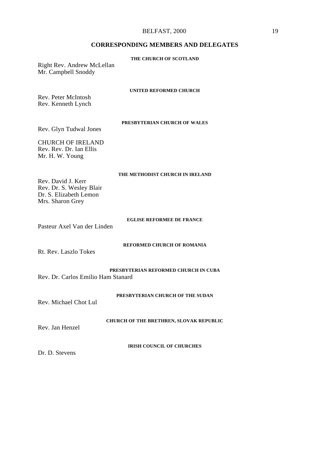#### BELFAST, 2000 19

#### **CORRESPONDING MEMBERS AND DELEGATES**

**THE CHURCH OF SCOTLAND**

Right Rev. Andrew McLellan Mr. Campbell Snoddy

**UNITED REFORMED CHURCH**

Rev. Peter McIntosh Rev. Kenneth Lynch

#### **PRESBYTERIAN CHURCH OF WALES**

Rev. Glyn Tudwal Jones

CHURCH OF IRELAND Rev. Rev. Dr. Ian Ellis Mr. H. W. Young

#### **THE METHODIST CHURCH IN IRELAND**

Rev. David J. Kerr Rev. Dr. S. Wesley Blair Dr. S. Elizabeth Lemon Mrs. Sharon Grey

#### **EGLISE REFORMEE DE FRANCE**

Pasteur Axel Van der Linden

**REFORMED CHURCH OF ROMANIA**

Rt. Rev. Laszlo Tokes

**PRESBYTERIAN REFORMED CHURCH IN CUBA** Rev. Dr. Carlos Emilio Ham Stanard

**PRESBYTERIAN CHURCH OF THE SUDAN**

Rev. Michael Chot Lul

**CHURCH OF THE BRETHREN, SLOVAK REPUBLIC**

Rev. Jan Henzel

**IRISH COUNCIL OF CHURCHES**

Dr. D. Stevens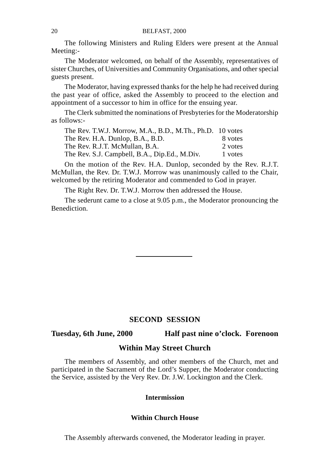The following Ministers and Ruling Elders were present at the Annual Meeting:-

The Moderator welcomed, on behalf of the Assembly, representatives of sister Churches, of Universities and Community Organisations, and other special guests present.

The Moderator, having expressed thanks for the help he had received during the past year of office, asked the Assembly to proceed to the election and appointment of a successor to him in office for the ensuing year.

The Clerk submitted the nominations of Presbyteries for the Moderatorship as follows:-

| The Rev. T.W.J. Morrow, M.A., B.D., M.Th., Ph.D. 10 votes |         |
|-----------------------------------------------------------|---------|
| The Rev. H.A. Dunlop, B.A., B.D.                          | 8 votes |
| The Rev. R.J.T. McMullan. B.A.                            | 2 votes |
| The Rev. S.J. Campbell, B.A., Dip.Ed., M.Div.             | 1 votes |

On the motion of the Rev. H.A. Dunlop, seconded by the Rev. R.J.T. McMullan, the Rev. Dr. T.W.J. Morrow was unanimously called to the Chair, welcomed by the retiring Moderator and commended to God in prayer.

The Right Rev. Dr. T.W.J. Morrow then addressed the House.

The sederunt came to a close at 9.05 p.m., the Moderator pronouncing the Benediction.

## **SECOND SESSION**

### **Tuesday, 6th June, 2000 Half past nine o'clock. Forenoon**

#### **Within May Street Church**

The members of Assembly, and other members of the Church, met and participated in the Sacrament of the Lord's Supper, the Moderator conducting the Service, assisted by the Very Rev. Dr. J.W. Lockington and the Clerk.

## **Intermission**

### **Within Church House**

The Assembly afterwards convened, the Moderator leading in prayer.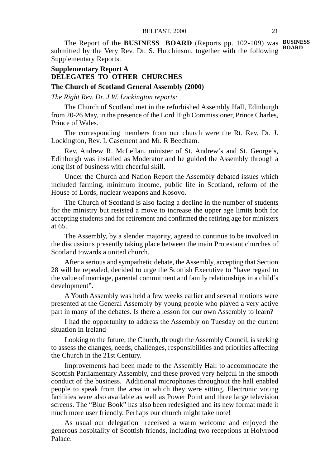The Report of the **BUSINESS BOARD** (Reports pp. 102-109) was **BUSINESS** submitted by the Very Rev. Dr. S. Hutchinson, together with the following **BOARD** Supplementary Reports.

## **Supplementary Report A DELEGATES TO OTHER CHURCHES**

#### **The Church of Scotland General Assembly (2000)**

*The Right Rev. Dr. J.W. Lockington reports:*

The Church of Scotland met in the refurbished Assembly Hall, Edinburgh from 20-26 May, in the presence of the Lord High Commissioner, Prince Charles, Prince of Wales.

The corresponding members from our church were the Rt. Rev, Dr. J. Lockington, Rev. L Casement and Mr. R Beedham.

Rev. Andrew R. McLellan, minister of St. Andrew's and St. George's, Edinburgh was installed as Moderator and he guided the Assembly through a long list of business with cheerful skill.

Under the Church and Nation Report the Assembly debated issues which included farming, minimum income, public life in Scotland, reform of the House of Lords, nuclear weapons and Kosovo.

The Church of Scotland is also facing a decline in the number of students for the ministry but resisted a move to increase the upper age limits both for accepting students and for retirement and confirmed the retiring age for ministers at 65.

The Assembly, by a slender majority, agreed to continue to be involved in the discussions presently taking place between the main Protestant churches of Scotland towards a united church.

After a serious and sympathetic debate, the Assembly, accepting that Section 28 will be repealed, decided to urge the Scottish Executive to "have regard to the value of marriage, parental commitment and family relationships in a child's development".

A Youth Assembly was held a few weeks earlier and several motions were presented at the General Assembly by young people who played a very active part in many of the debates. Is there a lesson for our own Assembly to learn?

I had the opportunity to address the Assembly on Tuesday on the current situation in Ireland

Looking to the future, the Church, through the Assembly Council, is seeking to assess the changes, needs, challenges, responsibilities and priorities affecting the Church in the 21st Century.

Improvements had been made to the Assembly Hall to accommodate the Scottish Parliamentary Assembly, and these proved very helpful in the smooth conduct of the business. Additional microphones throughout the hall enabled people to speak from the area in which they were sitting. Electronic voting facilities were also available as well as Power Point and three large television screens. The "Blue Book" has also been redesigned and its new format made it much more user friendly. Perhaps our church might take note!

As usual our delegation received a warm welcome and enjoyed the generous hospitality of Scottish friends, including two receptions at Holyrood Palace.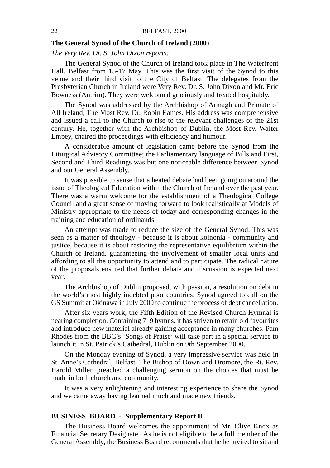#### **The General Synod of the Church of Ireland (2000)**

*The Very Rev. Dr. S. John Dixon reports:*

The General Synod of the Church of Ireland took place in The Waterfront Hall, Belfast from 15-17 May. This was the first visit of the Synod to this venue and their third visit to the City of Belfast. The delegates from the Presbyterian Church in Ireland were Very Rev. Dr. S. John Dixon and Mr. Eric Bowness (Antrim). They were welcomed graciously and treated hospitably.

The Synod was addressed by the Archbishop of Armagh and Primate of All Ireland, The Most Rev. Dr. Robin Eames. His address was comprehensive and issued a call to the Church to rise to the relevant challenges of the 21st century. He, together with the Archbishop of Dublin, the Most Rev. Walter Empey, chaired the proceedings with efficiency and humour.

A considerable amount of legislation came before the Synod from the Liturgical Advisory Committee; the Parliamentary language of Bills and First, Second and Third Readings was but one noticeable difference between Synod and our General Assembly.

It was possible to sense that a heated debate had been going on around the issue of Theological Education within the Church of Ireland over the past year. There was a warm welcome for the establishment of a Theological College Council and a great sense of moving forward to look realistically at Models of Ministry appropriate to the needs of today and corresponding changes in the training and education of ordinands.

An attempt was made to reduce the size of the General Synod. This was seen as a matter of theology - because it is about koinonia - community and justice, because it is about restoring the representative equilibrium within the Church of Ireland, guaranteeing the involvement of smaller local units and affording to all the opportunity to attend and to participate. The radical nature of the proposals ensured that further debate and discussion is expected next year.

The Archbishop of Dublin proposed, with passion, a resolution on debt in the world's most highly indebted poor countries. Synod agreed to call on the GS Summit at Okinawa in July 2000 to continue the process of debt cancellation.

After six years work, the Fifth Edition of the Revised Church Hymnal is nearing completion. Containing 719 hymns, it has striven to retain old favourites and introduce new material already gaining acceptance in many churches. Pam Rhodes from the BBC's 'Songs of Praise' will take part in a special service to launch it in St. Patrick's Cathedral, Dublin on 9th September 2000.

On the Monday evening of Synod, a very impressive service was held in St. Anne's Cathedral, Belfast. The Bishop of Down and Dromore, the Rt. Rev. Harold Miller, preached a challenging sermon on the choices that must be made in both church and community.

It was a very enlightening and interesting experience to share the Synod and we came away having learned much and made new friends.

#### **BUSINESS BOARD - Supplementary Report B**

The Business Board welcomes the appointment of Mr. Clive Knox as Financial Secretary Designate. As he is not eligible to be a full member of the General Assembly, the Business Board recommends that he be invited to sit and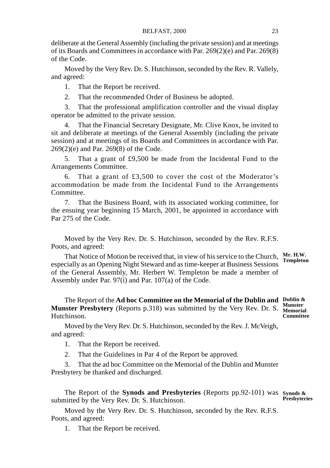deliberate at the General Assembly (including the private session) and at meetings of its Boards and Committees in accordance with Par. 269(2)(e) and Par. 269(8) of the Code.

Moved by the Very Rev. Dr. S. Hutchinson, seconded by the Rev. R. Vallely, and agreed:

1. That the Report be received.

2. That the recommended Order of Business be adopted.

3. That the professional amplification controller and the visual display operator be admitted to the private session.

4. That the Financial Secretary Designate, Mr. Clive Knox, be invited to sit and deliberate at meetings of the General Assembly (including the private session) and at meetings of its Boards and Committees in accordance with Par. 269(2)(e) and Par. 269(8) of the Code.

5. That a grant of £9,500 be made from the Incidental Fund to the Arrangements Committee.

6. That a grant of £3,500 to cover the cost of the Moderator's accommodation be made from the Incidental Fund to the Arrangements Committee.

7. That the Business Board, with its associated working committee, for the ensuing year beginning 15 March, 2001, be appointed in accordance with Par 275 of the Code

Moved by the Very Rev. Dr. S. Hutchinson, seconded by the Rev. R.F.S. Poots, and agreed:

That Notice of Motion be received that, in view of his service to the Church, especially as an Opening Night Steward and as time-keeper at Business Sessions of the General Assembly, Mr. Herbert W. Templeton be made a member of Assembly under Par. 97(i) and Par. 107(a) of the Code. **Mr. H.W. Templeton**

The Report of the **Ad hoc Committee on the Memorial of the Dublin and Dublin & Munster Presbytery** (Reports p.318) was submitted by the Very Rev. Dr. S. **Munster Memorial** Hutchinson. **Committee**

Moved by the Very Rev. Dr. S. Hutchinson, seconded by the Rev. J. McVeigh, and agreed:

1. That the Report be received.

2. That the Guidelines in Par 4 of the Report be approved.

3. That the ad hoc Committee on the Memorial of the Dublin and Munster Presbytery be thanked and discharged.

The Report of the **Synods and Presbyteries** (Reports pp.92-101) was **Synods &** submitted by the Very Rev. Dr. S. Hutchinson. **Presbyteries**

Moved by the Very Rev. Dr. S. Hutchinson, seconded by the Rev. R.F.S. Poots, and agreed:

1. That the Report be received.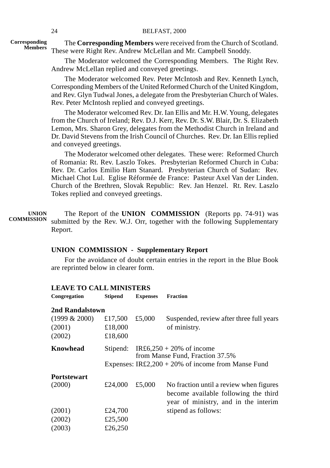**Corresponding Members**

The **Corresponding Members** were received from the Church of Scotland. These were Right Rev. Andrew McLellan and Mr. Campbell Snoddy.

The Moderator welcomed the Corresponding Members. The Right Rev. Andrew McLellan replied and conveyed greetings.

The Moderator welcomed Rev. Peter McIntosh and Rev. Kenneth Lynch, Corresponding Members of the United Reformed Church of the United Kingdom, and Rev. Glyn Tudwal Jones, a delegate from the Presbyterian Church of Wales. Rev. Peter McIntosh replied and conveyed greetings.

The Moderator welcomed Rev. Dr. Ian Ellis and Mr. H.W. Young, delegates from the Church of Ireland; Rev. D.J. Kerr, Rev. Dr. S.W. Blair, Dr. S. Elizabeth Lemon, Mrs. Sharon Grey, delegates from the Methodist Church in Ireland and Dr. David Stevens from the Irish Council of Churches. Rev. Dr. Ian Ellis replied and conveyed greetings.

The Moderator welcomed other delegates. These were: Reformed Church of Romania: Rt. Rev. Laszlo Tokes. Presbyterian Reformed Church in Cuba: Rev. Dr. Carlos Emilio Ham Stanard. Presbyterian Church of Sudan: Rev. Michael Chot Lul. Eglise Réformée de France: Pasteur Axel Van der Linden. Church of the Brethren, Slovak Republic: Rev. Jan Henzel. Rt. Rev. Laszlo Tokes replied and conveyed greetings.

The Report of the **UNION COMMISSION** (Reports pp. 74-91) was submitted by the Rev. W.J. Orr, together with the following Supplementary Report. **UNION COMMISSION**

#### **UNION COMMISSION - Supplementary Report**

For the avoidance of doubt certain entries in the report in the Blue Book are reprinted below in clearer form.

#### **LEAVE TO CALL MINISTERS**

| Congregation       | <b>Stipend</b> | <b>Expenses</b> | <b>Fraction</b>                                                      |
|--------------------|----------------|-----------------|----------------------------------------------------------------------|
| 2nd Randalstown    |                |                 |                                                                      |
| $(1999 \& 2000)$   | £17,500        | £5,000          | Suspended, review after three full years                             |
| (2001)             | £18,000        |                 | of ministry.                                                         |
| (2002)             | £18,600        |                 |                                                                      |
| Knowhead           |                |                 | Stipend: IR£6,250 + 20% of income<br>from Manse Fund, Fraction 37.5% |
|                    |                |                 | Expenses: IR£2,200 + 20% of income from Manse Fund                   |
| <b>Portstewart</b> |                |                 |                                                                      |
| (2000)             | £24,000        | £5,000          | No fraction until a review when figures                              |
|                    |                |                 | become available following the third                                 |
|                    |                |                 | year of ministry, and in the interim                                 |
| (2001)             | £24,700        |                 | stipend as follows:                                                  |
| (2002)             | £25,500        |                 |                                                                      |
| (2003)             | £26,250        |                 |                                                                      |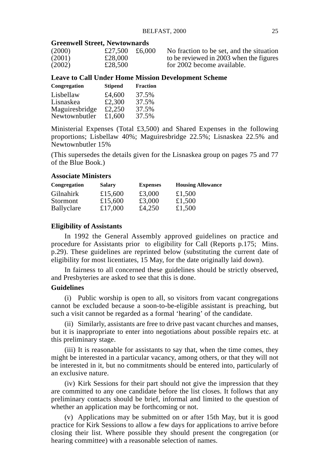#### **Greenwell Street, Newtownards**

| (2000) | £27,500 £6,000 | No fraction to be set, and the |
|--------|----------------|--------------------------------|
| (2001) | £28,000        | to be reviewed in 2003 when    |
| (2002) | £28,500        | for 2002 become available.     |

 $0$  No fraction to be set, and the situation to be reviewed in 2003 when the figures

#### **Leave to Call Under Home Mission Development Scheme**

| Congregation   | <b>Stipend</b> | <b>Fraction</b> |
|----------------|----------------|-----------------|
| Lisbellaw      | £4,600         | 37.5%           |
| Lisnaskea      | £2,300         | 37.5%           |
| Maguiresbridge | £2,250         | 37.5%           |
| Newtownbutler  | £1,600         | 37.5%           |

Ministerial Expenses (Total £3,500) and Shared Expenses in the following proportions; Lisbellaw 40%; Maguiresbridge 22.5%; Lisnaskea 22.5% and Newtownbutler 15%

(This supersedes the details given for the Lisnaskea group on pages 75 and 77 of the Blue Book.)

#### **Associate Ministers**

| Congregation | <b>Salary</b> | <b>Expenses</b> | <b>Housing Allowance</b> |
|--------------|---------------|-----------------|--------------------------|
| Gilnahirk    | £15,600       | £3,000          | £1.500                   |
| Stormont     | £15,600       | £3,000          | £1.500                   |
| Ballyclare   | £17,000       | £4.250          | £1,500                   |

#### **Eligibility of Assistants**

In 1992 the General Assembly approved guidelines on practice and procedure for Assistants prior to eligibility for Call (Reports p.175; Mins. p.29). These guidelines are reprinted below (substituting the current date of eligibility for most licentiates, 15 May, for the date originally laid down).

In fairness to all concerned these guidelines should be strictly observed, and Presbyteries are asked to see that this is done.

## **Guidelines**

(i) Public worship is open to all, so visitors from vacant congregations cannot be excluded because a soon-to-be-eligible assistant is preaching, but such a visit cannot be regarded as a formal 'hearing' of the candidate.

(ii) Similarly, assistants are free to drive past vacant churches and manses, but it is inappropriate to enter into negotiations about possible repairs etc. at this preliminary stage.

(iii) It is reasonable for assistants to say that, when the time comes, they might be interested in a particular vacancy, among others, or that they will not be interested in it, but no commitments should be entered into, particularly of an exclusive nature.

(iv) Kirk Sessions for their part should not give the impression that they are committed to any one candidate before the list closes. It follows that any preliminary contacts should be brief, informal and limited to the question of whether an application may be forthcoming or not.

(v) Applications may be submitted on or after 15th May, but it is good practice for Kirk Sessions to allow a few days for applications to arrive before closing their list. Where possible they should present the congregation (or hearing committee) with a reasonable selection of names.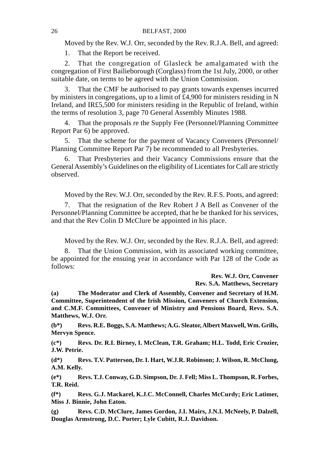Moved by the Rev. W.J. Orr, seconded by the Rev. R.J.A. Bell, and agreed:

1. That the Report be received.

2. That the congregation of Glasleck be amalgamated with the congregation of First Bailieborough (Corglass) from the 1st July, 2000, or other suitable date, on terms to be agreed with the Union Commission.

3. That the CMF be authorised to pay grants towards expenses incurred by ministers in congregations, up to a limit of £4,900 for ministers residing in N Ireland, and IR£5,500 for ministers residing in the Republic of Ireland, within the terms of resolution 3, page 70 General Assembly Minutes 1988.

4. That the proposals re the Supply Fee (Personnel/Planning Committee Report Par 6) be approved.

5. That the scheme for the payment of Vacancy Conveners (Personnel/ Planning Committee Report Par 7) be recommended to all Presbyteries.

6. That Presbyteries and their Vacancy Commissions ensure that the General Assembly's Guidelines on the eligibility of Licentiates for Call are strictly observed.

Moved by the Rev. W.J. Orr, seconded by the Rev. R.F.S. Poots, and agreed:

7. That the resignation of the Rev Robert J A Bell as Convener of the Personnel/Planning Committee be accepted, that he be thanked for his services, and that the Rev Colin D McClure be appointed in his place.

Moved by the Rev. W.J. Orr, seconded by the Rev. R.J.A. Bell, and agreed:

8. That the Union Commission, with its associated working committee, be appointed for the ensuing year in accordance with Par 128 of the Code as follows:

> **Rev. W.J. Orr, Convener Rev. S.A. Matthews, Secretary**

**(a) The Moderator and Clerk of Assembly, Convener and Secretary of H.M. Committee, Superintendent of the Irish Mission, Conveners of Church Extension, and C.M.F. Committees, Convener of Ministry and Pensions Board, Revs. S.A. Matthews, W.J. Orr.**

**(b\*) Revs. R.E. Boggs, S.A. Matthews; A.G. Sleator, Albert Maxwell, Wm. Grills, Mervyn Spence.**

**(c\*) Revs. Dr. R.I. Birney, I. McClean, T.R. Graham; H.L. Todd, Eric Crozier, J.W. Petrie.**

**(d\*) Revs. T.V. Patterson, Dr. I. Hart, W.J.R. Robinson; J. Wilson, R. McClung, A.M. Kelly.**

**(e\*) Revs. T.J. Conway, G.D. Simpson, Dr. J. Fell; Miss L. Thompson, R. Forbes, T.R. Reid.**

**(f\*) Revs. G.J. Mackarel, K.J.C. McConnell, Charles McCurdy; Eric Latimer, Miss J. Binnie, John Eaton.**

**(g) Revs. C.D. McClure, James Gordon, J.I. Mairs, J.N.I. McNeely, P. Dalzell, Douglas Armstrong, D.C. Porter; Lyle Cubitt, R.J. Davidson.**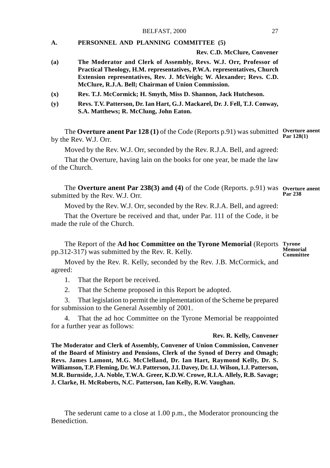#### **A. PERSONNEL AND PLANNING COMMITTEE (5)**

**Rev. C.D. McClure, Convener**

- **(a) The Moderator and Clerk of Assembly, Revs. W.J. Orr, Professor of Practical Theology, H.M. representatives, P.W.A. representatives, Church Extension representatives, Rev. J. McVeigh; W. Alexander; Revs. C.D. McClure, R.J.A. Bell; Chairman of Union Commission.**
- **(x) Rev. T.J. McCormick; H. Smyth, Miss D. Shannon, Jack Hutcheson.**
- **(y) Revs. T.V. Patterson, Dr. Ian Hart, G.J. Mackarel, Dr. J. Fell, T.J. Conway, S.A. Matthews; R. McClung, John Eaton.**

The **Overture anent Par 128 (1)** of the Code (Reports p.91) was submitted **Overture anent** by the Rev. W.J. Orr. **Par 128(1)**

Moved by the Rev. W.J. Orr, seconded by the Rev. R.J.A. Bell, and agreed:

That the Overture, having lain on the books for one year, be made the law of the Church.

The **Overture anent Par 238(3) and (4)** of the Code (Reports. p.91) was **Overture anent** submitted by the Rev. W.J. Orr. **Par 238**

Moved by the Rev. W.J. Orr, seconded by the Rev. R.J.A. Bell, and agreed:

That the Overture be received and that, under Par. 111 of the Code, it be made the rule of the Church.

The Report of the **Ad hoc Committee on the Tyrone Memorial** (Reports **Tyrone** pp.312-317) was submitted by the Rev. R. Kelly.

**Memorial Committee**

Moved by the Rev. R. Kelly, seconded by the Rev. J.B. McCormick, and agreed:

1. That the Report be received.

2. That the Scheme proposed in this Report be adopted.

3. That legislation to permit the implementation of the Scheme be prepared for submission to the General Assembly of 2001.

4. That the ad hoc Committee on the Tyrone Memorial be reappointed for a further year as follows:

#### **Rev. R. Kelly, Convener**

**The Moderator and Clerk of Assembly, Convener of Union Commission, Convener of the Board of Ministry and Pensions, Clerk of the Synod of Derry and Omagh; Revs. James Lamont, M.G. McClelland, Dr. Ian Hart, Raymond Kelly, Dr. S. Williamson, T.P. Fleming, Dr. W.J. Patterson, J.I. Davey, Dr. I.J. Wilson, I.J. Patterson, M.R. Burnside, J.A. Noble, T.W.A. Greer, K.D.W. Crowe, R.I.A. Allely, R.B. Savage; J. Clarke, H. McRoberts, N.C. Patterson, Ian Kelly, R.W. Vaughan.**

The sederunt came to a close at 1.00 p.m., the Moderator pronouncing the Benediction.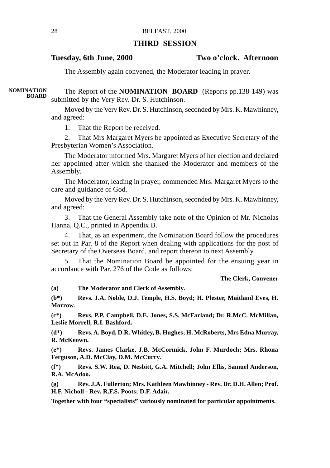## **THIRD SESSION**

## **Tuesday, 6th June, 2000 Two o'clock. Afternoon**

The Assembly again convened, the Moderator leading in prayer.

The Report of the **NOMINATION BOARD** (Reports pp.138-149) was submitted by the Very Rev. Dr. S. Hutchinson. **NOMINATION BOARD**

> Moved by the Very Rev. Dr. S. Hutchinson, seconded by Mrs. K. Mawhinney, and agreed:

1. That the Report be received.

2. That Mrs Margaret Myers be appointed as Executive Secretary of the Presbyterian Women's Association.

The Moderator informed Mrs. Margaret Myers of her election and declared her appointed after which she thanked the Moderator and members of the Assembly.

The Moderator, leading in prayer, commended Mrs. Margaret Myers to the care and guidance of God.

Moved by the Very Rev. Dr. S. Hutchinson, seconded by Mrs. K. Mawhinney, and agreed:

3. That the General Assembly take note of the Opinion of Mr. Nicholas Hanna, Q.C., printed in Appendix B.

4. That, as an experiment, the Nomination Board follow the procedures set out in Par. 8 of the Report when dealing with applications for the post of Secretary of the Overseas Board, and report thereon to next Assembly.

5. That the Nomination Board be appointed for the ensuing year in accordance with Par. 276 of the Code as follows:

**The Clerk, Convener**

**(a) The Moderator and Clerk of Assembly.**

**(b\*) Revs. J.A. Noble, D.J. Temple, H.S. Boyd; H. Plester, Maitland Eves, H. Morrow.**

**(c\*) Revs. P.P. Campbell, D.E. Jones, S.S. McFarland; Dr. R.McC. McMillan, Leslie Morrell, R.I. Bashford.**

**(d\*) Revs. A. Boyd, D.R. Whitley, B. Hughes; H. McRoberts, Mrs Edna Murray, R. McKeown.**

**(e\*) Revs. James Clarke, J.B. McCormick, John F. Murdoch; Mrs. Rhona Ferguson, A.D. McClay, D.M. McCurry.**

**(f\*) Revs. S.W. Rea, D. Nesbitt, G.A. Mitchell; John Ellis, Samuel Anderson, R.A. McAdoo.**

**(g) Rev. J.A. Fullerton; Mrs. Kathleen Mawhinney - Rev. Dr. D.H. Allen; Prof. H.F. Nicholl - Rev. R.F.S. Poots; D.F. Adair.**

**Together with four "specialists" variously nominated for particular appointments.**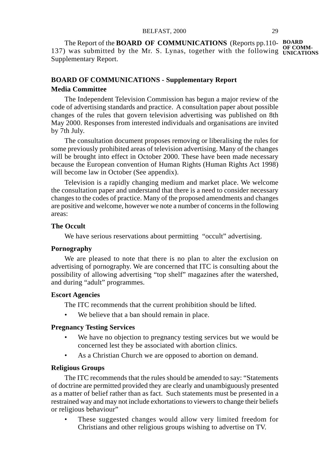The Report of the **BOARD OF COMMUNICATIONS** (Reports pp.110- **BOARD** 137) was submitted by the Mr. S. Lynas, together with the following UNICATIONS Supplementary Report.

## **BOARD OF COMMUNICATIONS - Supplementary Report Media Committee**

The Independent Television Commission has begun a major review of the code of advertising standards and practice. A consultation paper about possible changes of the rules that govern television advertising was published on 8th May 2000. Responses from interested individuals and organisations are invited by 7th July.

The consultation document proposes removing or liberalising the rules for some previously prohibited areas of television advertising. Many of the changes will be brought into effect in October 2000. These have been made necessary because the European convention of Human Rights (Human Rights Act 1998) will become law in October (See appendix).

Television is a rapidly changing medium and market place. We welcome the consultation paper and understand that there is a need to consider necessary changes to the codes of practice. Many of the proposed amendments and changes are positive and welcome, however we note a number of concerns in the following areas:

#### **The Occult**

We have serious reservations about permitting "occult" advertising.

### **Pornography**

We are pleased to note that there is no plan to alter the exclusion on advertising of pornography. We are concerned that ITC is consulting about the possibility of allowing advertising "top shelf" magazines after the watershed, and during "adult" programmes.

### **Escort Agencies**

The ITC recommends that the current prohibition should be lifted.

We believe that a ban should remain in place.

## **Pregnancy Testing Services**

- We have no objection to pregnancy testing services but we would be concerned lest they be associated with abortion clinics.
- As a Christian Church we are opposed to abortion on demand.

### **Religious Groups**

The ITC recommends that the rules should be amended to say: "Statements of doctrine are permitted provided they are clearly and unambiguously presented as a matter of belief rather than as fact. Such statements must be presented in a restrained way and may not include exhortations to viewers to change their beliefs or religious behaviour"

These suggested changes would allow very limited freedom for Christians and other religious groups wishing to advertise on TV.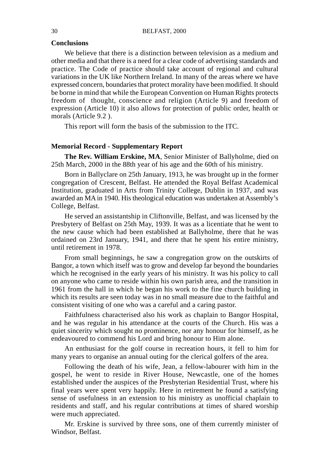#### **Conclusions**

We believe that there is a distinction between television as a medium and other media and that there is a need for a clear code of advertising standards and practice. The Code of practice should take account of regional and cultural variations in the UK like Northern Ireland. In many of the areas where we have expressed concern, boundaries that protect morality have been modified. It should be borne in mind that while the European Convention on Human Rights protects freedom of thought, conscience and religion (Article 9) and freedom of expression (Article 10) it also allows for protection of public order, health or morals (Article 9.2 ).

This report will form the basis of the submission to the ITC.

#### **Memorial Record - Supplementary Report**

**The Rev. William Erskine, MA**, Senior Minister of Ballyholme, died on 25th March, 2000 in the 88th year of his age and the 60th of his ministry.

Born in Ballyclare on 25th January, 1913, he was brought up in the former congregation of Crescent, Belfast. He attended the Royal Belfast Academical Institution, graduated in Arts from Trinity College, Dublin in 1937, and was awarded an MA in 1940. His theological education was undertaken at Assembly's College, Belfast.

He served an assistantship in Cliftonville, Belfast, and was licensed by the Presbytery of Belfast on 25th May, 1939. It was as a licentiate that he went to the new cause which had been established at Ballyholme, there that he was ordained on 23rd January, 1941, and there that he spent his entire ministry, until retirement in 1978.

From small beginnings, he saw a congregation grow on the outskirts of Bangor, a town which itself was to grow and develop far beyond the boundaries which he recognised in the early years of his ministry. It was his policy to call on anyone who came to reside within his own parish area, and the transition in 1961 from the hall in which he began his work to the fine church building in which its results are seen today was in no small measure due to the faithful and consistent visiting of one who was a careful and a caring pastor.

Faithfulness characterised also his work as chaplain to Bangor Hospital, and he was regular in his attendance at the courts of the Church. His was a quiet sincerity which sought no prominence, nor any honour for himself, as he endeavoured to commend his Lord and bring honour to Him alone.

An enthusiast for the golf course in recreation hours, it fell to him for many years to organise an annual outing for the clerical golfers of the area.

Following the death of his wife, Jean, a fellow-labourer with him in the gospel, he went to reside in River House, Newcastle, one of the homes established under the auspices of the Presbyterian Residential Trust, where his final years were spent very happily. Here in retirement he found a satisfying sense of usefulness in an extension to his ministry as unofficial chaplain to residents and staff, and his regular contributions at times of shared worship were much appreciated.

Mr. Erskine is survived by three sons, one of them currently minister of Windsor, Belfast.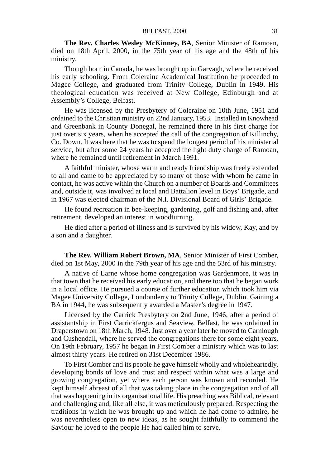**The Rev. Charles Wesley McKinney, BA**, Senior Minister of Ramoan, died on 18th April, 2000, in the 75th year of his age and the 48th of his ministry.

Though born in Canada, he was brought up in Garvagh, where he received his early schooling. From Coleraine Academical Institution he proceeded to Magee College, and graduated from Trinity College, Dublin in 1949. His theological education was received at New College, Edinburgh and at Assembly's College, Belfast.

He was licensed by the Presbytery of Coleraine on 10th June, 1951 and ordained to the Christian ministry on 22nd January, 1953. Installed in Knowhead and Greenbank in County Donegal, he remained there in his first charge for just over six years, when he accepted the call of the congregation of Killinchy, Co. Down. It was here that he was to spend the longest period of his ministerial service, but after some 24 years he accepted the light duty charge of Ramoan, where he remained until retirement in March 1991.

A faithful minister, whose warm and ready friendship was freely extended to all and came to be appreciated by so many of those with whom he came in contact, he was active within the Church on a number of Boards and Committees and, outside it, was involved at local and Battalion level in Boys' Brigade, and in 1967 was elected chairman of the N.I. Divisional Board of Girls' Brigade.

He found recreation in bee-keeping, gardening, golf and fishing and, after retirement, developed an interest in woodturning.

He died after a period of illness and is survived by his widow, Kay, and by a son and a daughter.

**The Rev. William Robert Brown, MA**, Senior Minister of First Comber, died on 1st May, 2000 in the 79th year of his age and the 53rd of his ministry.

A native of Larne whose home congregation was Gardenmore, it was in that town that he received his early education, and there too that he began work in a local office. He pursued a course of further education which took him via Magee University College, Londonderry to Trinity College, Dublin. Gaining a BA in 1944, he was subsequently awarded a Master's degree in 1947.

Licensed by the Carrick Presbytery on 2nd June, 1946, after a period of assistantship in First Carrickfergus and Seaview, Belfast, he was ordained in Draperstown on 18th March, 1948. Just over a year later he moved to Carnlough and Cushendall, where he served the congregations there for some eight years. On 19th February, 1957 he began in First Comber a ministry which was to last almost thirty years. He retired on 31st December 1986.

To First Comber and its people he gave himself wholly and wholeheartedly, developing bonds of love and trust and respect within what was a large and growing congregation, yet where each person was known and recorded. He kept himself abreast of all that was taking place in the congregation and of all that was happening in its organisational life. His preaching was Biblical, relevant and challenging and, like all else, it was meticulously prepared. Respecting the traditions in which he was brought up and which he had come to admire, he was nevertheless open to new ideas, as he sought faithfully to commend the Saviour he loved to the people He had called him to serve.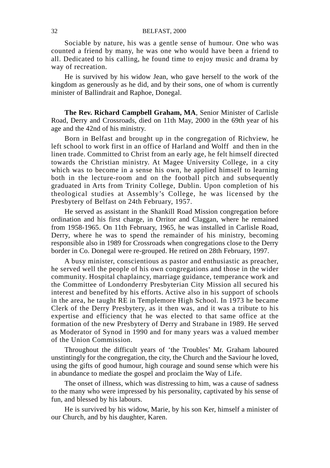Sociable by nature, his was a gentle sense of humour. One who was counted a friend by many, he was one who would have been a friend to all. Dedicated to his calling, he found time to enjoy music and drama by way of recreation.

He is survived by his widow Jean, who gave herself to the work of the kingdom as generously as he did, and by their sons, one of whom is currently minister of Ballindrait and Raphoe, Donegal.

**The Rev. Richard Campbell Graham, MA**, Senior Minister of Carlisle Road, Derry and Crossroads, died on 11th May, 2000 in the 69th year of his age and the 42nd of his ministry.

Born in Belfast and brought up in the congregation of Richview, he left school to work first in an office of Harland and Wolff and then in the linen trade. Committed to Christ from an early age, he felt himself directed towards the Christian ministry. At Magee University College, in a city which was to become in a sense his own, he applied himself to learning both in the lecture-room and on the football pitch and subsequently graduated in Arts from Trinity College, Dublin. Upon completion of his theological studies at Assembly's College, he was licensed by the Presbytery of Belfast on 24th February, 1957.

He served as assistant in the Shankill Road Mission congregation before ordination and his first charge, in Orritor and Claggan, where he remained from 1958-1965. On 11th February, 1965, he was installed in Carlisle Road, Derry, where he was to spend the remainder of his ministry, becoming responsible also in 1989 for Crossroads when congregations close to the Derry border in Co. Donegal were re-grouped. He retired on 28th February, 1997.

A busy minister, conscientious as pastor and enthusiastic as preacher, he served well the people of his own congregations and those in the wider community. Hospital chaplaincy, marriage guidance, temperance work and the Committee of Londonderry Presbyterian City Mission all secured his interest and benefited by his efforts. Active also in his support of schools in the area, he taught RE in Templemore High School. In 1973 he became Clerk of the Derry Presbytery, as it then was, and it was a tribute to his expertise and efficiency that he was elected to that same office at the formation of the new Presbytery of Derry and Strabane in 1989. He served as Moderator of Synod in 1990 and for many years was a valued member of the Union Commission.

Throughout the difficult years of 'the Troubles' Mr. Graham laboured unstintingly for the congregation, the city, the Church and the Saviour he loved, using the gifts of good humour, high courage and sound sense which were his in abundance to mediate the gospel and proclaim the Way of Life.

The onset of illness, which was distressing to him, was a cause of sadness to the many who were impressed by his personality, captivated by his sense of fun, and blessed by his labours.

He is survived by his widow, Marie, by his son Ker, himself a minister of our Church, and by his daughter, Karen.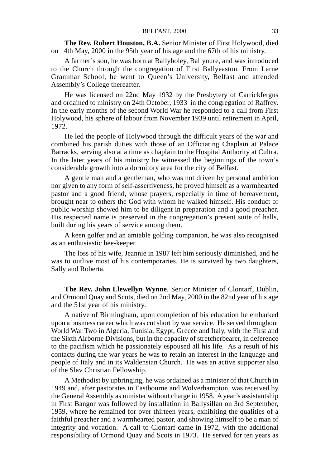**The Rev. Robert Houston, B.A.** Senior Minister of First Holywood, died on 14th May, 2000 in the 95th year of his age and the 67th of his ministry.

A farmer's son, he was born at Ballyboley, Ballynure, and was introduced to the Church through the congregation of First Ballyeaston. From Larne Grammar School, he went to Queen's University, Belfast and attended Assembly's College thereafter.

He was licensed on 22nd May 1932 by the Presbytery of Carrickfergus and ordained to ministry on 24th October, 1933 in the congregation of Raffrey. In the early months of the second World War he responded to a call from First Holywood, his sphere of labour from November 1939 until retirement in April, 1972.

He led the people of Holywood through the difficult years of the war and combined his parish duties with those of an Officiating Chaplain at Palace Barracks, serving also at a time as chaplain to the Hospital Authority at Cultra. In the later years of his ministry he witnessed the beginnings of the town's considerable growth into a dormitory area for the city of Belfast.

A gentle man and a gentleman, who was not driven by personal ambition nor given to any form of self-assertiveness, he proved himself as a warmhearted pastor and a good friend, whose prayers, especially in time of bereavement, brought near to others the God with whom he walked himself. His conduct of public worship showed him to be diligent in preparation and a good preacher. His respected name is preserved in the congregation's present suite of halls, built during his years of service among them.

A keen golfer and an amiable golfing companion, he was also recognised as an enthusiastic bee-keeper.

The loss of his wife, Jeannie in 1987 left him seriously diminished, and he was to outlive most of his contemporaries. He is survived by two daughters, Sally and Roberta.

**The Rev. John Llewellyn Wynne**, Senior Minister of Clontarf, Dublin, and Ormond Quay and Scots, died on 2nd May, 2000 in the 82nd year of his age and the 51st year of his ministry.

A native of Birmingham, upon completion of his education he embarked upon a business career which was cut short by war service. He served throughout World War Two in Algeria, Tunisia, Egypt, Greece and Italy, with the First and the Sixth Airborne Divisions, but in the capacity of stretcherbearer, in deference to the pacifism which he passionately espoused all his life. As a result of his contacts during the war years he was to retain an interest in the language and people of Italy and in its Waldensian Church. He was an active supporter also of the Slav Christian Fellowship.

A Methodist by upbringing, he was ordained as a minister of that Church in 1949 and, after pastorates in Eastbourne and Wolverhampton, was received by the General Assembly as minister without charge in 1958. A year's assistantship in First Bangor was followed by installation in Ballysillan on 3rd September, 1959, where he remained for over thirteen years, exhibiting the qualities of a faithful preacher and a warmhearted pastor, and showing himself to be a man of integrity and vocation. A call to Clontarf came in 1972, with the additional responsibility of Ormond Quay and Scots in 1973. He served for ten years as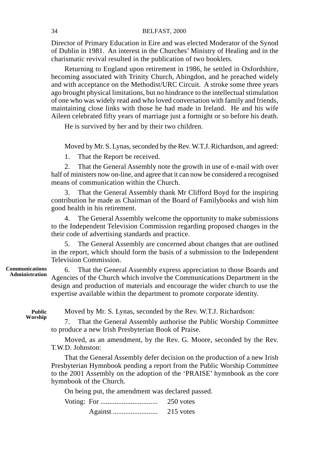Director of Primary Education in Eire and was elected Moderator of the Synod of Dublin in 1981. An interest in the Churches' Ministry of Healing and in the charismatic revival resulted in the publication of two booklets.

Returning to England upon retirement in 1986, he settled in Oxfordshire, becoming associated with Trinity Church, Abingdon, and he preached widely and with acceptance on the Methodist/URC Circuit. A stroke some three years ago brought physical limitations, but no hindrance to the intellectual stimulation of one who was widely read and who loved conversation with family and friends, maintaining close links with those he had made in Ireland. He and his wife Aileen celebrated fifty years of marriage just a fortnight or so before his death.

He is survived by her and by their two children.

Moved by Mr. S. Lynas, seconded by the Rev. W.T.J. Richardson, and agreed:

1. That the Report be received.

2. That the General Assembly note the growth in use of e-mail with over half of ministers now on-line, and agree that it can now be considered a recognised means of communication within the Church.

3. That the General Assembly thank Mr Clifford Boyd for the inspiring contribution he made as Chairman of the Board of Familybooks and wish him good health in his retirement.

4. The General Assembly welcome the opportunity to make submissions to the Independent Television Commission regarding proposed changes in the their code of advertising standards and practice.

5. The General Assembly are concerned about changes that are outlined in the report, which should form the basis of a submission to the Independent Television Commission.

**Communications Administration**

6. That the General Assembly express appreciation to those Boards and Agencies of the Church which involve the Communications Department in the design and production of materials and encourage the wider church to use the expertise available within the department to promote corporate identity.

**Public Worship** Moved by Mr. S. Lynas, seconded by the Rev. W.T.J. Richardson:

7. That the General Assembly authorise the Public Worship Committee to produce a new Irish Presbyterian Book of Praise.

Moved, as an amendment, by the Rev. G. Moore, seconded by the Rev. T.W.D. Johnston:

That the General Assembly defer decision on the production of a new Irish Presbyterian Hymnbook pending a report from the Public Worship Committee to the 2001 Assembly on the adoption of the 'PRAISE' hymnbook as the core hymnbook of the Church.

On being put, the amendment was declared passed.

|  | 250 votes |
|--|-----------|
|  | 215 votes |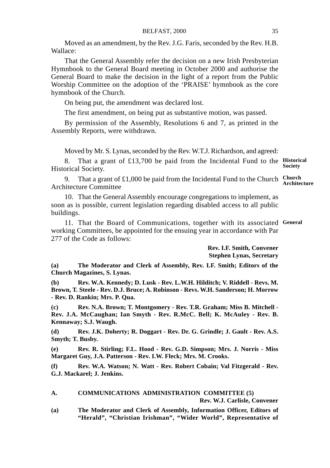Moved as an amendment, by the Rev. J.G. Faris, seconded by the Rev. H.B. Wallace:

That the General Assembly refer the decision on a new Irish Presbyterian Hymnbook to the General Board meeting in October 2000 and authorise the General Board to make the decision in the light of a report from the Public Worship Committee on the adoption of the 'PRAISE' hymnbook as the core hymnbook of the Church.

On being put, the amendment was declared lost.

The first amendment, on being put as substantive motion, was passed.

By permission of the Assembly, Resolutions 6 and 7, as printed in the Assembly Reports, were withdrawn.

Moved by Mr. S. Lynas, seconded by the Rev. W.T.J. Richardson, and agreed:

8. That a grant of £13,700 be paid from the Incidental Fund to the **Historical** Historical Society. **Society**

9. That a grant of £1,000 be paid from the Incidental Fund to the Church **Church Architecture** Architecture Committee

10. That the General Assembly encourage congregations to implement, as soon as is possible, current legislation regarding disabled access to all public buildings.

11. That the Board of Communications, together with its associated **General**working Committees, be appointed for the ensuing year in accordance with Par 277 of the Code as follows:

> **Rev. I.F. Smith, Convener Stephen Lynas, Secretary**

**(a) The Moderator and Clerk of Assembly, Rev. I.F. Smith; Editors of the Church Magazines, S. Lynas.**

**(b) Rev. W.A. Kennedy; D. Lusk - Rev. L.W.H. Hilditch; V. Riddell - Revs. M. Brown, T. Steele - Rev. D.J. Bruce; A. Robinson - Revs. W.H. Sanderson; H. Morrow - Rev. D. Rankin; Mrs. P. Qua.**

**(c) Rev. N.A. Brown; T. Montgomery - Rev. T.R. Graham; Miss B. Mitchell - Rev. J.A. McCaughan; Ian Smyth - Rev. R.McC. Bell; K. McAuley - Rev. B. Kennaway; S.J. Waugh.**

**(d) Rev. J.K. Doherty; R. Doggart - Rev. Dr. G. Grindle; J. Gault - Rev. A.S. Smyth; T. Busby.**

**(e) Rev. R. Stirling; F.L. Hood - Rev. G.D. Simpson; Mrs. J. Norris - Miss Margaret Guy, J.A. Patterson - Rev. I.W. Fleck; Mrs. M. Crooks.**

**(f) Rev. W.A. Watson; N. Watt - Rev. Robert Cobain; Val Fitzgerald - Rev. G.J. Mackarel; J. Jenkins.**

#### **A. COMMUNICATIONS ADMINISTRATION COMMITTEE (5)**

**Rev. W.J. Carlisle, Convener**

**(a) The Moderator and Clerk of Assembly, Information Officer, Editors of "Herald", "Christian Irishman", "Wider World", Representative of**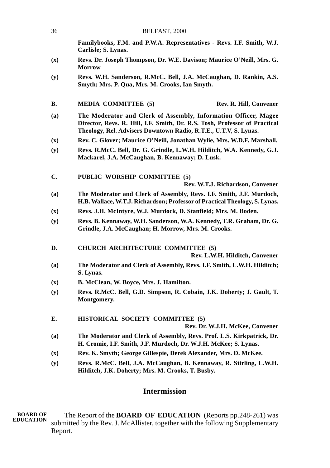| 36             | BELFAST, 2000                                                                                                                                                                                                     |
|----------------|-------------------------------------------------------------------------------------------------------------------------------------------------------------------------------------------------------------------|
|                | Familybooks, F.M. and P.W.A. Representatives - Revs. I.F. Smith, W.J.<br>Carlisle; S. Lynas.                                                                                                                      |
| $(\mathbf{x})$ | Revs. Dr. Joseph Thompson, Dr. W.E. Davison; Maurice O'Neill, Mrs. G.<br>Morrow                                                                                                                                   |
| (y)            | Revs. W.H. Sanderson, R.McC. Bell, J.A. McCaughan, D. Rankin, A.S.<br>Smyth; Mrs. P. Qua, Mrs. M. Crooks, Ian Smyth.                                                                                              |
| В.             | <b>MEDIA COMMITTEE (5)</b><br>Rev. R. Hill, Convener                                                                                                                                                              |
| (a)            | The Moderator and Clerk of Assembly, Information Officer, Magee<br>Director, Revs. R. Hill, I.F. Smith, Dr. R.S. Tosh, Professor of Practical<br>Theology, Rel. Advisers Downtown Radio, R.T.E., U.T.V, S. Lynas. |
| (x)            | Rev. C. Glover; Maurice O'Neill, Jonathan Wylie, Mrs. W.D.F. Marshall.                                                                                                                                            |
| (y)            | Revs. R.McC. Bell, Dr. G. Grindle, L.W.H. Hilditch, W.A. Kennedy, G.J.<br>Mackarel, J.A. McCaughan, B. Kennaway; D. Lusk.                                                                                         |
| C.             | PUBLIC WORSHIP COMMITTEE (5)<br>Rev. W.T.J. Richardson, Convener                                                                                                                                                  |
| (a)            | The Moderator and Clerk of Assembly, Revs. I.F. Smith, J.F. Murdoch,<br>H.B. Wallace, W.T.J. Richardson; Professor of Practical Theology, S. Lynas.                                                               |
| $(\mathbf{x})$ | Revs. J.H. McIntyre, W.J. Murdock, D. Stanfield; Mrs. M. Boden.                                                                                                                                                   |
| (y)            | Revs. B. Kennaway, W.H. Sanderson, W.A. Kennedy, T.R. Graham, Dr. G.<br>Grindle, J.A. McCaughan; H. Morrow, Mrs. M. Crooks.                                                                                       |
| D.             | <b>CHURCH ARCHITECTURE COMMITTEE (5)</b><br>Rev. L.W.H. Hilditch, Convener                                                                                                                                        |
| (a)            | The Moderator and Clerk of Assembly, Revs. I.F. Smith, L.W.H. Hilditch;<br>S. Lynas.                                                                                                                              |
| (x)            | B. McClean, W. Boyce, Mrs. J. Hamilton.                                                                                                                                                                           |
| (y)            | Revs. R.McC. Bell, G.D. Simpson, R. Cobain, J.K. Doherty; J. Gault, T.<br>Montgomery.                                                                                                                             |
| Е.             | <b>HISTORICAL SOCIETY COMMITTEE (5)</b><br>Rev. Dr. W.J.H. McKee, Convener                                                                                                                                        |
| (a)            | The Moderator and Clerk of Assembly, Revs. Prof. L.S. Kirkpatrick, Dr.<br>H. Cromie, I.F. Smith, J.F. Murdoch, Dr. W.J.H. McKee; S. Lynas.                                                                        |
| (x)            | Rev. K. Smyth; George Gillespie, Derek Alexander, Mrs. D. McKee.                                                                                                                                                  |
| (y)            | Revs. R.McC. Bell, J.A. McCaughan, B. Kennaway, R. Stirling, L.W.H.<br>Hilditch, J.K. Doherty; Mrs. M. Crooks, T. Busby.                                                                                          |
|                | Intermission                                                                                                                                                                                                      |

#### The Report of the **BOARD OF EDUCATION** (Reports pp.248-261) was submitted by the Rev. J. McAllister, together with the following Supplementary Report. **BOARD OF EDUCATION**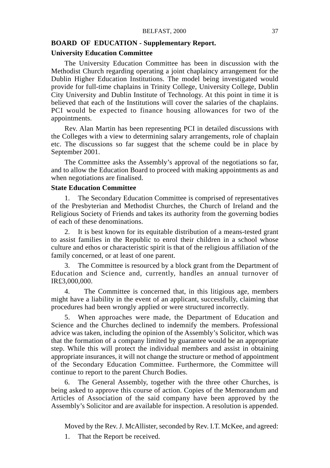#### **BOARD OF EDUCATION - Supplementary Report.**

#### **University Education Committee**

The University Education Committee has been in discussion with the Methodist Church regarding operating a joint chaplaincy arrangement for the Dublin Higher Education Institutions. The model being investigated would provide for full-time chaplains in Trinity College, University College, Dublin City University and Dublin Institute of Technology. At this point in time it is believed that each of the Institutions will cover the salaries of the chaplains. PCI would be expected to finance housing allowances for two of the appointments.

Rev. Alan Martin has been representing PCI in detailed discussions with the Colleges with a view to determining salary arrangements, role of chaplain etc. The discussions so far suggest that the scheme could be in place by September 2001.

The Committee asks the Assembly's approval of the negotiations so far, and to allow the Education Board to proceed with making appointments as and when negotiations are finalised.

#### **State Education Committee**

1. The Secondary Education Committee is comprised of representatives of the Presbyterian and Methodist Churches, the Church of Ireland and the Religious Society of Friends and takes its authority from the governing bodies of each of these denominations.

2. It is best known for its equitable distribution of a means-tested grant to assist families in the Republic to enrol their children in a school whose culture and ethos or characteristic spirit is that of the religious affiliation of the family concerned, or at least of one parent.

3. The Committee is resourced by a block grant from the Department of Education and Science and, currently, handles an annual turnover of IR£3,000,000.

4. The Committee is concerned that, in this litigious age, members might have a liability in the event of an applicant, successfully, claiming that procedures had been wrongly applied or were structured incorrectly.

5. When approaches were made, the Department of Education and Science and the Churches declined to indemnify the members. Professional advice was taken, including the opinion of the Assembly's Solicitor, which was that the formation of a company limited by guarantee would be an appropriate step. While this will protect the individual members and assist in obtaining appropriate insurances, it will not change the structure or method of appointment of the Secondary Education Committee. Furthermore, the Committee will continue to report to the parent Church Bodies.

6. The General Assembly, together with the three other Churches, is being asked to approve this course of action. Copies of the Memorandum and Articles of Association of the said company have been approved by the Assembly's Solicitor and are available for inspection. A resolution is appended.

Moved by the Rev. J. McAllister, seconded by Rev. I.T. McKee, and agreed:

1. That the Report be received.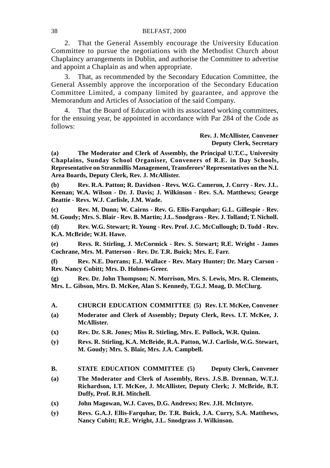2. That the General Assembly encourage the University Education Committee to pursue the negotiations with the Methodist Church about Chaplaincy arrangements in Dublin, and authorise the Committee to advertise and appoint a Chaplain as and when appropriate.

3. That, as recommended by the Secondary Education Committee, the General Assembly approve the incorporation of the Secondary Education Committee Limited, a company limited by guarantee, and approve the Memorandum and Articles of Association of the said Company.

4. That the Board of Education with its associated working committees, for the ensuing year, be appointed in accordance with Par 284 of the Code as follows:

## **Rev. J. McAllister, Convener Deputy Clerk, Secretary**

**(a) The Moderator and Clerk of Assembly, the Principal U.T.C., University Chaplains, Sunday School Organiser, Conveners of R.E. in Day Schools, Representative on Stranmillis Management, Transferors' Representatives on the N.I. Area Boards, Deputy Clerk, Rev. J. McAllister.**

**(b) Rev. R.A. Patton; R. Davidson - Revs. W.G. Cameron, J. Curry - Rev. J.L. Keenan; W.A. Wilson - Dr. J. Davis; J. Wilkinson - Rev. S.A. Matthews; George Beattie - Revs. W.J. Carlisle, J.M. Wade.**

**(c) Rev. M. Dunn; W. Cairns - Rev. G. Ellis-Farquhar; G.L. Gillespie - Rev. M. Goudy; Mrs. S. Blair - Rev. B. Martin; J.L. Snodgrass - Rev. J. Tolland; T. Nicholl.**

**(d) Rev. W.G. Stewart; R. Young - Rev. Prof. J.C. McCullough; D. Todd - Rev. K.A. McBride; W.H. Hawe.**

**(e) Revs. R. Stirling, J. McCormick - Rev. S. Stewart; R.E. Wright - James Cochrane, Mrs. M. Patterson - Rev. Dr. T.R. Buick; Mrs. E. Farr.**

**(f) Rev. N.E. Dorrans; E.J. Wallace - Rev. Mary Hunter; Dr. Mary Carson - Rev. Nancy Cubitt; Mrs. D. Holmes-Greer.**

**(g) Rev. Dr. John Thompson; N. Morrison, Mrs. S. Lewis, Mrs. R. Clements, Mrs. L. Gibson, Mrs. D. McKee, Alan S. Kennedy, T.G.J. Moag, D. McClurg.**

- **A. CHURCH EDUCATION COMMITTEE (5) Rev. I.T. McKee, Convener**
- **(a) Moderator and Clerk of Assembly; Deputy Clerk, Revs. I.T. McKee, J. McAllister.**
- **(x) Rev. Dr. S.R. Jones; Miss R. Stirling, Mrs. E. Pollock, W.R. Quinn.**
- **(y) Revs. R. Stirling, K.A. McBride, R.A. Patton, W.J. Carlisle, W.G. Stewart, M. Goudy; Mrs. S. Blair, Mrs. J.A. Campbell.**
- **B.** STATE EDUCATION COMMITTEE (5) Deputy Clerk, Convener
- **(a) The Moderator and Clerk of Assembly, Revs. J.S.B. Drennan, W.T.J. Richardson, I.T. McKee, J. McAllister, Deputy Clerk; J. McBride, B.T. Duffy, Prof. R.H. Mitchell.**
- **(x) John Magowan, W.J. Caves, D.G. Andrews; Rev. J.H. McIntyre.**
- **(y) Revs. G.A.J. Ellis-Farquhar, Dr. T.R. Buick, J.A. Curry, S.A. Matthews, Nancy Cubitt; R.E. Wright, J.L. Snodgrass J. Wilkinson.**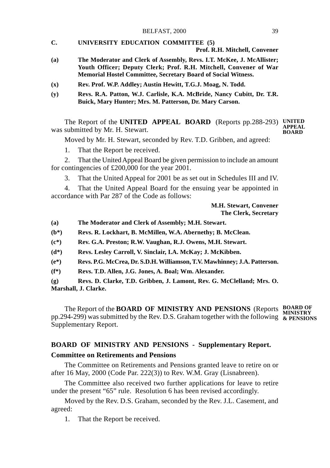**C. UNIVERSITY EDUCATION COMMITTEE (5)**

#### **Prof. R.H. Mitchell, Convener**

- **(a) The Moderator and Clerk of Assembly, Revs. I.T. McKee, J. McAllister; Youth Officer; Deputy Clerk; Prof. R.H. Mitchell, Convener of War Memorial Hostel Committee, Secretary Board of Social Witness.**
- **(x) Rev. Prof. W.P. Addley; Austin Hewitt, T.G.J. Moag, N. Todd.**
- **(y) Revs. R.A. Patton, W.J. Carlisle, K.A. McBride, Nancy Cubitt, Dr. T.R. Buick, Mary Hunter; Mrs. M. Patterson, Dr. Mary Carson.**

The Report of the **UNITED APPEAL BOARD** (Reports pp.288-293) **UNITED** was submitted by Mr. H. Stewart. **APPEAL BOARD**

Moved by Mr. H. Stewart, seconded by Rev. T.D. Gribben, and agreed:

1. That the Report be received.

2. That the United Appeal Board be given permission to include an amount for contingencies of £200,000 for the year 2001.

3. That the United Appeal for 2001 be as set out in Schedules III and IV.

4. That the United Appeal Board for the ensuing year be appointed in accordance with Par 287 of the Code as follows:

#### **M.H. Stewart, Convener The Clerk, Secretary**

- **(a) The Moderator and Clerk of Assembly; M.H. Stewart.**
- **(b\*) Revs. R. Lockhart, B. McMillen, W.A. Abernethy; B. McClean.**
- **(c\*) Rev. G.A. Preston; R.W. Vaughan, R.J. Owens, M.H. Stewart.**
- **(d\*) Revs. Lesley Carroll, V. Sinclair, I.A. McKay; J. McKibben.**
- **(e\*) Revs. P.G. McCrea, Dr. S.D.H. Williamson, T.V. Mawhinney; J.A. Patterson.**
- **(f\*) Revs. T.D. Allen, J.G. Jones, A. Boal; Wm. Alexander.**

**(g) Revs. D. Clarke, T.D. Gribben, J. Lamont, Rev. G. McClelland; Mrs. O. Marshall, J. Clarke.**

The Report of the **BOARD OF MINISTRY AND PENSIONS** (Reports **BOARD OF** pp.294-299) was submitted by the Rev. D.S. Graham together with the following  $\&$  **PENSIONS** Supplementary Report. **MINISTRY**

# **BOARD OF MINISTRY AND PENSIONS - Supplementary Report. Committee on Retirements and Pensions**

The Committee on Retirements and Pensions granted leave to retire on or after 16 May, 2000 (Code Par. 222(3)) to Rev. W.M. Gray (Lisnabreen).

The Committee also received two further applications for leave to retire under the present "65" rule. Resolution 6 has been revised accordingly.

Moved by the Rev. D.S. Graham, seconded by the Rev. J.L. Casement, and agreed:

1. That the Report be received.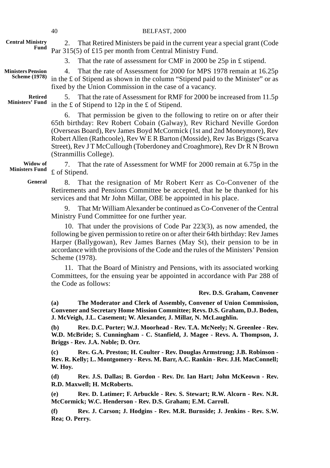|                                                  | 40<br>BELFAST, 2000                                                                                                                                                                                                                                                                                                                                                                                                    |
|--------------------------------------------------|------------------------------------------------------------------------------------------------------------------------------------------------------------------------------------------------------------------------------------------------------------------------------------------------------------------------------------------------------------------------------------------------------------------------|
| <b>Central Ministry</b><br>Fund                  | 2.<br>That Retired Ministers be paid in the current year a special grant (Code<br>Par 315(5) of £15 per month from Central Ministry Fund.                                                                                                                                                                                                                                                                              |
|                                                  | 3.<br>That the rate of assessment for CMF in 2000 be 25p in £ stipend.                                                                                                                                                                                                                                                                                                                                                 |
| <b>Ministers Pension</b><br><b>Scheme</b> (1978) | 4.<br>That the rate of Assessment for 2000 for MPS 1978 remain at 16.25p<br>in the £ of Stipend as shown in the column "Stipend paid to the Minister" or as<br>fixed by the Union Commission in the case of a vacancy.                                                                                                                                                                                                 |
| <b>Retired</b><br><b>Ministers' Fund</b>         | That the rate of Assessment for RMF for 2000 be increased from 11.5p<br>5.<br>in the $\pounds$ of Stipend to 12p in the $\pounds$ of Stipend.                                                                                                                                                                                                                                                                          |
|                                                  | That permission be given to the following to retire on or after their<br>6.<br>65th birthday: Rev Robert Cobain (Galway), Rev Richard Neville Gordon<br>(Overseas Board), Rev James Boyd McCormick (1st and 2nd Moneymore), Rev<br>Robert Allen (Rathcoole), Rev W E R Barton (Mosside), Rev Jas Briggs (Scarva<br>Street), Rev J T McCullough (Toberdoney and Croaghmore), Rev Dr R N Brown<br>(Stranmillis College). |
| Widow of<br><b>Ministers Fund</b>                | That the rate of Assessment for WMF for 2000 remain at 6.75p in the<br>7.<br>£ of Stipend.                                                                                                                                                                                                                                                                                                                             |
| General                                          | 8.<br>That the resignation of Mr Robert Kerr as Co-Convener of the<br>Retirements and Pensions Committee be accepted, that he be thanked for his<br>services and that Mr John Millar, OBE be appointed in his place.                                                                                                                                                                                                   |
|                                                  | That Mr William Alexander be continued as Co-Convener of the Central<br>9.<br>Ministry Fund Committee for one further year.                                                                                                                                                                                                                                                                                            |
|                                                  | 10. That under the provisions of Code Par 223(3), as now amended, the<br>following be given permission to retire on or after their 64th birthday: Rev James<br>Harper (Ballygowan), Rev James Barnes (May St), their pension to be in<br>accordance with the provisions of the Code and the rules of the Ministers' Pension<br>Scheme (1978).                                                                          |
|                                                  | 11. That the Board of Ministry and Pensions, with its associated working<br>Committees, for the ensuing year be appointed in accordance with Par 288 of<br>the Code as follows:                                                                                                                                                                                                                                        |
|                                                  | Rev. D.S. Graham, Convener                                                                                                                                                                                                                                                                                                                                                                                             |
|                                                  | The Moderator and Clerk of Assembly, Convener of Union Commission,<br>(a)<br>Convener and Secretary Home Mission Committee; Revs. D.S. Graham, D.J. Boden,<br>J. McVeigh, J.L. Casement; W. Alexander, J. Millar, N. McLaughlin.                                                                                                                                                                                       |
|                                                  | Rev. D.C. Porter; W.J. Moorhead - Rev. T.A. McNeely; N. Greenlee - Rev.<br>(b)<br>W.D. McBride; S. Cunningham - C. Stanfield, J. Magee - Revs. A. Thompson, J.<br>Briggs - Rev. J.A. Noble; D. Orr.                                                                                                                                                                                                                    |
|                                                  | Rev. G.A. Preston; H. Coulter - Rev. Douglas Armstrong; J.B. Robinson -<br>(c)<br>Rev. R. Kelly; L. Montgomery - Revs. M. Barr, A.C. Rankin - Rev. J.H. MacConnell;<br>W. Hoy.                                                                                                                                                                                                                                         |
|                                                  | Rev. J.S. Dallas; B. Gordon - Rev. Dr. Ian Hart; John McKeown - Rev.<br>(d)<br>R.D. Maxwell; H. McRoberts.                                                                                                                                                                                                                                                                                                             |
|                                                  | Rev. D. Latimer; F. Arbuckle - Rev. S. Stewart; R.W. Alcorn - Rev. N.R.<br>(e)<br>McCormick; W.C. Henderson - Rev. D.S. Graham; E.M. Carroll.                                                                                                                                                                                                                                                                          |
|                                                  | (f)<br>Rev. J. Carson; J. Hodgins - Rev. M.R. Burnside; J. Jenkins - Rev. S.W.<br>Rea; O. Perry.                                                                                                                                                                                                                                                                                                                       |
|                                                  |                                                                                                                                                                                                                                                                                                                                                                                                                        |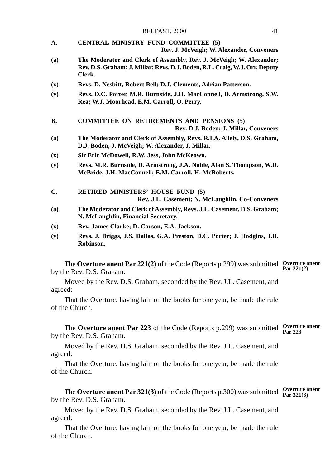- **A. CENTRAL MINISTRY FUND COMMITTEE (5) Rev. J. McVeigh; W. Alexander, Conveners**
- **(a) The Moderator and Clerk of Assembly, Rev. J. McVeigh; W. Alexander; Rev. D.S. Graham; J. Millar; Revs. D.J. Boden, R.L. Craig, W.J. Orr, Deputy Clerk.**
- **(x) Revs. D. Nesbitt, Robert Bell; D.J. Clements, Adrian Patterson.**
- **(y) Revs. D.C. Porter, M.R. Burnside, J.H. MacConnell, D. Armstrong, S.W. Rea; W.J. Moorhead, E.M. Carroll, O. Perry.**
- **B. COMMITTEE ON RETIREMENTS AND PENSIONS (5) Rev. D.J. Boden; J. Millar, Conveners**
- **(a) The Moderator and Clerk of Assembly, Revs. R.I.A. Allely, D.S. Graham, D.J. Boden, J. McVeigh; W. Alexander, J. Millar.**
- **(x) Sir Eric McDowell, R.W. Jess, John McKeown.**
- **(y) Revs. M.R. Burnside, D. Armstrong, J.A. Noble, Alan S. Thompson, W.D. McBride, J.H. MacConnell; E.M. Carroll, H. McRoberts.**
- **C. RETIRED MINISTERS' HOUSE FUND (5) Rev. J.L. Casement; N. McLaughlin, Co-Conveners**
- **(a) The Moderator and Clerk of Assembly, Revs. J.L. Casement, D.S. Graham; N. McLaughlin, Financial Secretary.**
- **(x) Rev. James Clarke; D. Carson, E.A. Jackson.**
- **(y) Revs. J. Briggs, J.S. Dallas, G.A. Preston, D.C. Porter; J. Hodgins, J.B. Robinson.**

The **Overture anent Par 221(2)** of the Code (Reports p.299) was submitted **Overture anent** by the Rev. D.S. Graham. **Par 221(2)**

Moved by the Rev. D.S. Graham, seconded by the Rev. J.L. Casement, and agreed:

That the Overture, having lain on the books for one year, be made the rule of the Church.

The **Overture anent Par 223** of the Code (Reports p.299) was submitted **Overture anent** by the Rev. D.S. Graham.

Moved by the Rev. D.S. Graham, seconded by the Rev. J.L. Casement, and agreed:

That the Overture, having lain on the books for one year, be made the rule of the Church.

The **Overture anent Par 321(3)** of the Code (Reports p.300) was submitted **Overture anent Par 321(3)**by the Rev. D.S. Graham.

Moved by the Rev. D.S. Graham, seconded by the Rev. J.L. Casement, and agreed:

That the Overture, having lain on the books for one year, be made the rule of the Church.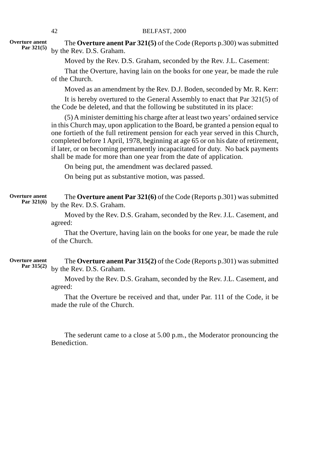#### 42 BELFAST, 2000

**Overture anent Par 321(5)**

The **Overture anent Par 321(5)** of the Code (Reports p.300) was submitted by the Rev. D.S. Graham.

Moved by the Rev. D.S. Graham, seconded by the Rev. J.L. Casement:

That the Overture, having lain on the books for one year, be made the rule of the Church.

Moved as an amendment by the Rev. D.J. Boden, seconded by Mr. R. Kerr:

It is hereby overtured to the General Assembly to enact that Par 321(5) of the Code be deleted, and that the following be substituted in its place:

(5) A minister demitting his charge after at least two years' ordained service in this Church may, upon application to the Board, be granted a pension equal to one fortieth of the full retirement pension for each year served in this Church, completed before 1 April, 1978, beginning at age 65 or on his date of retirement, if later, or on becoming permanently incapacitated for duty. No back payments shall be made for more than one year from the date of application.

On being put, the amendment was declared passed.

On being put as substantive motion, was passed.

The **Overture anent Par 321(6)** of the Code (Reports p.301) was submitted by the Rev. D.S. Graham. **Overture anent Par 321(6)**

> Moved by the Rev. D.S. Graham, seconded by the Rev. J.L. Casement, and agreed:

> That the Overture, having lain on the books for one year, be made the rule of the Church.

The **Overture anent Par 315(2)** of the Code (Reports p.301) was submitted by the Rev. D.S. Graham. **Overture anent Par 315(2)**

> Moved by the Rev. D.S. Graham, seconded by the Rev. J.L. Casement, and agreed:

> That the Overture be received and that, under Par. 111 of the Code, it be made the rule of the Church.

> The sederunt came to a close at 5.00 p.m., the Moderator pronouncing the Benediction.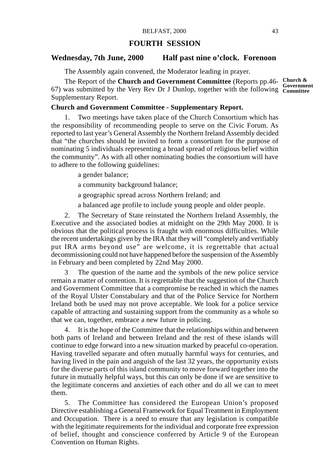# **FOURTH SESSION**

# **Wednesday, 7th June, 2000 Half past nine o'clock. Forenoon**

The Assembly again convened, the Moderator leading in prayer.

The Report of the **Church and Government Committee** (Reports pp.46- **Church &** 67) was submitted by the Very Rev Dr J Dunlop, together with the following **Government Committee**Supplementary Report.

# **Church and Government Committee - Supplementary Report.**

1. Two meetings have taken place of the Church Consortium which has the responsibility of recommending people to serve on the Civic Forum. As reported to last year's General Assembly the Northern Ireland Assembly decided that "the churches should be invited to form a consortium for the purpose of nominating 5 individuals representing a broad spread of religious belief within the community". As with all other nominating bodies the consortium will have to adhere to the following guidelines:

a gender balance;

a community background balance;

a geographic spread across Northern Ireland; and

a balanced age profile to include young people and older people.

2. The Secretary of State reinstated the Northern Ireland Assembly, the Executive and the associated bodies at midnight on the 29th May 2000. It is obvious that the political process is fraught with enormous difficulties. While the recent undertakings given by the IRA that they will "completely and verifiably put IRA arms beyond use" are welcome, it is regrettable that actual decommissioning could not have happened before the suspension of the Assembly in February and been completed by 22nd May 2000.

3 The question of the name and the symbols of the new police service remain a matter of contention. It is regrettable that the suggestion of the Church and Government Committee that a compromise be reached in which the names of the Royal Ulster Constabulary and that of the Police Service for Northern Ireland both be used may not prove acceptable. We look for a police service capable of attracting and sustaining support from the community as a whole so that we can, together, embrace a new future in policing.

4. It is the hope of the Committee that the relationships within and between both parts of Ireland and between Ireland and the rest of these islands will continue to edge forward into a new situation marked by peaceful co-operation. Having travelled separate and often mutually harmful ways for centuries, and having lived in the pain and anguish of the last 32 years, the opportunity exists for the diverse parts of this island community to move forward together into the future in mutually helpful ways, but this can only be done if we are sensitive to the legitimate concerns and anxieties of each other and do all we can to meet them.

5. The Committee has considered the European Union's proposed Directive establishing a General Framework for Equal Treatment in Employment and Occupation. There is a need to ensure that any legislation is compatible with the legitimate requirements for the individual and corporate free expression of belief, thought and conscience conferred by Article 9 of the European Convention on Human Rights.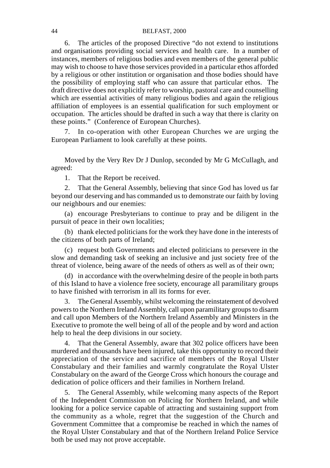#### 44 BELFAST, 2000

6. The articles of the proposed Directive "do not extend to institutions and organisations providing social services and health care. In a number of instances, members of religious bodies and even members of the general public may wish to choose to have those services provided in a particular ethos afforded by a religious or other institution or organisation and those bodies should have the possibility of employing staff who can assure that particular ethos. The draft directive does not explicitly refer to worship, pastoral care and counselling which are essential activities of many religious bodies and again the religious affiliation of employees is an essential qualification for such employment or occupation. The articles should be drafted in such a way that there is clarity on these points." (Conference of European Churches).

7. In co-operation with other European Churches we are urging the European Parliament to look carefully at these points.

Moved by the Very Rev Dr J Dunlop, seconded by Mr G McCullagh, and agreed:

1. That the Report be received.

2. That the General Assembly, believing that since God has loved us far beyond our deserving and has commanded us to demonstrate our faith by loving our neighbours and our enemies:

(a) encourage Presbyterians to continue to pray and be diligent in the pursuit of peace in their own localities;

(b) thank elected politicians for the work they have done in the interests of the citizens of both parts of Ireland;

(c) request both Governments and elected politicians to persevere in the slow and demanding task of seeking an inclusive and just society free of the threat of violence, being aware of the needs of others as well as of their own;

(d) in accordance with the overwhelming desire of the people in both parts of this Island to have a violence free society, encourage all paramilitary groups to have finished with terrorism in all its forms for ever.

3. The General Assembly, whilst welcoming the reinstatement of devolved powers to the Northern Ireland Assembly, call upon paramilitary groups to disarm and call upon Members of the Northern Ireland Assembly and Ministers in the Executive to promote the well being of all of the people and by word and action help to heal the deep divisions in our society.

4. That the General Assembly, aware that 302 police officers have been murdered and thousands have been injured, take this opportunity to record their appreciation of the service and sacrifice of members of the Royal Ulster Constabulary and their families and warmly congratulate the Royal Ulster Constabulary on the award of the George Cross which honours the courage and dedication of police officers and their families in Northern Ireland.

5. The General Assembly, while welcoming many aspects of the Report of the Independent Commission on Policing for Northern Ireland, and while looking for a police service capable of attracting and sustaining support from the community as a whole, regret that the suggestion of the Church and Government Committee that a compromise be reached in which the names of the Royal Ulster Constabulary and that of the Northern Ireland Police Service both be used may not prove acceptable.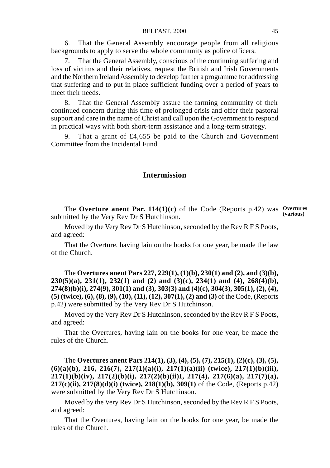6. That the General Assembly encourage people from all religious backgrounds to apply to serve the whole community as police officers.

That the General Assembly, conscious of the continuing suffering and loss of victims and their relatives, request the British and Irish Governments and the Northern Ireland Assembly to develop further a programme for addressing that suffering and to put in place sufficient funding over a period of years to meet their needs.

8. That the General Assembly assure the farming community of their continued concern during this time of prolonged crisis and offer their pastoral support and care in the name of Christ and call upon the Government to respond in practical ways with both short-term assistance and a long-term strategy.

9. That a grant of £4,655 be paid to the Church and Government Committee from the Incidental Fund.

# **Intermission**

The **Overture anent Par. 114(1)(c)** of the Code (Reports p.42) was **Overtures** submitted by the Very Rev Dr S Hutchinson. **(various)**

Moved by the Very Rev Dr S Hutchinson, seconded by the Rev R F S Poots, and agreed:

That the Overture, having lain on the books for one year, be made the law of the Church.

The **Overtures anent Pars 227, 229(1), (1)(b), 230(1) and (2), and (3)(b), 230(5)(a), 231(1), 232(1) and (2) and (3)(c), 234(1) and (4), 268(4)(b), 274(8)(b)(i), 274(9), 301(1) and (3), 303(3) and (4)(c), 304(3), 305(1), (2), (4), (5) (twice), (6), (8), (9), (10), (11), (12), 307(1), (2) and (3)** of the Code, (Reports p.42) were submitted by the Very Rev Dr S Hutchinson.

Moved by the Very Rev Dr S Hutchinson, seconded by the Rev R F S Poots, and agreed:

That the Overtures, having lain on the books for one year, be made the rules of the Church.

The **Overtures anent Pars 214(1), (3), (4), (5), (7), 215(1), (2)(c), (3), (5), (6)(a)(b), 216, 216(7), 217(1)(a)(i), 217(1)(a)(ii) (twice), 217(1)(b)(iii), 217(1)(b)(iv), 217(2)(b)(i), 217(2)(b)(ii)I, 217(4), 217(6)(a), 217(7)(a), 217(c)(ii), 217(8)(d)(i) (twice), 218(1)(b), 309(1)** of the Code, (Reports p.42) were submitted by the Very Rev Dr S Hutchinson.

Moved by the Very Rev Dr S Hutchinson, seconded by the Rev R F S Poots, and agreed:

That the Overtures, having lain on the books for one year, be made the rules of the Church.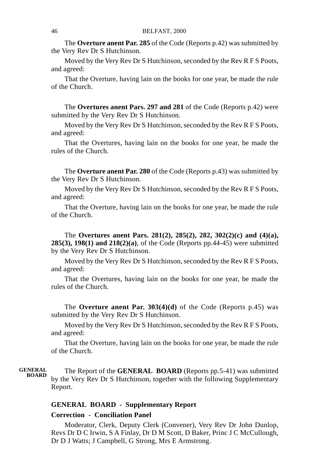The **Overture anent Par. 285** of the Code (Reports p.42) was submitted by the Very Rev Dr S Hutchinson.

Moved by the Very Rev Dr S Hutchinson, seconded by the Rev R F S Poots, and agreed:

That the Overture, having lain on the books for one year, be made the rule of the Church.

The **Overtures anent Pars. 297 and 281** of the Code (Reports p.42) were submitted by the Very Rev Dr S Hutchinson.

Moved by the Very Rev Dr S Hutchinson, seconded by the Rev R F S Poots, and agreed:

That the Overtures, having lain on the books for one year, be made the rules of the Church.

The **Overture anent Par. 280** of the Code (Reports p.43) was submitted by the Very Rev Dr S Hutchinson.

Moved by the Very Rev Dr S Hutchinson, seconded by the Rev R F S Poots, and agreed:

That the Overture, having lain on the books for one year, be made the rule of the Church.

The **Overtures anent Pars. 281(2), 285(2), 282, 302(2)(c) and (4)(a), 285(3), 198(1) and 218(2)(a)**, of the Code (Reports pp.44-45) were submitted by the Very Rev Dr S Hutchinson.

Moved by the Very Rev Dr S Hutchinson, seconded by the Rev R F S Poots, and agreed:

That the Overtures, having lain on the books for one year, be made the rules of the Church.

The **Overture anent Par. 303(4)(d)** of the Code (Reports p.45) was submitted by the Very Rev Dr S Hutchinson.

Moved by the Very Rev Dr S Hutchinson, seconded by the Rev R F S Poots, and agreed:

That the Overture, having lain on the books for one year, be made the rule of the Church.

The Report of the **GENERAL BOARD** (Reports pp.5-41) was submitted by the Very Rev Dr S Hutchinson, together with the following Supplementary Report. **GENERAL BOARD**

# **GENERAL BOARD - Supplementary Report**

# **Correction - Conciliation Panel**

Moderator, Clerk, Deputy Clerk (Convener), Very Rev Dr John Dunlop, Revs Dr D C Irwin, S A Finlay, Dr D M Scott, D Baker, Princ J C McCullough, Dr D J Watts; J Campbell, G Strong, Mrs E Armstrong.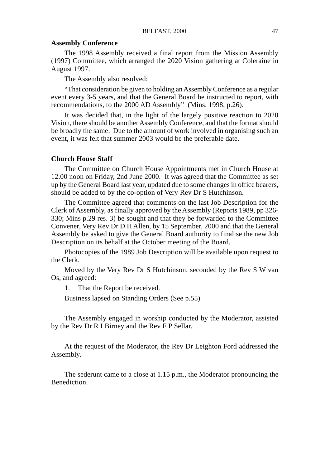#### BELFAST, 2000 47

# **Assembly Conference**

The 1998 Assembly received a final report from the Mission Assembly (1997) Committee, which arranged the 2020 Vision gathering at Coleraine in August 1997.

The Assembly also resolved:

"That consideration be given to holding an Assembly Conference as a regular event every 3-5 years, and that the General Board be instructed to report, with recommendations, to the 2000 AD Assembly" (Mins. 1998, p.26).

It was decided that, in the light of the largely positive reaction to 2020 Vision, there should be another Assembly Conference, and that the format should be broadly the same. Due to the amount of work involved in organising such an event, it was felt that summer 2003 would be the preferable date.

#### **Church House Staff**

The Committee on Church House Appointments met in Church House at 12.00 noon on Friday, 2nd June 2000. It was agreed that the Committee as set up by the General Board last year, updated due to some changes in office bearers, should be added to by the co-option of Very Rev Dr S Hutchinson.

The Committee agreed that comments on the last Job Description for the Clerk of Assembly, as finally approved by the Assembly (Reports 1989, pp 326- 330; Mins p.29 res. 3) be sought and that they be forwarded to the Committee Convener, Very Rev Dr D H Allen, by 15 September, 2000 and that the General Assembly be asked to give the General Board authority to finalise the new Job Description on its behalf at the October meeting of the Board.

Photocopies of the 1989 Job Description will be available upon request to the Clerk.

Moved by the Very Rev Dr S Hutchinson, seconded by the Rev S W van Os, and agreed:

1. That the Report be received.

Business lapsed on Standing Orders (See p.55)

The Assembly engaged in worship conducted by the Moderator, assisted by the Rev Dr R I Birney and the Rev F P Sellar.

At the request of the Moderator, the Rev Dr Leighton Ford addressed the Assembly.

The sederunt came to a close at 1.15 p.m., the Moderator pronouncing the Benediction.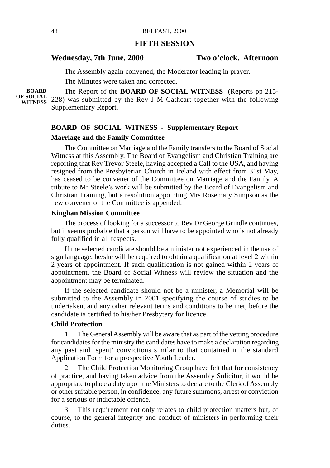# **FIFTH SESSION**

# **Wednesday, 7th June, 2000 Two o'clock. Afternoon**

The Assembly again convened, the Moderator leading in prayer. The Minutes were taken and corrected.

The Report of the **BOARD OF SOCIAL WITNESS** (Reports pp 215- 228) was submitted by the Rev J M Cathcart together with the following **OF SOCIAL WITNESS**Supplementary Report. **BOARD**

# **BOARD OF SOCIAL WITNESS - Supplementary Report Marriage and the Family Committee**

The Committee on Marriage and the Family transfers to the Board of Social Witness at this Assembly. The Board of Evangelism and Christian Training are reporting that Rev Trevor Steele, having accepted a Call to the USA, and having resigned from the Presbyterian Church in Ireland with effect from 31st May, has ceased to be convener of the Committee on Marriage and the Family. A tribute to Mr Steele's work will be submitted by the Board of Evangelism and Christian Training, but a resolution appointing Mrs Rosemary Simpson as the new convener of the Committee is appended.

#### **Kinghan Mission Committee**

The process of looking for a successor to Rev Dr George Grindle continues, but it seems probable that a person will have to be appointed who is not already fully qualified in all respects.

If the selected candidate should be a minister not experienced in the use of sign language, he/she will be required to obtain a qualification at level 2 within 2 years of appointment. If such qualification is not gained within 2 years of appointment, the Board of Social Witness will review the situation and the appointment may be terminated.

If the selected candidate should not be a minister, a Memorial will be submitted to the Assembly in 2001 specifying the course of studies to be undertaken, and any other relevant terms and conditions to be met, before the candidate is certified to his/her Presbytery for licence.

#### **Child Protection**

1. The General Assembly will be aware that as part of the vetting procedure for candidates for the ministry the candidates have to make a declaration regarding any past and 'spent' convictions similar to that contained in the standard Application Form for a prospective Youth Leader.

2. The Child Protection Monitoring Group have felt that for consistency of practice, and having taken advice from the Assembly Solicitor, it would be appropriate to place a duty upon the Ministers to declare to the Clerk of Assembly or other suitable person, in confidence, any future summons, arrest or conviction for a serious or indictable offence.

3. This requirement not only relates to child protection matters but, of course, to the general integrity and conduct of ministers in performing their duties.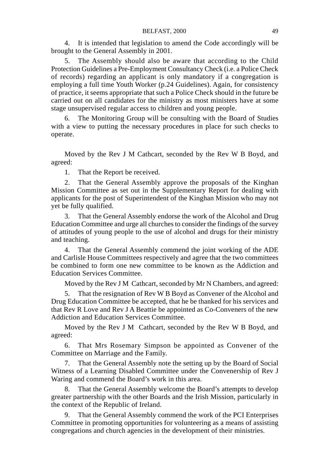4. It is intended that legislation to amend the Code accordingly will be brought to the General Assembly in 2001.

5. The Assembly should also be aware that according to the Child Protection Guidelines a Pre-Employment Consultancy Check (i.e. a Police Check of records) regarding an applicant is only mandatory if a congregation is employing a full time Youth Worker (p.24 Guidelines). Again, for consistency of practice, it seems appropriate that such a Police Check should in the future be carried out on all candidates for the ministry as most ministers have at some stage unsupervised regular access to children and young people.

6. The Monitoring Group will be consulting with the Board of Studies with a view to putting the necessary procedures in place for such checks to operate.

Moved by the Rev J M Cathcart, seconded by the Rev W B Boyd, and agreed:

1. That the Report be received.

2. That the General Assembly approve the proposals of the Kinghan Mission Committee as set out in the Supplementary Report for dealing with applicants for the post of Superintendent of the Kinghan Mission who may not yet be fully qualified.

3. That the General Assembly endorse the work of the Alcohol and Drug Education Committee and urge all churches to consider the findings of the survey of attitudes of young people to the use of alcohol and drugs for their ministry and teaching.

4. That the General Assembly commend the joint working of the ADE and Carlisle House Committees respectively and agree that the two committees be combined to form one new committee to be known as the Addiction and Education Services Committee.

Moved by the Rev J M Cathcart, seconded by Mr N Chambers, and agreed:

5. That the resignation of Rev W B Boyd as Convener of the Alcohol and Drug Education Committee be accepted, that he be thanked for his services and that Rev R Love and Rev J A Beattie be appointed as Co-Conveners of the new Addiction and Education Services Committee.

Moved by the Rev J M Cathcart, seconded by the Rev W B Boyd, and agreed:

6. That Mrs Rosemary Simpson be appointed as Convener of the Committee on Marriage and the Family.

7. That the General Assembly note the setting up by the Board of Social Witness of a Learning Disabled Committee under the Convenership of Rev J Waring and commend the Board's work in this area.

8. That the General Assembly welcome the Board's attempts to develop greater partnership with the other Boards and the Irish Mission, particularly in the context of the Republic of Ireland.

That the General Assembly commend the work of the PCI Enterprises Committee in promoting opportunities for volunteering as a means of assisting congregations and church agencies in the development of their ministries.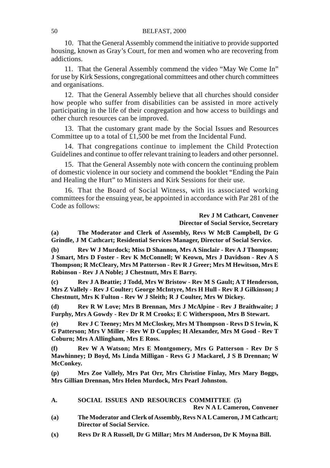#### 50 BELFAST, 2000

10. That the General Assembly commend the initiative to provide supported housing, known as Gray's Court, for men and women who are recovering from addictions.

11. That the General Assembly commend the video "May We Come In" for use by Kirk Sessions, congregational committees and other church committees and organisations.

12. That the General Assembly believe that all churches should consider how people who suffer from disabilities can be assisted in more actively participating in the life of their congregation and how access to buildings and other church resources can be improved.

13. That the customary grant made by the Social Issues and Resources Committee up to a total of £1,500 be met from the Incidental Fund.

14. That congregations continue to implement the Child Protection Guidelines and continue to offer relevant training to leaders and other personnel.

15. That the General Assembly note with concern the continuing problem of domestic violence in our society and commend the booklet "Ending the Pain and Healing the Hurt" to Ministers and Kirk Sessions for their use.

16. That the Board of Social Witness, with its associated working committees for the ensuing year, be appointed in accordance with Par 281 of the Code as follows:

> **Rev J M Cathcart, Convener Director of Social Service, Secretary**

**(a) The Moderator and Clerk of Assembly, Revs W McB Campbell, Dr G Grindle, J M Cathcart; Residential Services Manager, Director of Social Service.**

**(b) Rev W J Murdock; Miss D Shannon, Mrs A Sinclair - Rev A J Thompson; J Smart, Mrs D Foster - Rev K McConnell; W Keown, Mrs J Davidson - Rev A S Thompson; R McCleary, Mrs M Patterson - Rev R J Greer; Mrs M Hewitson, Mrs E Robinson - Rev J A Noble; J Chestnutt, Mrs E Barry.**

**(c) Rev J A Beattie; J Todd, Mrs W Bristow - Rev M S Gault; A T Henderson, Mrs Z Vallely - Rev J Coulter; George McIntyre, Mrs H Hull - Rev R J Gilkinson; J Chestnutt, Mrs K Fulton - Rev W J Sleith; R J Coulter, Mrs W Dickey.**

**(d) Rev R W Love; Mrs B Brennan, Mrs J McAlpine - Rev J Braithwaite; J Furphy, Mrs A Gowdy - Rev Dr R M Crooks; E C Witherspoon, Mrs B Stewart.**

**(e) Rev J C Teeney; Mrs M McCloskey, Mrs M Thompson - Revs D S Irwin, K G Patterson; Mrs V Miller - Rev W D Cupples; H Alexander, Mrs M Good - Rev T Coburn; Mrs A Allingham, Mrs E Ross.**

**(f) Rev W A Watson; Mrs E Montgomery, Mrs G Patterson - Rev Dr S Mawhinney; D Boyd, Ms Linda Milligan - Revs G J Mackarel, J S B Drennan; W McConkey.**

**(p) Mrs Zoe Vallely, Mrs Pat Orr, Mrs Christine Finlay, Mrs Mary Boggs, Mrs Gillian Drennan, Mrs Helen Murdock, Mrs Pearl Johnston.**

# **A. SOCIAL ISSUES AND RESOURCES COMMITTEE (5)**

**Rev N A L Cameron, Convener**

- **(a) The Moderator and Clerk of Assembly, Revs N A L Cameron, J M Cathcart; Director of Social Service.**
- **(x) Revs Dr R A Russell, Dr G Millar; Mrs M Anderson, Dr K Moyna Bill.**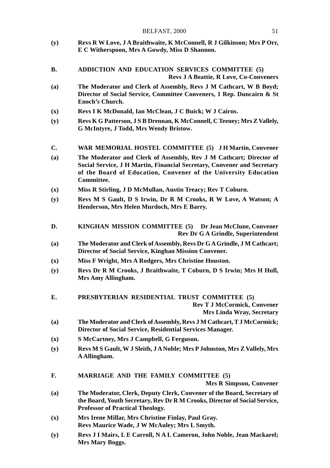- **(y) Revs R W Love, J A Braithwaite, K McConnell, R J Gilkinson; Mrs P Orr, E C Witherspoon, Mrs A Gowdy, Miss D Shannon.**
- **B. ADDICTION AND EDUCATION SERVICES COMMITTEE (5) Revs J A Beattie, R Love, Co-Conveners**
- **(a) The Moderator and Clerk of Assembly, Revs J M Cathcart, W B Boyd; Director of Social Service, Committee Conveners, 1 Rep. Duncairn & St Enoch's Church.**
- **(x) Revs I K McDonald, Ian McClean, J C Buick; W J Cairns.**
- **(y) Revs K G Patterson, J S B Drennan, K McConnell, C Teeney; Mrs Z Vallely, G McIntyre, J Todd, Mrs Wendy Bristow.**
- **C. WAR MEMORIAL HOSTEL COMMITTEE (5) J H Martin, Convener**
- **(a) The Moderator and Clerk of Assembly, Rev J M Cathcart; Director of Social Service, J H Martin, Financial Secretary, Convener and Secretary of the Board of Education, Convener of the University Education Committee.**
- **(x) Miss R Stirling, J D McMullan, Austin Treacy; Rev T Coburn.**
- **(y) Revs M S Gault, D S Irwin, Dr R M Crooks, R W Love, A Watson; A Henderson, Mrs Helen Murdoch, Mrs E Barry.**
- **D. KINGHAN MISSION COMMITTEE (5) Dr Jean McClune, Convener Rev Dr G A Grindle, Superintendent**
- **(a) The Moderator and Clerk of Assembly, Revs Dr G A Grindle, J M Cathcart; Director of Social Service, Kinghan Mission Convener.**
- **(x) Miss F Wright, Mrs A Rodgers, Mrs Christine Houston.**
- **(y) Revs Dr R M Crooks, J Braithwaite, T Coburn, D S Irwin; Mrs H Hull, Mrs Amy Allingham.**
- **E. PRESBYTERIAN RESIDENTIAL TRUST COMMITTEE (5) Rev T J McCormick, Convener**

**Mrs Linda Wray, Secretary**

- **(a) The Moderator and Clerk of Assembly, Revs J M Cathcart, T J McCormick; Director of Social Service, Residential Services Manager.**
- **(x) S McCartney, Mrs J Campbell, G Ferguson.**
- **(y) Revs M S Gault, W J Sleith, J A Noble; Mrs P Johnston, Mrs Z Vallely, Mrs A Allingham.**
- **F. MARRIAGE AND THE FAMILY COMMITTEE (5)**

**Mrs R Simpson, Convener**

- **(a) The Moderator, Clerk, Deputy Clerk, Convener of the Board, Secretary of the Board, Youth Secretary, Rev Dr R M Crooks, Director of Social Service, Professor of Practical Theology.**
- **(x) Mrs Irene Millar, Mrs Christine Finlay, Paul Gray. Revs Maurice Wade, J W McAuley; Mrs L Smyth.**
- **(y) Revs J I Mairs, L E Carroll, N A L Cameron, John Noble, Jean Mackarel; Mrs Mary Boggs.**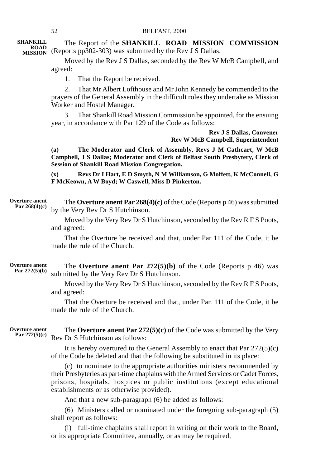The Report of the **SHANKILL ROAD MISSION COMMISSION ROAD** (Reports pp302-303) was submitted by the Rev J S Dallas. **SHANKILL**<br>ROAD

> Moved by the Rev J S Dallas, seconded by the Rev W McB Campbell, and agreed:

1. That the Report be received.

2. That Mr Albert Lofthouse and Mr John Kennedy be commended to the prayers of the General Assembly in the difficult roles they undertake as Mission Worker and Hostel Manager.

3. That Shankill Road Mission Commission be appointed, for the ensuing year, in accordance with Par 129 of the Code as follows:

# **Rev J S Dallas, Convener Rev W McB Campbell, Superintendent**

**(a) The Moderator and Clerk of Assembly, Revs J M Cathcart, W McB Campbell, J S Dallas; Moderator and Clerk of Belfast South Presbytery, Clerk of Session of Shankill Road Mission Congregation.**

**(x) Revs Dr I Hart, E D Smyth, N M Williamson, G Moffett, K McConnell, G F McKeown, A W Boyd; W Caswell, Miss D Pinkerton.**

The **Overture anent Par 268(4)(c)** of the Code (Reports p 46) was submitted by the Very Rev Dr S Hutchinson. **Overture anent Par 268(4)(c)**

> Moved by the Very Rev Dr S Hutchinson, seconded by the Rev R F S Poots, and agreed:

> That the Overture be received and that, under Par 111 of the Code, it be made the rule of the Church.

The **Overture anent Par 272(5)(b)** of the Code (Reports p 46) was submitted by the Very Rev Dr S Hutchinson. **Overture anent Par 272(5)(b)**

> Moved by the Very Rev Dr S Hutchinson, seconded by the Rev R F S Poots, and agreed:

> That the Overture be received and that, under Par. 111 of the Code, it be made the rule of the Church.

The **Overture anent Par 272(5)(c)** of the Code was submitted by the Very Rev Dr S Hutchinson as follows: **Overture anent Par 272(5)(c)**

> It is hereby overtured to the General Assembly to enact that  $Par 272(5)(c)$ of the Code be deleted and that the following be substituted in its place:

> (c) to nominate to the appropriate authorities ministers recommended by their Presbyteries as part-time chaplains with the Armed Services or Cadet Forces, prisons, hospitals, hospices or public institutions (except educational establishments or as otherwise provided).

And that a new sub-paragraph (6) be added as follows:

(6) Ministers called or nominated under the foregoing sub-paragraph (5) shall report as follows:

(i) full-time chaplains shall report in writing on their work to the Board, or its appropriate Committee, annually, or as may be required,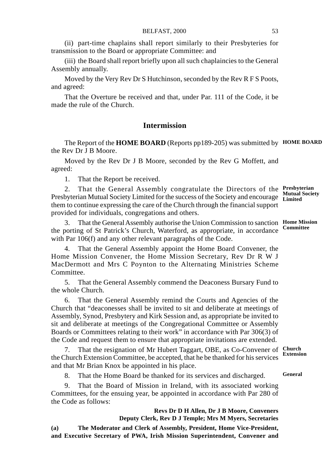(ii) part-time chaplains shall report similarly to their Presbyteries for transmission to the Board or appropriate Committee: and

(iii) the Board shall report briefly upon all such chaplaincies to the General Assembly annually.

Moved by the Very Rev Dr S Hutchinson, seconded by the Rev R F S Poots, and agreed:

That the Overture be received and that, under Par. 111 of the Code, it be made the rule of the Church.

# **Intermission**

The Report of the **HOME BOARD** (Reports pp189-205) was submitted by **HOME BOARD** the Rev Dr J B Moore.

Moved by the Rev Dr J B Moore, seconded by the Rev G Moffett, and agreed:

1. That the Report be received.

2. That the General Assembly congratulate the Directors of the **Presbyterian** Presbyterian Mutual Society Limited for the success of the Society and encourage **Limited** them to continue expressing the care of the Church through the financial support provided for individuals, congregations and others. **Mutual Society**

3. That the General Assembly authorise the Union Commission to sanction Home Mission the porting of St Patrick's Church, Waterford, as appropriate, in accordance with Par 106(f) and any other relevant paragraphs of the Code. **Committee**

4. That the General Assembly appoint the Home Board Convener, the Home Mission Convener, the Home Mission Secretary, Rev Dr R W J MacDermott and Mrs C Poynton to the Alternating Ministries Scheme Committee.

5. That the General Assembly commend the Deaconess Bursary Fund to the whole Church.

6. That the General Assembly remind the Courts and Agencies of the Church that "deaconesses shall be invited to sit and deliberate at meetings of Assembly, Synod, Presbytery and Kirk Session and, as appropriate be invited to sit and deliberate at meetings of the Congregational Committee or Assembly Boards or Committees relating to their work" in accordance with Par 306(3) of the Code and request them to ensure that appropriate invitations are extended.

7. That the resignation of Mr Hubert Taggart, OBE, as Co-Convener of Church the Church Extension Committee, be accepted, that he be thanked for his services and that Mr Brian Knox be appointed in his place.

8. That the Home Board be thanked for its services and discharged.

9. That the Board of Mission in Ireland, with its associated working Committees, for the ensuing year, be appointed in accordance with Par 280 of the Code as follows:

> **Revs Dr D H Allen, Dr J B Moore, Conveners Deputy Clerk, Rev D J Temple; Mrs M Myers, Secretaries**

**(a) The Moderator and Clerk of Assembly, President, Home Vice-President, and Executive Secretary of PWA, Irish Mission Superintendent, Convener and**

**Extension**

**General**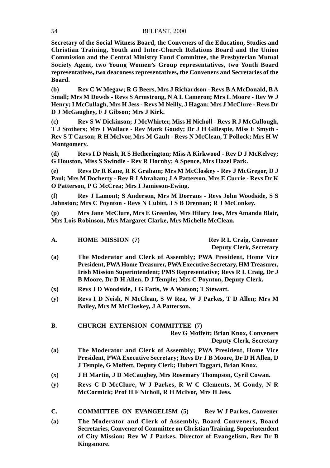#### 54 BELFAST, 2000

**Secretary of the Social Witness Board, the Conveners of the Education, Studies and Christian Training, Youth and Inter-Church Relations Board and the Union Commission and the Central Ministry Fund Committee, the Presbyterian Mutual Society Agent, two Young Women's Group representatives, two Youth Board representatives, two deaconess representatives, the Conveners and Secretaries of the Board.**

**(b) Rev C W Megaw; R G Beers, Mrs J Richardson - Revs B A McDonald, B A Small; Mrs M Dowds - Revs S Armstrong, N A L Cameron; Mrs L Moore - Rev W J Henry; I McCullagh, Mrs H Jess - Revs M Neilly, J Hagan; Mrs J McClure - Revs Dr D J McGaughey, F J Gibson; Mrs J Kirk.**

**(c) Rev S W Dickinson; J McWhirter, Miss H Nicholl - Revs R J McCullough, T J Stothers; Mrs I Wallace - Rev Mark Goudy; Dr J H Gillespie, Miss E Smyth - Rev S T Carson; R H McIvor, Mrs M Gault - Revs N McClean, T Pollock; Mrs H W Montgomery.**

**(d) Revs I D Neish, R S Hetherington; Miss A Kirkwood - Rev D J McKelvey; G Houston, Miss S Swindle - Rev R Hornby; A Spence, Mrs Hazel Park.**

**(e) Revs Dr R Kane, R K Graham; Mrs M McCloskey - Rev J McGregor, D J Paul; Mrs M Docherty - Rev R I Abraham; J A Patterson, Mrs E Currie - Revs Dr K O Patterson, P G McCrea; Mrs I Jamieson-Ewing.**

**(f) Rev J Lamont; S Anderson, Mrs M Dorrans - Revs John Woodside, S S Johnston; Mrs C Poynton - Revs N Cubitt, J S B Drennan; R J McConkey.**

**(p) Mrs Jane McClure, Mrs E Greenlee, Mrs Hilary Jess, Mrs Amanda Blair, Mrs Lois Robinson, Mrs Margaret Clarke, Mrs Michelle McClean.**

| А. | <b>HOME MISSION (7)</b> | <b>Rev R L Craig, Convener</b> |
|----|-------------------------|--------------------------------|
|    |                         | <b>Deputy Clerk, Secretary</b> |

- **(a) The Moderator and Clerk of Assembly; PWA President, Home Vice President, PWA Home Treasurer, PWA Executive Secretary, HM Treasurer, Irish Mission Superintendent; PMS Representative; Revs R L Craig, Dr J B Moore, Dr D H Allen, D J Temple; Mrs C Poynton, Deputy Clerk.**
- **(x) Revs J D Woodside, J G Faris, W A Watson; T Stewart.**
- **(y) Revs I D Neish, N McClean, S W Rea, W J Parkes, T D Allen; Mrs M Bailey, Mrs M McCloskey, J A Patterson.**

**B. CHURCH EXTENSION COMMITTEE (7)**

**Rev G Moffett; Brian Knox, Conveners Deputy Clerk, Secretary**

- **(a) The Moderator and Clerk of Assembly; PWA President, Home Vice President, PWA Executive Secretary; Revs Dr J B Moore, Dr D H Allen, D J Temple, G Moffett, Deputy Clerk; Hubert Taggart, Brian Knox.**
- **(x) J H Martin, J D McCaughey, Mrs Rosemary Thompson, Cyril Cowan.**
- **(y) Revs C D McClure, W J Parkes, R W C Clements, M Goudy, N R McCormick; Prof H F Nicholl, R H McIvor, Mrs H Jess.**
- **C. COMMITTEE ON EVANGELISM (5) Rev W J Parkes, Convener (a) The Moderator and Clerk of Assembly, Board Conveners, Board Secretaries, Convener of Committee on Christian Training, Superintendent of City Mission; Rev W J Parkes, Director of Evangelism, Rev Dr B Kingsmore.**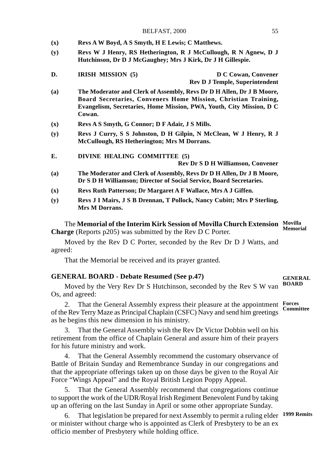| BELFAST, 2000 |  |
|---------------|--|
|               |  |

- **(x) Revs A W Boyd, A S Smyth, H E Lewis; C Matthews.**
- **(y) Revs W J Henry, RS Hetherington, R J McCullough, R N Agnew, D J Hutchinson, Dr D J McGaughey; Mrs J Kirk, Dr J H Gillespie.**

| D. | IRISH MISSION (5) | D C Cowan, Convener                   |
|----|-------------------|---------------------------------------|
|    |                   | <b>Rev D J Temple, Superintendent</b> |

- **(a) The Moderator and Clerk of Assembly, Revs Dr D H Allen, Dr J B Moore, Board Secretaries, Conveners Home Mission, Christian Training, Evangelism, Secretaries, Home Mission, PWA, Youth, City Mission, D C Cowan.**
- **(x) Revs A S Smyth, G Connor; D F Adair, J S Mills.**
- **(y) Revs J Curry, S S Johnston, D H Gilpin, N McClean, W J Henry, R J McCullough, RS Hetherington; Mrs M Dorrans.**
- **E. DIVINE HEALING COMMITTEE (5)**

#### **Rev Dr S D H Williamson, Convener**

- **(a) The Moderator and Clerk of Assembly, Revs Dr D H Allen, Dr J B Moore, Dr S D H Williamson; Director of Social Service, Board Secretaries.**
- **(x) Revs Ruth Patterson; Dr Margaret A F Wallace, Mrs A J Giffen.**
- **(y) Revs J I Mairs, J S B Drennan, T Pollock, Nancy Cubitt; Mrs P Sterling, Mrs M Dorrans.**

The **Memorial of the Interim Kirk Session of Movilla Church Extension Movilla Charge** (Reports p205) was submitted by the Rev D C Porter. **Memorial**

Moved by the Rev D C Porter, seconded by the Rev Dr D J Watts, and agreed:

That the Memorial be received and its prayer granted.

#### **GENERAL BOARD - Debate Resumed (See p.47)**

Moved by the Very Rev Dr S Hutchinson, seconded by the Rev S W van **BOARD** Os, and agreed:

2. That the General Assembly express their pleasure at the appointment **Forces** of the Rev Terry Maze as Principal Chaplain (CSFC) Navy and send him greetings as he begins this new dimension in his ministry.

3. That the General Assembly wish the Rev Dr Victor Dobbin well on his retirement from the office of Chaplain General and assure him of their prayers for his future ministry and work.

4. That the General Assembly recommend the customary observance of Battle of Britain Sunday and Remembrance Sunday in our congregations and that the appropriate offerings taken up on those days be given to the Royal Air Force "Wings Appeal" and the Royal British Legion Poppy Appeal.

5. That the General Assembly recommend that congregations continue to support the work of the UDR/Royal Irish Regiment Benevolent Fund by taking up an offering on the last Sunday in April or some other appropriate Sunday.

6. That legislation be prepared for next Assembly to permit a ruling elder **1999 Remits**or minister without charge who is appointed as Clerk of Presbytery to be an ex officio member of Presbytery while holding office.

# **GENERAL**

**Committee**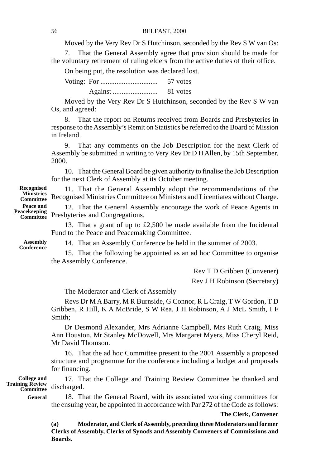Moved by the Very Rev Dr S Hutchinson, seconded by the Rev S W van Os:

7. That the General Assembly agree that provision should be made for the voluntary retirement of ruling elders from the active duties of their office.

On being put, the resolution was declared lost.

|  | 57 votes |
|--|----------|
|  | 81 votes |

Moved by the Very Rev Dr S Hutchinson, seconded by the Rev S W van Os, and agreed:

8. That the report on Returns received from Boards and Presbyteries in response to the Assembly's Remit on Statistics be referred to the Board of Mission in Ireland.

9. That any comments on the Job Description for the next Clerk of Assembly be submitted in writing to Very Rev Dr D H Allen, by 15th September, 2000.

10. That the General Board be given authority to finalise the Job Description for the next Clerk of Assembly at its October meeting.

11. That the General Assembly adopt the recommendations of the Recognised Ministries Committee on Ministers and Licentiates without Charge.

12. That the General Assembly encourage the work of Peace Agents in Presbyteries and Congregations. **Committee**

> 13. That a grant of up to £2,500 be made available from the Incidental Fund to the Peace and Peacemaking Committee.

**Assembly Conference**

**Recognised Ministries Committee Peace and Peacekeeping**

14. That an Assembly Conference be held in the summer of 2003.

15. That the following be appointed as an ad hoc Committee to organise the Assembly Conference.

Rev T D Gribben (Convener)

Rev J H Robinson (Secretary)

The Moderator and Clerk of Assembly

Revs Dr M A Barry, M R Burnside, G Connor, R L Craig, T W Gordon, T D Gribben, R Hill, K A McBride, S W Rea, J H Robinson, A J McL Smith, I F Smith;

Dr Desmond Alexander, Mrs Adrianne Campbell, Mrs Ruth Craig, Miss Ann Houston, Mr Stanley McDowell, Mrs Margaret Myers, Miss Cheryl Reid, Mr David Thomson.

16. That the ad hoc Committee present to the 2001 Assembly a proposed structure and programme for the conference including a budget and proposals for financing.

17. That the College and Training Review Committee be thanked and discharged. **College and Training Review Committee**

18. That the General Board, with its associated working committees for the ensuing year, be appointed in accordance with Par 272 of the Code as follows: **General**

**The Clerk, Convener**

**(a) Moderator, and Clerk of Assembly, preceding three Moderators and former Clerks of Assembly, Clerks of Synods and Assembly Conveners of Commissions and Boards.**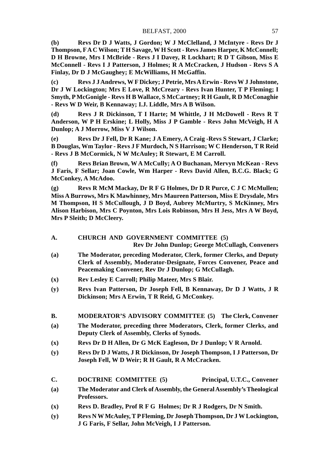**(b) Revs Dr D J Watts, J Gordon; W J McClelland, J McIntyre - Revs Dr J Thompson, F A C Wilson; T H Savage, W H Scott - Revs James Harper, K McConnell; D H Browne, Mrs I McBride - Revs J I Davey, R Lockhart; R D T Gibson, Miss E McConnell - Revs I J Patterson, J Holmes; R A McCracken, J Hudson - Revs S A Finlay, Dr D J McGaughey; E McWilliams, H McGaffin.**

**(c) Revs J J Andrews, W F Dickey; J Petrie, Mrs A Erwin - Revs W J Johnstone, Dr J W Lockington; Mrs E Love, R McCreary - Revs Ivan Hunter, T P Fleming; I Smyth, P McGonigle - Revs H B Wallace, S McCartney; R H Gault, R D McConaghie - Revs W D Weir, B Kennaway; I.J. Liddle, Mrs A B Wilson.**

**(d) Revs J R Dickinson, T I Harte; M Whittle, J H McDowell - Revs R T Anderson, W P H Erskine; L Holly, Miss J P Gamble - Revs John McVeigh, H A Dunlop; A J Morrow, Miss V J Wilson.**

**(e) Revs Dr J Fell, Dr R Kane; J A Emery, A Craig -Revs S Stewart, J Clarke; B Douglas, Wm Taylor - Revs J F Murdoch, N S Harrison; W C Henderson, T R Reid - Revs J B McCormick, N W McAuley; R Stewart, E M Carroll.**

**(f) Revs Brian Brown, W A McCully; A O Buchanan, Mervyn McKean - Revs J Faris, F Sellar; Joan Cowle, Wm Harper - Revs David Allen, B.C.G. Black; G McConkey, A McAdoo.**

**(g) Revs R McM Mackay, Dr R F G Holmes, Dr D R Purce, C J C McMullen; Miss A Burrows, Mrs K Mawhinney, Mrs Maureen Patterson, Miss E Drysdale, Mrs M Thompson, H S McCullough, J D Boyd, Aubrey McMurtry, S McKinney, Mrs Alison Harbison, Mrs C Poynton, Mrs Lois Robinson, Mrs H Jess, Mrs A W Boyd, Mrs P Sleith; D McCleery.**

#### **A. CHURCH AND GOVERNMENT COMMITTEE (5) Rev Dr John Dunlop; George McCullagh, Conveners**

- **(a) The Moderator, preceding Moderator, Clerk, former Clerks, and Deputy Clerk of Assembly, Moderator-Designate, Forces Convener, Peace and Peacemaking Convener, Rev Dr J Dunlop; G McCullagh.**
- **(x) Rev Lesley E Carroll; Philip Mateer, Mrs S Blair.**
- **(y) Revs Ivan Patterson, Dr Joseph Fell, B Kennaway, Dr D J Watts, J R Dickinson; Mrs A Erwin, T R Reid, G McConkey.**
- **B. MODERATOR'S ADVISORY COMMITTEE (5) The Clerk, Convener**
- **(a) The Moderator, preceding three Moderators, Clerk, former Clerks, and Deputy Clerk of Assembly, Clerks of Synods.**
- **(x) Revs Dr D H Allen, Dr G McK Eagleson, Dr J Dunlop; V R Arnold.**
- **(y) Revs Dr D J Watts, J R Dickinson, Dr Joseph Thompson, I J Patterson, Dr Joseph Fell, W D Weir; R H Gault, R A McCracken.**
- **C. DOCTRINE COMMITTEE (5) Principal, U.T.C., Convener**
- **(a) The Moderator and Clerk of Assembly, the General Assembly's Theological Professors.**
- **(x) Revs D. Bradley, Prof R F G Holmes; Dr R J Rodgers, Dr N Smith.**
- **(y) Revs N W McAuley, T P Fleming, Dr Joseph Thompson, Dr J W Lockington, J G Faris, F Sellar, John McVeigh, I J Patterson.**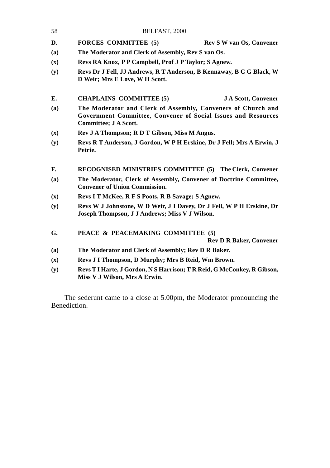| 58             | BELFAST, 2000                                                                                                                                                 |                                |
|----------------|---------------------------------------------------------------------------------------------------------------------------------------------------------------|--------------------------------|
| D.             | <b>FORCES COMMITTEE (5)</b>                                                                                                                                   | Rev S W van Os, Convener       |
| (a)            | The Moderator and Clerk of Assembly, Rev S van Os.                                                                                                            |                                |
| $(\mathbf{x})$ | Revs RA Knox, P P Campbell, Prof J P Taylor; S Agnew.                                                                                                         |                                |
| (y)            | Revs Dr J Fell, JJ Andrews, R T Anderson, B Kennaway, B C G Black, W<br>D Weir; Mrs E Love, W H Scott.                                                        |                                |
| Е.             | <b>CHAPLAINS COMMITTEE (5)</b>                                                                                                                                | <b>J A Scott, Convener</b>     |
| (a)            | The Moderator and Clerk of Assembly, Conveners of Church and<br>Government Committee, Convener of Social Issues and Resources<br><b>Committee: J A Scott.</b> |                                |
| (x)            | Rev J A Thompson; R D T Gibson, Miss M Angus.                                                                                                                 |                                |
| (y)            | Revs R T Anderson, J Gordon, W P H Erskine, Dr J Fell; Mrs A Erwin, J<br>Petrie.                                                                              |                                |
| F.             | <b>RECOGNISED MINISTRIES COMMITTEE (5) The Clerk, Convener</b>                                                                                                |                                |
| (a)            | The Moderator, Clerk of Assembly, Convener of Doctrine Committee,<br><b>Convener of Union Commission.</b>                                                     |                                |
| $(\mathbf{x})$ | Revs I T McKee, R F S Poots, R B Savage; S Agnew.                                                                                                             |                                |
| (y)            | Revs W J Johnstone, W D Weir, J I Davey, Dr J Fell, W P H Erskine, Dr<br>Joseph Thompson, J J Andrews; Miss V J Wilson.                                       |                                |
| G.             | PEACE & PEACEMAKING COMMITTEE (5)                                                                                                                             | <b>Rev D R Baker, Convener</b> |
| (a)            | The Moderator and Clerk of Assembly; Rev D R Baker.                                                                                                           |                                |
| (x)            | Revs J I Thompson, D Murphy; Mrs B Reid, Wm Brown.                                                                                                            |                                |
| (y)            | Revs T I Harte, J Gordon, N S Harrison; T R Reid, G McConkey, R Gibson,                                                                                       |                                |

**Miss V J Wilson, Mrs A Erwin.**

The sederunt came to a close at 5.00pm, the Moderator pronouncing the Benediction.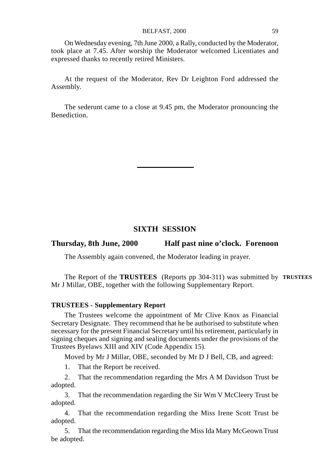On Wednesday evening, 7th June 2000, a Rally, conducted by the Moderator, took place at 7.45. After worship the Moderator welcomed Licentiates and expressed thanks to recently retired Ministers.

At the request of the Moderator, Rev Dr Leighton Ford addressed the Assembly.

The sederunt came to a close at 9.45 pm, the Moderator pronouncing the Benediction.

# **SIXTH SESSION**

**Thursday, 8th June, 2000 Half past nine o'clock. Forenoon**

The Assembly again convened, the Moderator leading in prayer.

The Report of the **TRUSTEES** (Reports pp 304-311) was submitted by **TRUSTEES**Mr J Millar, OBE, together with the following Supplementary Report.

# **TRUSTEES - Supplementary Report**

The Trustees welcome the appointment of Mr Clive Knox as Financial Secretary Designate. They recommend that he be authorised to substitute when necessary for the present Financial Secretary until his retirement, particularly in signing cheques and signing and sealing documents under the provisions of the Trustees Byelaws XIII and XIV (Code Appendix 15).

Moved by Mr J Millar, OBE, seconded by Mr D J Bell, CB, and agreed:

1. That the Report be received.

2. That the recommendation regarding the Mrs A M Davidson Trust be adopted.

3. That the recommendation regarding the Sir Wm V McCleery Trust be adopted.

4. That the recommendation regarding the Miss Irene Scott Trust be adopted.

5. That the recommendation regarding the Miss Ida Mary McGeown Trust be adopted.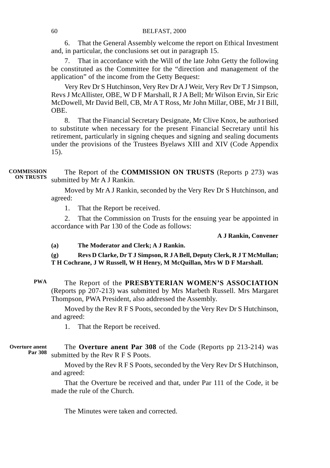6. That the General Assembly welcome the report on Ethical Investment and, in particular, the conclusions set out in paragraph 15.

That in accordance with the Will of the late John Getty the following be constituted as the Committee for the "direction and management of the application" of the income from the Getty Bequest:

Very Rev Dr S Hutchinson, Very Rev Dr A J Weir, Very Rev Dr T J Simpson, Revs J McAllister, OBE, W D F Marshall, R J A Bell; Mr Wilson Ervin, Sir Eric McDowell, Mr David Bell, CB, Mr A T Ross, Mr John Millar, OBE, Mr J I Bill, OBE.

8. That the Financial Secretary Designate, Mr Clive Knox, be authorised to substitute when necessary for the present Financial Secretary until his retirement, particularly in signing cheques and signing and sealing documents under the provisions of the Trustees Byelaws XIII and XIV (Code Appendix 15).

The Report of the **COMMISSION ON TRUSTS** (Reports p 273) was submitted by Mr A J Rankin. **COMMISSION ON TRUSTS**

> Moved by Mr A J Rankin, seconded by the Very Rev Dr S Hutchinson, and agreed:

1. That the Report be received.

2. That the Commission on Trusts for the ensuing year be appointed in accordance with Par 130 of the Code as follows:

**A J Rankin, Convener**

**(a) The Moderator and Clerk; A J Rankin.**

**(g) Revs D Clarke, Dr T J Simpson, R J A Bell, Deputy Clerk, R J T McMullan; T H Cochrane, J W Russell, W H Henry, M McQuillan, Mrs W D F Marshall.**

The Report of the **PRESBYTERIAN WOMEN'S ASSOCIATION** (Reports pp 207-213) was submitted by Mrs Marbeth Russell. Mrs Margaret Thompson, PWA President, also addressed the Assembly. **PWA**

Moved by the Rev R F S Poots, seconded by the Very Rev Dr S Hutchinson, and agreed:

1. That the Report be received.

The **Overture anent Par 308** of the Code (Reports pp 213-214) was submitted by the Rev R F S Poots. **Overture anent Par 308**

> Moved by the Rev R F S Poots, seconded by the Very Rev Dr S Hutchinson, and agreed:

> That the Overture be received and that, under Par 111 of the Code, it be made the rule of the Church.

The Minutes were taken and corrected.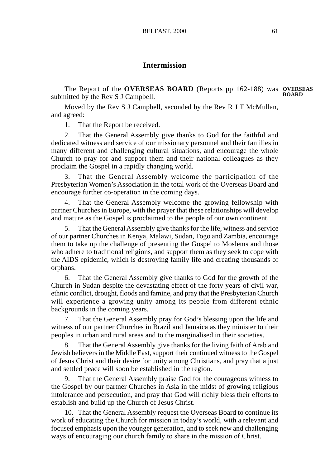# **Intermission**

The Report of the **OVERSEAS BOARD** (Reports pp 162-188) was **OVERSEAS** submitted by the Rev S J Campbell. **BOARD**

Moved by the Rev S J Campbell, seconded by the Rev R J T McMullan, and agreed:

1. That the Report be received.

2. That the General Assembly give thanks to God for the faithful and dedicated witness and service of our missionary personnel and their families in many different and challenging cultural situations, and encourage the whole Church to pray for and support them and their national colleagues as they proclaim the Gospel in a rapidly changing world.

3. That the General Assembly welcome the participation of the Presbyterian Women's Association in the total work of the Overseas Board and encourage further co-operation in the coming days.

4. That the General Assembly welcome the growing fellowship with partner Churches in Europe, with the prayer that these relationships will develop and mature as the Gospel is proclaimed to the people of our own continent.

5. That the General Assembly give thanks for the life, witness and service of our partner Churches in Kenya, Malawi, Sudan, Togo and Zambia, encourage them to take up the challenge of presenting the Gospel to Moslems and those who adhere to traditional religions, and support them as they seek to cope with the AIDS epidemic, which is destroying family life and creating thousands of orphans.

6. That the General Assembly give thanks to God for the growth of the Church in Sudan despite the devastating effect of the forty years of civil war, ethnic conflict, drought, floods and famine, and pray that the Presbyterian Church will experience a growing unity among its people from different ethnic backgrounds in the coming years.

That the General Assembly pray for God's blessing upon the life and witness of our partner Churches in Brazil and Jamaica as they minister to their peoples in urban and rural areas and to the marginalised in their societies.

That the General Assembly give thanks for the living faith of Arab and Jewish believers in the Middle East, support their continued witness to the Gospel of Jesus Christ and their desire for unity among Christians, and pray that a just and settled peace will soon be established in the region.

9. That the General Assembly praise God for the courageous witness to the Gospel by our partner Churches in Asia in the midst of growing religious intolerance and persecution, and pray that God will richly bless their efforts to establish and build up the Church of Jesus Christ.

10. That the General Assembly request the Overseas Board to continue its work of educating the Church for mission in today's world, with a relevant and focused emphasis upon the younger generation, and to seek new and challenging ways of encouraging our church family to share in the mission of Christ.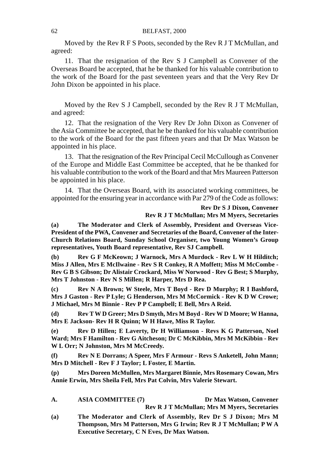Moved by the Rev R F S Poots, seconded by the Rev R J T McMullan, and agreed:

11. That the resignation of the Rev S J Campbell as Convener of the Overseas Board be accepted, that he be thanked for his valuable contribution to the work of the Board for the past seventeen years and that the Very Rev Dr John Dixon be appointed in his place.

Moved by the Rev S J Campbell, seconded by the Rev R J T McMullan, and agreed:

12. That the resignation of the Very Rev Dr John Dixon as Convener of the Asia Committee be accepted, that he be thanked for his valuable contribution to the work of the Board for the past fifteen years and that Dr Max Watson be appointed in his place.

13. That the resignation of the Rev Principal Cecil McCullough as Convener of the Europe and Middle East Committee be accepted, that he be thanked for his valuable contribution to the work of the Board and that Mrs Maureen Patterson be appointed in his place.

14. That the Overseas Board, with its associated working committees, be appointed for the ensuring year in accordance with Par 279 of the Code as follows:

> **Rev Dr S J Dixon, Convener Rev R J T McMullan; Mrs M Myers, Secretaries**

**(a) The Moderator and Clerk of Assembly, President and Overseas Vice-President of the PWA, Convener and Secretaries of the Board, Convener of the Inter-Church Relations Board, Sunday School Organiser, two Young Women's Group representatives, Youth Board representative, Rev SJ Campbell.**

**(b) Rev G F McKeown; J Warnock, Mrs A Murdock - Rev L W H Hilditch; Miss J Allen, Mrs E McIlwaine - Rev S R Conkey, R A Moffett; Miss M McCombe - Rev G B S Gibson; Dr Alistair Crockard, Miss W Norwood - Rev G Best; S Murphy, Mrs T Johnston - Rev N S Millen; R Harper, Mrs D Rea.**

**(c) Rev N A Brown; W Steele, Mrs T Boyd - Rev D Murphy; R I Bashford, Mrs J Gaston - Rev P Lyle; G Henderson, Mrs M McCormick - Rev K D W Crowe; J Michael, Mrs M Binnie - Rev P P Campbell; E Bell, Mrs A Reid.**

**(d) Rev T W D Greer; Mrs D Smyth, Mrs M Boyd - Rev W D Moore; W Hanna, Mrs E Jackson- Rev H R Quinn; W H Hawe, Miss R Taylor.**

**(e) Rev D Hillen; E Laverty, Dr H Williamson - Revs K G Patterson, Noel Ward; Mrs F Hamilton - Rev G Aitcheson; Dr C McKibbin, Mrs M McKibbin - Rev W L Orr; N Johnston, Mrs M McCreedy.**

**(f) Rev N E Dorrans; A Speer, Mrs F Armour - Revs S Anketell, John Mann; Mrs D Mitchell - Rev F J Taylor; L Foster, E Martin.**

**(p) Mrs Doreen McMullen, Mrs Margaret Binnie, Mrs Rosemary Cowan, Mrs Annie Erwin, Mrs Sheila Fell, Mrs Pat Colvin, Mrs Valerie Stewart.**

- **A. ASIA COMMITTEE (7) Dr Max Watson, Convener Rev R J T McMullan; Mrs M Myers, Secretaries**
- **(a) The Moderator and Clerk of Assembly, Rev Dr S J Dixon; Mrs M Thompson, Mrs M Patterson, Mrs G Irwin; Rev R J T McMullan; P W A Executive Secretary, C N Eves, Dr Max Watson.**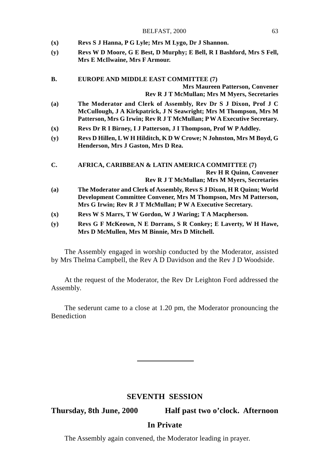| (x) | Revs S J Hanna, P G Lyle; Mrs M Lygo, Dr J Shannon.                                                                                                                                                            |
|-----|----------------------------------------------------------------------------------------------------------------------------------------------------------------------------------------------------------------|
| (y) | Revs W D Moore, G E Best, D Murphy; E Bell, R I Bashford, Mrs S Fell,<br>Mrs E McIlwaine, Mrs F Armour.                                                                                                        |
|     |                                                                                                                                                                                                                |
| В.  | EUROPE AND MIDDLE EAST COMMITTEE (7)                                                                                                                                                                           |
|     | <b>Mrs Maureen Patterson, Convener</b><br><b>Rev R J T McMullan; Mrs M Myers, Secretaries</b>                                                                                                                  |
| (a) | The Moderator and Clerk of Assembly, Rev Dr S J Dixon, Prof J C<br>McCullough, J A Kirkpatrick, J N Seawright; Mrs M Thompson, Mrs M<br>Patterson, Mrs G Irwin; Rev R J T McMullan; P W A Executive Secretary. |
| (x) | Revs Dr R I Birney, I J Patterson, J I Thompson, Prof W P Addley.                                                                                                                                              |
| (y) | Revs D Hillen, L W H Hilditch, K D W Crowe; N Johnston, Mrs M Boyd, G<br>Henderson, Mrs J Gaston, Mrs D Rea.                                                                                                   |
| C.  | AFRICA, CARIBBEAN & LATIN AMERICA COMMITTEE (7)<br><b>Rev H R Quinn, Convener</b><br>Rev R J T McMullan; Mrs M Myers, Secretaries                                                                              |
| (a) | The Moderator and Clerk of Assembly, Revs S J Dixon, H R Quinn; World<br>Development Committee Convener, Mrs M Thompson, Mrs M Patterson,<br>Mrs G Irwin; Rev R J T McMullan; P W A Executive Secretary.       |
| (x) | Revs W S Marrs, T W Gordon, W J Waring; T A Macpherson.                                                                                                                                                        |
| (y) | Revs G F McKeown, N E Dorrans, S R Conkey; E Laverty, W H Hawe,<br>Mrs D McMullen, Mrs M Binnie, Mrs D Mitchell.                                                                                               |

The Assembly engaged in worship conducted by the Moderator, assisted by Mrs Thelma Campbell, the Rev A D Davidson and the Rev J D Woodside.

At the request of the Moderator, the Rev Dr Leighton Ford addressed the Assembly.

The sederunt came to a close at 1.20 pm, the Moderator pronouncing the **Benediction** 

# **SEVENTH SESSION**

**Thursday, 8th June, 2000 Half past two o'clock. Afternoon**

# **In Private**

The Assembly again convened, the Moderator leading in prayer.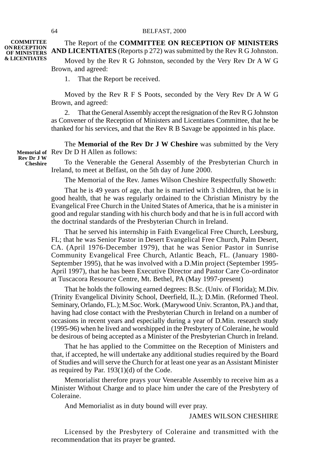**COMMITTEE ON RECEPTION OF MINISTERS & LICENTIATES**

The Report of the **COMMITTEE ON RECEPTION OF MINISTERS AND LICENTIATES** (Reports p 272) was submitted by the Rev R G Johnston.

Moved by the Rev R G Johnston, seconded by the Very Rev Dr A W G Brown, and agreed:

1. That the Report be received.

Moved by the Rev R F S Poots, seconded by the Very Rev Dr A W G Brown, and agreed:

2. That the General Assembly accept the resignation of the Rev R G Johnston as Convener of the Reception of Ministers and Licentiates Committee, that he be thanked for his services, and that the Rev R B Savage be appointed in his place.

The **Memorial of the Rev Dr J W Cheshire** was submitted by the Very Memorial of Rev Dr D H Allen as follows:

> To the Venerable the General Assembly of the Presbyterian Church in Ireland, to meet at Belfast, on the 5th day of June 2000.

The Memorial of the Rev. James Wilson Cheshire Respectfully Showeth:

That he is 49 years of age, that he is married with 3 children, that he is in good health, that he was regularly ordained to the Christian Ministry by the Evangelical Free Church in the United States of America, that he is a minister in good and regular standing with his church body and that he is in full accord with the doctrinal standards of the Presbyterian Church in Ireland.

That he served his internship in Faith Evangelical Free Church, Leesburg, FL; that he was Senior Pastor in Desert Evangelical Free Church, Palm Desert, CA. (April 1976-December 1979), that he was Senior Pastor in Sunrise Community Evangelical Free Church, Atlantic Beach, FL. (January 1980- September 1995), that he was involved with a D.Min project (September 1995- April 1997), that he has been Executive Director and Pastor Care Co-ordinator at Tuscacora Resource Centre, Mt. Bethel, PA (May 1997-present)

That he holds the following earned degrees: B.Sc. (Univ. of Florida); M.Div. (Trinity Evangelical Divinity School, Deerfield, IL.); D.Min. (Reformed Theol. Seminary, Orlando, FL.); M.Soc. Work. (Marywood Univ. Scranton, PA.) and that, having had close contact with the Presbyterian Church in Ireland on a number of occasions in recent years and especially during a year of D.Min. research study (1995-96) when he lived and worshipped in the Presbytery of Coleraine, he would be desirous of being accepted as a Minister of the Presbyterian Church in Ireland.

That he has applied to the Committee on the Reception of Ministers and that, if accepted, he will undertake any additional studies required by the Board of Studies and will serve the Church for at least one year as an Assistant Minister as required by Par. 193(1)(d) of the Code.

Memorialist therefore prays your Venerable Assembly to receive him as a Minister Without Charge and to place him under the care of the Presbytery of Coleraine.

And Memorialist as in duty bound will ever pray.

#### JAMES WILSON CHESHIRE

Licensed by the Presbytery of Coleraine and transmitted with the recommendation that its prayer be granted.

**Rev Dr J W Cheshire**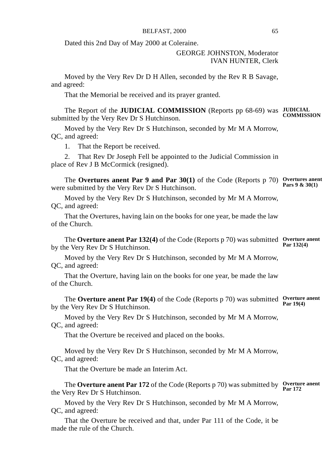Dated this 2nd Day of May 2000 at Coleraine.

GEORGE JOHNSTON, Moderator IVAN HUNTER, Clerk

Moved by the Very Rev Dr D H Allen, seconded by the Rev R B Savage, and agreed:

That the Memorial be received and its prayer granted.

The Report of the **JUDICIAL COMMISSION** (Reports pp 68-69) was **JUDICIAL** submitted by the Very Rev Dr S Hutchinson. **COMMISSION**

Moved by the Very Rev Dr S Hutchinson, seconded by Mr M A Morrow, QC, and agreed:

1. That the Report be received.

2. That Rev Dr Joseph Fell be appointed to the Judicial Commission in place of Rev J B McCormick (resigned).

The **Overtures anent Par 9 and Par 30(1)** of the Code (Reports p 70) Overtures anent were submitted by the Very Rev Dr S Hutchinson. **Pars 9 & 30(1)**

Moved by the Very Rev Dr S Hutchinson, seconded by Mr M A Morrow, QC, and agreed:

That the Overtures, having lain on the books for one year, be made the law of the Church.

The **Overture anent Par 132(4)** of the Code (Reports p 70) was submitted **Overture anent** by the Very Rev Dr S Hutchinson. **Par 132(4)**

Moved by the Very Rev Dr S Hutchinson, seconded by Mr M A Morrow, QC, and agreed:

That the Overture, having lain on the books for one year, be made the law of the Church.

The **Overture anent Par 19(4)** of the Code (Reports p 70) was submitted **Overture anent Par 19(4)** by the Very Rev Dr S Hutchinson.

Moved by the Very Rev Dr S Hutchinson, seconded by Mr M A Morrow, QC, and agreed:

That the Overture be received and placed on the books.

Moved by the Very Rev Dr S Hutchinson, seconded by Mr M A Morrow, QC, and agreed:

That the Overture be made an Interim Act.

The **Overture anent Par 172** of the Code (Reports p 70) was submitted by **Overture anent** the Very Rev Dr S Hutchinson. **Par 172**

Moved by the Very Rev Dr S Hutchinson, seconded by Mr M A Morrow, QC, and agreed:

That the Overture be received and that, under Par 111 of the Code, it be made the rule of the Church.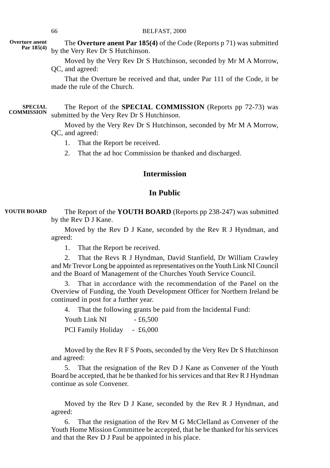The **Overture anent Par 185(4)** of the Code (Reports p 71) was submitted by the Very Rev Dr S Hutchinson. **Overture anent Par 185(4)**

> Moved by the Very Rev Dr S Hutchinson, seconded by Mr M A Morrow, QC, and agreed:

> That the Overture be received and that, under Par 111 of the Code, it be made the rule of the Church.

The Report of the **SPECIAL COMMISSION** (Reports pp 72-73) was submitted by the Very Rev Dr S Hutchinson. **SPECIAL COMMISSION**

> Moved by the Very Rev Dr S Hutchinson, seconded by Mr M A Morrow, QC, and agreed:

1. That the Report be received.

2. That the ad hoc Commission be thanked and discharged.

# **Intermission**

# **In Public**

The Report of the **YOUTH BOARD** (Reports pp 238-247) was submitted by the Rev D J Kane. **YOUTH BOARD**

> Moved by the Rev D J Kane, seconded by the Rev R J Hyndman, and agreed:

1. That the Report be received.

2. That the Revs R J Hyndman, David Stanfield, Dr William Crawley and Mr Trevor Long be appointed as representatives on the Youth Link NI Council and the Board of Management of the Churches Youth Service Council.

3. That in accordance with the recommendation of the Panel on the Overview of Funding, the Youth Development Officer for Northern Ireland be continued in post for a further year.

4. That the following grants be paid from the Incidental Fund:

Youth Link NI  $-£6,500$ 

PCI Family Holiday - £6,000

Moved by the Rev R F S Poots, seconded by the Very Rev Dr S Hutchinson and agreed:

5. That the resignation of the Rev D J Kane as Convener of the Youth Board be accepted, that he be thanked for his services and that Rev R J Hyndman continue as sole Convener.

Moved by the Rev D J Kane, seconded by the Rev R J Hyndman, and agreed:

6. That the resignation of the Rev M G McClelland as Convener of the Youth Home Mission Committee be accepted, that he be thanked for his services and that the Rev D J Paul be appointed in his place.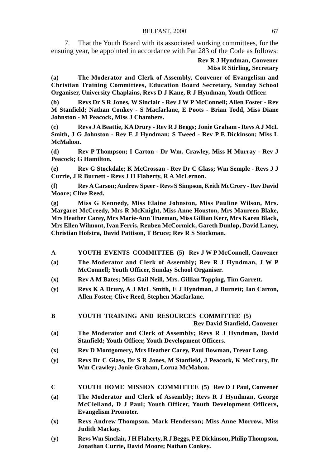7. That the Youth Board with its associated working committees, for the ensuing year, be appointed in accordance with Par 283 of the Code as follows:

> **Rev R J Hyndman, Convener Miss R Stirling, Secretary**

**(a) The Moderator and Clerk of Assembly, Convener of Evangelism and Christian Training Committees, Education Board Secretary, Sunday School Organiser, University Chaplains, Revs D J Kane, R J Hyndman, Youth Officer.**

**(b) Revs Dr S R Jones, W Sinclair - Rev J W P McConnell; Allen Foster - Rev M Stanfield; Nathan Conkey - S Macfarlane, E Poots - Brian Todd, Miss Diane Johnston - M Peacock, Miss J Chambers.**

**(c) Revs J A Beattie, KA Drury - Rev R J Beggs; Jonie Graham - Revs A J McL Smith, J G Johnston - Rev E J Hyndman; S Tweed - Rev P E Dickinson; Miss L McMahon.**

**(d) Rev P Thompson; I Carton - Dr Wm. Crawley, Miss H Murray - Rev J Peacock; G Hamilton.**

**(e) Rev G Stockdale; K McCrossan - Rev Dr C Glass; Wm Semple - Revs J J Currie, J R Burnett - Revs J H Flaherty, R A McLernon.**

**(f) Rev A Carson; Andrew Speer - Revs S Simpson, Keith McCrory - Rev David Moore; Clive Reed.**

**(g) Miss G Kennedy, Miss Elaine Johnston, Miss Pauline Wilson, Mrs. Margaret McCreedy, Mrs R McKnight, Miss Anne Houston, Mrs Maureen Blake, Mrs Heather Carey, Mrs Marie-Ann Trueman, Miss Gillian Kerr, Mrs Karen Black, Mrs Ellen Wilmont, Ivan Ferris, Reuben McCormick, Gareth Dunlop, David Laney, Christian Hofstra, David Pattison, T Bruce; Rev R S Stockman.**

- **A YOUTH EVENTS COMMITTEE (5) Rev J W P McConnell, Convener**
- **(a) The Moderator and Clerk of Assembly; Rev R J Hyndman, J W P McConnell; Youth Officer, Sunday School Organiser.**
- **(x) Rev A M Bates; Miss Gail Neill, Mrs. Gillian Topping, Tim Garrett.**
- **(y) Revs K A Drury, A J McL Smith, E J Hyndman, J Burnett; Ian Carton, Allen Foster, Clive Reed, Stephen Macfarlane.**
- **B YOUTH TRAINING AND RESOURCES COMMITTEE (5) Rev David Stanfield, Convener**
- **(a) The Moderator and Clerk of Assembly; Revs R J Hyndman, David Stanfield; Youth Officer, Youth Development Officers.**
- **(x) Rev D Montgomery, Mrs Heather Carey, Paul Bowman, Trevor Long.**
- **(y) Revs Dr C Glass, Dr S R Jones, M Stanfield, J Peacock, K McCrory, Dr Wm Crawley; Jonie Graham, Lorna McMahon.**
- **C YOUTH HOME MISSION COMMITTEE (5) Rev D J Paul, Convener**
- **(a) The Moderator and Clerk of Assembly; Revs R J Hyndman, George McClelland, D J Paul; Youth Officer, Youth Development Officers, Evangelism Promoter.**
- **(x) Revs Andrew Thompson, Mark Henderson; Miss Anne Morrow, Miss Judith Mackay.**
- **(y) Revs Wm Sinclair, J H Flaherty, R J Beggs, P E Dickinson, Philip Thompson, Jonathan Currie, David Moore; Nathan Conkey.**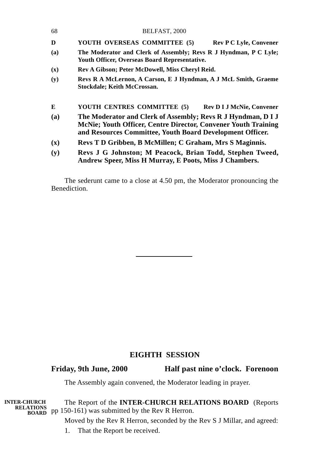| 68             | BELFAST, 2000                                                                                                                                                                               |  |  |
|----------------|---------------------------------------------------------------------------------------------------------------------------------------------------------------------------------------------|--|--|
| D              | YOUTH OVERSEAS COMMITTEE (5)<br><b>Rev P C Lyle, Convener</b>                                                                                                                               |  |  |
| (a)            | The Moderator and Clerk of Assembly; Revs R J Hyndman, P C Lyle;<br><b>Youth Officer, Overseas Board Representative.</b>                                                                    |  |  |
| $(\mathbf{x})$ | Rev A Gibson; Peter McDowell, Miss Cheryl Reid.                                                                                                                                             |  |  |
| (y)            | Revs R A McLernon, A Carson, E J Hyndman, A J McL Smith, Graeme<br>Stockdale; Keith McCrossan.                                                                                              |  |  |
| E              | YOUTH CENTRES COMMITTEE (5)<br><b>Rev D I J McNie, Convener</b>                                                                                                                             |  |  |
| (a)            | The Moderator and Clerk of Assembly; Revs R J Hyndman, D I J<br>McNie; Youth Officer, Centre Director, Convener Youth Training<br>and Resources Committee, Youth Board Development Officer. |  |  |
| $(\mathbf{x})$ | Revs T D Gribben, B McMillen; C Graham, Mrs S Maginnis.                                                                                                                                     |  |  |
| (y)            | Revs J G Johnston; M Peacock, Brian Todd, Stephen Tweed,<br>Andrew Speer, Miss H Murray, E Poots, Miss J Chambers.                                                                          |  |  |

The sederunt came to a close at 4.50 pm, the Moderator pronouncing the Benediction.

# **EIGHTH SESSION**

# **Friday, 9th June, 2000 Half past nine o'clock. Forenoon**

The Assembly again convened, the Moderator leading in prayer.

The Report of the **INTER-CHURCH RELATIONS BOARD** (Reports **RELATIONS** pp 150-161) was submitted by the Rev R Herron. **INTER-CHURCH**

Moved by the Rev R Herron, seconded by the Rev S J Millar, and agreed:

1. That the Report be received.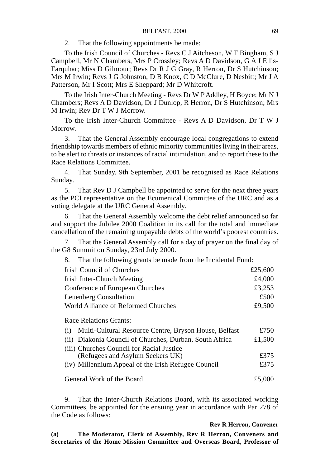2. That the following appointments be made:

To the Irish Council of Churches - Revs C J Aitcheson, W T Bingham, S J Campbell, Mr N Chambers, Mrs P Crossley; Revs A D Davidson, G A J Ellis-Farquhar; Miss D Gilmour; Revs Dr R J G Gray, R Herron, Dr S Hutchinson; Mrs M Irwin; Revs J G Johnston, D B Knox, C D McClure, D Nesbitt; Mr J A Patterson, Mr I Scott; Mrs E Sheppard; Mr D Whitcroft.

To the Irish Inter-Church Meeting - Revs Dr W P Addley, H Boyce; Mr N J Chambers; Revs A D Davidson, Dr J Dunlop, R Herron, Dr S Hutchinson; Mrs M Irwin; Rev Dr T W J Morrow.

To the Irish Inter-Church Committee - Revs A D Davidson, Dr T W J Morrow.

3. That the General Assembly encourage local congregations to extend friendship towards members of ethnic minority communities living in their areas, to be alert to threats or instances of racial intimidation, and to report these to the Race Relations Committee.

4. That Sunday, 9th September, 2001 be recognised as Race Relations Sunday.

5. That Rev D J Campbell be appointed to serve for the next three years as the PCI representative on the Ecumenical Committee of the URC and as a voting delegate at the URC General Assembly.

6. That the General Assembly welcome the debt relief announced so far and support the Jubilee 2000 Coalition in its call for the total and immediate cancellation of the remaining unpayable debts of the world's poorest countries.

7. That the General Assembly call for a day of prayer on the final day of the G8 Summit on Sunday, 23rd July 2000.

8. That the following grants be made from the Incidental Fund:

| Irish Council of Churches                                                                                                            | £25,600      |
|--------------------------------------------------------------------------------------------------------------------------------------|--------------|
| Irish Inter-Church Meeting                                                                                                           |              |
| Conference of European Churches                                                                                                      |              |
| Leuenberg Consultation                                                                                                               |              |
| World Alliance of Reformed Churches                                                                                                  |              |
| Race Relations Grants:<br>Multi-Cultural Resource Centre, Bryson House, Belfast<br>(i)                                               | £750         |
| (ii) Diakonia Council of Churches, Durban, South Africa                                                                              | £1,500       |
| (iii) Churches Council for Racial Justice<br>(Refugees and Asylum Seekers UK)<br>(iv) Millennium Appeal of the Irish Refugee Council | £375<br>£375 |
| General Work of the Board                                                                                                            | £5,000       |

9. That the Inter-Church Relations Board, with its associated working Committees, be appointed for the ensuing year in accordance with Par 278 of the Code as follows:

# **Rev R Herron, Convener**

**(a) The Moderator, Clerk of Assembly, Rev R Herron, Conveners and Secretaries of the Home Mission Committee and Overseas Board, Professor of**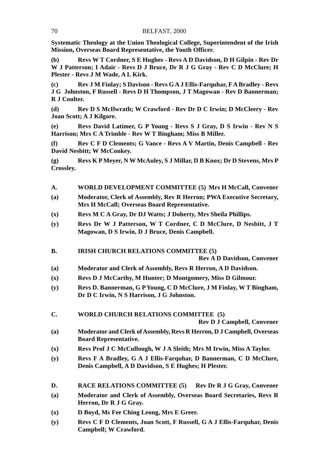**Systematic Theology at the Union Theological College, Superintendent of the Irish Mission, Overseas Board Representative, the Youth Officer.**

**(b) Revs W T Cordner, S E Hughes - Revs A D Davidson, D H Gilpin - Rev Dr W J Patterson; I Adair - Revs D J Bruce, Dr R J G Gray - Rev C D McClure; H Plester - Revs J M Wade, A L Kirk.**

**(c) Rev J M Finlay; S Davison - Revs G A J Ellis-Farquhar, F A Bradley - Revs J G Johnston, F Russell - Revs D H Thompson, J T Magowan - Rev D Bannerman; R J Coulter.**

**(d) Rev D S McIlwrath; W Crawford - Rev Dr D C Irwin; D McCleery - Rev Joan Scott; A J Kilgore.**

**(e) Revs David Latimer, G P Young - Revs S J Gray, D S Irwin - Rev N S Harrison; Mrs C A Trimble - Rev W T Bingham; Miss B Miller.**

**(f) Rev C F D Clements; G Vance - Revs A V Martin, Denis Campbell - Rev David Nesbitt; W McConkey.**

**(g) Revs K P Meyer, N W McAuley, S J Millar, D B Knox; Dr D Stevens, Mrs P Crossley.**

- **A. WORLD DEVELOPMENT COMMITTEE (5) Mrs H McCall, Convener**
- **(a) Moderator, Clerk of Assembly, Rev R Herron; PWA Executive Secretary, Mrs H McCall; Overseas Board Representative.**
- **(x) Revs M C A Gray, Dr DJ Watts; J Doherty, Mrs Sheila Phillips.**
- **(y) Revs Dr W J Patterson, W T Cordner, C D McClure, D Nesbitt, J T Magowan, D S Irwin, D J Bruce, Denis Campbell.**

#### **B. IRISH CHURCH RELATIONS COMMITTEE (5)**

**Rev A D Davidson, Convener**

- **(a) Moderator and Clerk of Assembly, Revs R Herron, A D Davidson.**
- **(x) Revs D J McCarthy, M Hunter; D Montgomery, Miss D Gilmour.**
- **(y) Revs D. Bannerman, G P Young, C D McClure, J M Finlay, W T Bingham, Dr D C Irwin, N S Harrison, J G Johnston.**
- **C. WORLD CHURCH RELATIONS COMMITTEE (5)**

**Rev D J Campbell, Convener**

- **(a) Moderator and Clerk of Assembly, Revs R Herron, D J Campbell, Overseas Board Representative.**
- **(x) Revs Prof J C McCullough, W J A Sleith; Mrs M Irwin, Miss A Taylor.**
- **(y) Revs F A Bradley, G A J Ellis-Farquhar, D Bannerman, C D McClure, Denis Campbell, A D Davidson, S E Hughes; H Plester.**
- **D. RACE RELATIONS COMMITTEE (5) Rev Dr R J G Gray, Convener**
- **(a) Moderator and Clerk of Assembly, Overseas Board Secretaries, Revs R Herron, Dr R J G Gray.**
- **(x) D Boyd, Ms Fee Ching Leong, Mrs E Greer.**
- **(y) Revs C F D Clements, Joan Scott, F Russell, G A J Ellis-Farquhar, Denis Campbell; W Crawford.**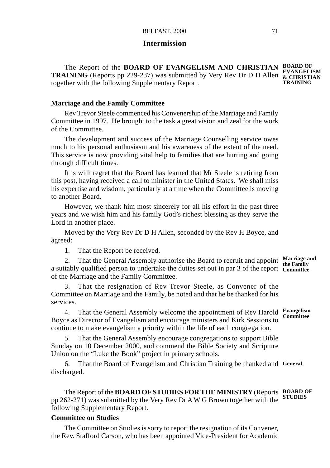# **Intermission**

The Report of the **BOARD OF EVANGELISM AND CHRISTIAN BOARD OF TRAINING** (Reports pp 229-237) was submitted by Very Rev Dr D H Allen & CHRISTIAN **EVANGELISM** together with the following Supplementary Report. **TRAINING**

#### **Marriage and the Family Committee**

Rev Trevor Steele commenced his Convenership of the Marriage and Family Committee in 1997. He brought to the task a great vision and zeal for the work of the Committee.

The development and success of the Marriage Counselling service owes much to his personal enthusiasm and his awareness of the extent of the need. This service is now providing vital help to families that are hurting and going through difficult times.

It is with regret that the Board has learned that Mr Steele is retiring from this post, having received a call to minister in the United States. We shall miss his expertise and wisdom, particularly at a time when the Committee is moving to another Board.

However, we thank him most sincerely for all his effort in the past three years and we wish him and his family God's richest blessing as they serve the Lord in another place.

Moved by the Very Rev Dr D H Allen, seconded by the Rev H Boyce, and agreed:

1. That the Report be received.

2. That the General Assembly authorise the Board to recruit and appoint **Marriage and the Family** a suitably qualified person to undertake the duties set out in par 3 of the report **Committee** of the Marriage and the Family Committee.

3. That the resignation of Rev Trevor Steele, as Convener of the Committee on Marriage and the Family, be noted and that he be thanked for his services.

4. That the General Assembly welcome the appointment of Rev Harold **Evangelism Committee** Boyce as Director of Evangelism and encourage ministers and Kirk Sessions to continue to make evangelism a priority within the life of each congregation.

5. That the General Assembly encourage congregations to support Bible Sunday on 10 December 2000, and commend the Bible Society and Scripture Union on the "Luke the Book" project in primary schools.

6. That the Board of Evangelism and Christian Training be thanked and **General** discharged.

The Report of the **BOARD OF STUDIES FOR THE MINISTRY** (Reports **BOARD OF** pp 262-271) was submitted by the Very Rev Dr A W G Brown together with the **STUDIES**following Supplementary Report.

# **Committee on Studies**

The Committee on Studies is sorry to report the resignation of its Convener, the Rev. Stafford Carson, who has been appointed Vice-President for Academic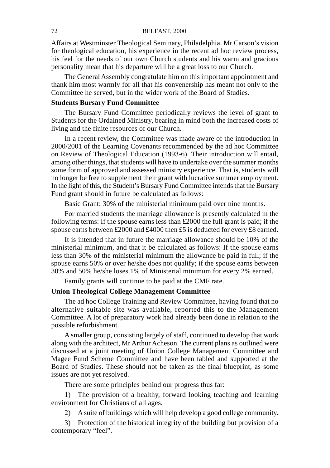Affairs at Westminster Theological Seminary, Philadelphia. Mr Carson's vision for theological education, his experience in the recent ad hoc review process, his feel for the needs of our own Church students and his warm and gracious personality mean that his departure will be a great loss to our Church.

The General Assembly congratulate him on this important appointment and thank him most warmly for all that his convenership has meant not only to the Committee he served, but in the wider work of the Board of Studies.

# **Students Bursary Fund Committee**

The Bursary Fund Committee periodically reviews the level of grant to Students for the Ordained Ministry, bearing in mind both the increased costs of living and the finite resources of our Church.

In a recent review, the Committee was made aware of the introduction in 2000/2001 of the Learning Covenants recommended by the ad hoc Committee on Review of Theological Education (1993-6). Their introduction will entail, among other things, that students will have to undertake over the summer months some form of approved and assessed ministry experience. That is, students will no longer be free to supplement their grant with lucrative summer employment. In the light of this, the Student's Bursary Fund Committee intends that the Bursary Fund grant should in future be calculated as follows:

Basic Grant: 30% of the ministerial minimum paid over nine months.

For married students the marriage allowance is presently calculated in the following terms: If the spouse earns less than £2000 the full grant is paid; if the spouse earns between £2000 and £4000 then £5 is deducted for every £8 earned.

It is intended that in future the marriage allowance should be 10% of the ministerial minimum, and that it be calculated as follows: If the spouse earns less than 30% of the ministerial minimum the allowance be paid in full; if the spouse earns 50% or over he/she does not qualify; if the spouse earns between 30% and 50% he/she loses 1% of Ministerial minimum for every 2% earned.

Family grants will continue to be paid at the CMF rate.

# **Union Theological College Management Committee**

The ad hoc College Training and Review Committee, having found that no alternative suitable site was available, reported this to the Management Committee. A lot of preparatory work had already been done in relation to the possible refurbishment.

A smaller group, consisting largely of staff, continued to develop that work along with the architect, Mr Arthur Acheson. The current plans as outlined were discussed at a joint meeting of Union College Management Committee and Magee Fund Scheme Committee and have been tabled and supported at the Board of Studies. These should not be taken as the final blueprint, as some issues are not yet resolved.

There are some principles behind our progress thus far:

1) The provision of a healthy, forward looking teaching and learning environment for Christians of all ages.

2) A suite of buildings which will help develop a good college community.

3) Protection of the historical integrity of the building but provision of a contemporary "feel".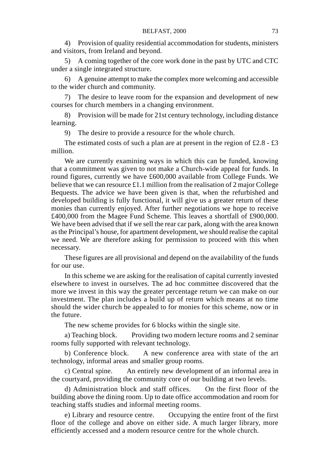4) Provision of quality residential accommodation for students, ministers and visitors, from Ireland and beyond.

5) A coming together of the core work done in the past by UTC and CTC under a single integrated structure.

6) A genuine attempt to make the complex more welcoming and accessible to the wider church and community.

7) The desire to leave room for the expansion and development of new courses for church members in a changing environment.

8) Provision will be made for 21st century technology, including distance learning.

9) The desire to provide a resource for the whole church.

The estimated costs of such a plan are at present in the region of £2.8 - £3 million.

We are currently examining ways in which this can be funded, knowing that a commitment was given to not make a Church-wide appeal for funds. In round figures, currently we have £600,000 available from College Funds. We believe that we can resource £1.1 million from the realisation of 2 major College Bequests. The advice we have been given is that, when the refurbished and developed building is fully functional, it will give us a greater return of these monies than currently enjoyed. After further negotiations we hope to receive £400,000 from the Magee Fund Scheme. This leaves a shortfall of £900,000. We have been advised that if we sell the rear car park, along with the area known as the Principal's house, for apartment development, we should realise the capital we need. We are therefore asking for permission to proceed with this when necessary.

These figures are all provisional and depend on the availability of the funds for our use.

In this scheme we are asking for the realisation of capital currently invested elsewhere to invest in ourselves. The ad hoc committee discovered that the more we invest in this way the greater percentage return we can make on our investment. The plan includes a build up of return which means at no time should the wider church be appealed to for monies for this scheme, now or in the future.

The new scheme provides for 6 blocks within the single site.

a) Teaching block. Providing two modern lecture rooms and 2 seminar rooms fully supported with relevant technology.

b) Conference block. A new conference area with state of the art technology, informal areas and smaller group rooms.

c) Central spine. An entirely new development of an informal area in the courtyard, providing the community core of our building at two levels.

d) Administration block and staff offices. On the first floor of the building above the dining room. Up to date office accommodation and room for teaching staffs studies and informal meeting rooms.

e) Library and resource centre. Occupying the entire front of the first floor of the college and above on either side. A much larger library, more efficiently accessed and a modern resource centre for the whole church.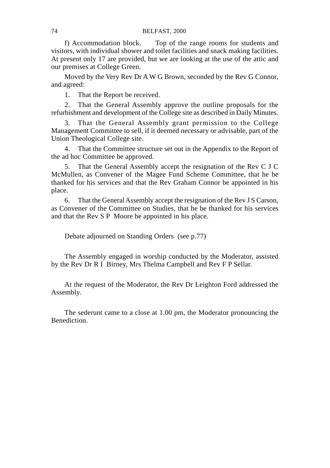f) Accommodation block. Top of the range rooms for students and visitors, with individual shower and toilet facilities and snack making facilities. At present only 17 are provided, but we are looking at the use of the attic and our premises at College Green.

Moved by the Very Rev Dr A W G Brown, seconded by the Rev G Connor, and agreed:

1. That the Report be received.

2. That the General Assembly approve the outline proposals for the refurbishment and development of the College site as described in Daily Minutes.

3. That the General Assembly grant permission to the College Management Committee to sell, if it deemed necessary or advisable, part of the Union Theological College site.

4. That the Committee structure set out in the Appendix to the Report of the ad hoc Committee be approved.

5. That the General Assembly accept the resignation of the Rev C J C McMullen, as Convener of the Magee Fund Scheme Committee, that he be thanked for his services and that the Rev Graham Connor be appointed in his place.

6. That the General Assembly accept the resignation of the Rev J S Carson, as Convener of the Committee on Studies, that he be thanked for his services and that the Rev S P Moore be appointed in his place.

Debate adjourned on Standing Orders (see p.77)

The Assembly engaged in worship conducted by the Moderator, assisted by the Rev Dr R I Birney, Mrs Thelma Campbell and Rev F P Sellar.

At the request of the Moderator, the Rev Dr Leighton Ford addressed the Assembly.

The sederunt came to a close at 1.00 pm, the Moderator pronouncing the Benediction.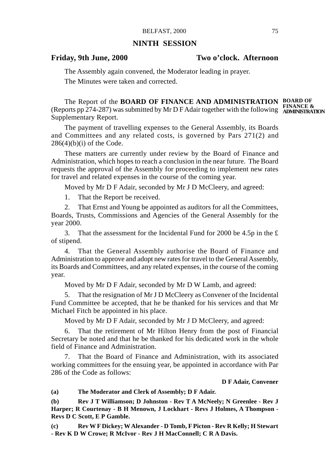#### **NINTH SESSION**

#### **Friday, 9th June, 2000 Two o'clock. Afternoon**

The Assembly again convened, the Moderator leading in prayer. The Minutes were taken and corrected.

The Report of the **BOARD OF FINANCE AND ADMINISTRATION BOARD OF EXAMPLE PROPERTY OF THE CONSTRUCT OF A LARGE AND THE CONSTRUCT OF FINANCE &**<br> **(Reports pp 274-287)** was submitted by Mr D F Adair together with the following **ADMINISTRATION** Supplementary Report.

The payment of travelling expenses to the General Assembly, its Boards and Committees and any related costs, is governed by Pars 271(2) and  $286(4)(b)(i)$  of the Code.

These matters are currently under review by the Board of Finance and Administration, which hopes to reach a conclusion in the near future. The Board requests the approval of the Assembly for proceeding to implement new rates for travel and related expenses in the course of the coming year.

Moved by Mr D F Adair, seconded by Mr J D McCleery, and agreed:

1. That the Report be received.

2. That Ernst and Young be appointed as auditors for all the Committees, Boards, Trusts, Commissions and Agencies of the General Assembly for the year 2000.

3. That the assessment for the Incidental Fund for 2000 be 4.5p in the £ of stipend.

4. That the General Assembly authorise the Board of Finance and Administration to approve and adopt new rates for travel to the General Assembly, its Boards and Committees, and any related expenses, in the course of the coming year.

Moved by Mr D F Adair, seconded by Mr D W Lamb, and agreed:

5. That the resignation of Mr J D McCleery as Convener of the Incidental Fund Committee be accepted, that he be thanked for his services and that Mr Michael Fitch be appointed in his place.

Moved by Mr D F Adair, seconded by Mr J D McCleery, and agreed:

6. That the retirement of Mr Hilton Henry from the post of Financial Secretary be noted and that he be thanked for his dedicated work in the whole field of Finance and Administration.

7. That the Board of Finance and Administration, with its associated working committees for the ensuing year, be appointed in accordance with Par 286 of the Code as follows:

#### **D F Adair, Convener**

**(a) The Moderator and Clerk of Assembly; D F Adair.**

**(b) Rev J T Williamson; D Johnston - Rev T A McNeely; N Greenlee - Rev J Harper; R Courtenay - B H Menown, J Lockhart - Revs J Holmes, A Thompson - Revs D C Scott, E P Gamble.**

**(c) Rev W F Dickey; W Alexander - D Tomb, F Picton - Rev R Kelly; H Stewart - Rev K D W Crowe; R McIvor - Rev J H MacConnell; C R A Davis.**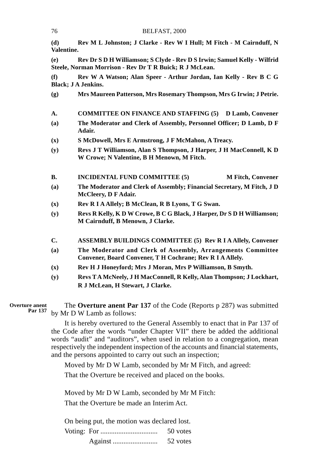| 76                | BELFAST, 2000                                                                                                                       |
|-------------------|-------------------------------------------------------------------------------------------------------------------------------------|
| (d)<br>Valentine. | Rev M L Johnston; J Clarke - Rev W I Hull; M Fitch - M Cairnduff, N                                                                 |
| (e)               | Rev Dr S D H Williamson; S Clyde - Rev D S Irwin; Samuel Kelly - Wilfrid<br>Steele, Norman Morrison - Rev Dr T R Buick; R J McLean. |
| (f)               | Rev W A Watson; Alan Speer - Arthur Jordan, Ian Kelly - Rev B C G<br>Black; J A Jenkins.                                            |
| (g)               | Mrs Maureen Patterson, Mrs Rosemary Thompson, Mrs G Irwin; J Petrie.                                                                |
| A.                | <b>COMMITTEE ON FINANCE AND STAFFING (5)</b><br>D Lamb, Convener                                                                    |
| (a)               | The Moderator and Clerk of Assembly, Personnel Officer; D Lamb, D F<br>Adair.                                                       |
| (x)               | S McDowell, Mrs E Armstrong, J F McMahon, A Treacy.                                                                                 |
| (y)               | Revs J T Williamson, Alan S Thompson, J Harper, J H MacConnell, K D<br>W Crowe; N Valentine, B H Menown, M Fitch.                   |
| <b>B.</b>         | <b>INCIDENTAL FUND COMMITTEE (5)</b><br><b>M Fitch, Convener</b>                                                                    |
| (a)               | The Moderator and Clerk of Assembly; Financial Secretary, M Fitch, J D<br><b>McCleery, D F Adair.</b>                               |
| (x)               | Rev R I A Allely; B McClean, R B Lyons, T G Swan.                                                                                   |
| (y)               | Revs R Kelly, K D W Crowe, B C G Black, J Harper, Dr S D H Williamson;<br>M Cairnduff, B Menown, J Clarke.                          |
| C.                | <b>ASSEMBLY BUILDINGS COMMITTEE (5) Rev R I A Allely, Convener</b>                                                                  |
| (a)               | The Moderator and Clerk of Assembly, Arrangements Committee<br>Convener, Board Convener, T H Cochrane; Rev R I A Allely.            |
| (x)               | Rev H J Honeyford; Mrs J Moran, Mrs P Williamson, B Smyth.                                                                          |
| (y)               | Revs TA McNeely, J H MacConnell, R Kelly, Alan Thompson; J Lockhart,                                                                |

The **Overture anent Par 137** of the Code (Reports p 287) was submitted by Mr D W Lamb as follows: **Overture anent Par 137**

**R J McLean, H Stewart, J Clarke.**

It is hereby overtured to the General Assembly to enact that in Par 137 of the Code after the words "under Chapter VII" there be added the additional words "audit" and "auditors", when used in relation to a congregation, mean respectively the independent inspection of the accounts and financial statements, and the persons appointed to carry out such an inspection;

Moved by Mr D W Lamb, seconded by Mr M Fitch, and agreed:

That the Overture be received and placed on the books.

Moved by Mr D W Lamb, seconded by Mr M Fitch: That the Overture be made an Interim Act.

On being put, the motion was declared lost.

|  | 50 votes |
|--|----------|
|  | 52 votes |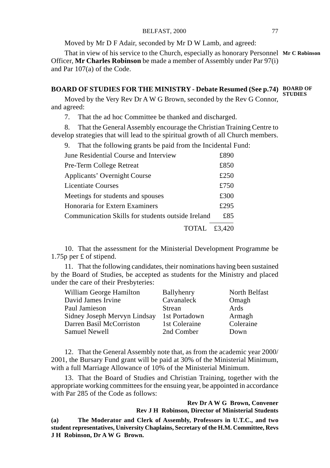Moved by Mr D F Adair, seconded by Mr D W Lamb, and agreed:

That in view of his service to the Church, especially as honorary Personnel **Mr C Robinson** Officer, **Mr Charles Robinson** be made a member of Assembly under Par 97(i) and Par 107(a) of the Code.

#### **BOARD OF STUDIES FOR THE MINISTRY - Debate Resumed (See p.74) BOARD OF STUDIES**

Moved by the Very Rev Dr A W G Brown, seconded by the Rev G Connor, and agreed:

7. That the ad hoc Committee be thanked and discharged.

8. That the General Assembly encourage the Christian Training Centre to develop strategies that will lead to the spiritual growth of all Church members.

9. That the following grants be paid from the Incidental Fund:

| June Residential Course and Interview             | £890   |
|---------------------------------------------------|--------|
| Pre-Term College Retreat                          | £850   |
| <b>Applicants' Overnight Course</b>               | £250   |
| Licentiate Courses                                | £750   |
| Meetings for students and spouses                 | £300   |
| Honoraria for Extern Examiners                    | £295   |
| Communication Skills for students outside Ireland | £85    |
| TOTAL                                             | £3.420 |

10. That the assessment for the Ministerial Development Programme be 1.75p per £ of stipend.

11. That the following candidates, their nominations having been sustained by the Board of Studies, be accepted as students for the Ministry and placed under the care of their Presbyteries:

| William George Hamilton      | Ballyhenry    | North Belfast |  |  |
|------------------------------|---------------|---------------|--|--|
| David James Irvine           | Cavanaleck    | Omagh         |  |  |
| Paul Jamieson                | Strean        | Ards          |  |  |
| Sidney Joseph Mervyn Lindsay | 1st Portadown | Armagh        |  |  |
| Darren Basil McCorriston     | 1st Coleraine | Coleraine     |  |  |
| Samuel Newell                | 2nd Comber    | Down          |  |  |

12. That the General Assembly note that, as from the academic year 2000/ 2001, the Bursary Fund grant will be paid at 30% of the Ministerial Minimum, with a full Marriage Allowance of 10% of the Ministerial Minimum.

13. That the Board of Studies and Christian Training, together with the appropriate working committees for the ensuing year, be appointed in accordance with Par 285 of the Code as follows:

> **Rev Dr A W G Brown, Convener Rev J H Robinson, Director of Ministerial Students**

**(a) The Moderator and Clerk of Assembly, Professors in U.T.C., and two student representatives, University Chaplains, Secretary of the H.M. Committee, Revs J H Robinson, Dr A W G Brown.**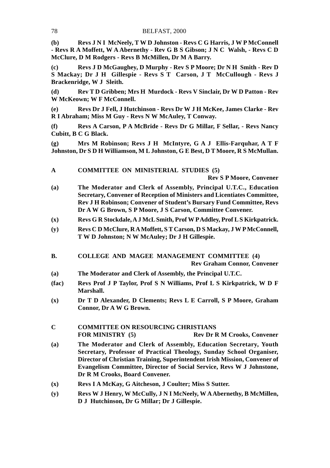**(b) Revs J N I McNeely, T W D Johnston - Revs C G Harris, J W P McConnell - Revs R A Moffett, W A Abernethy - Rev G B S Gibson; J N C Walsh, - Revs C D McClure, D M Rodgers - Revs B McMillen, Dr M A Barry.**

**(c) Revs J D McGaughey, D Murphy - Rev S P Moore; Dr N H Smith - Rev D S Mackay; Dr J H Gillespie - Revs S T Carson, J T McCullough - Revs J Brackenridge, W J Sleith.**

**(d) Rev T D Gribben; Mrs H Murdock - Revs V Sinclair, Dr W D Patton - Rev W McKeown; W F McConnell.**

**(e) Revs Dr J Fell, J Hutchinson - Revs Dr W J H McKee, James Clarke - Rev R I Abraham; Miss M Guy - Revs N W McAuley, T Conway.**

**(f) Revs A Carson, P A McBride - Revs Dr G Millar, F Sellar, - Revs Nancy Cubitt, B C G Black.**

**(g) Mrs M Robinson; Revs J H McIntyre, G A J Ellis-Farquhar, A T F Johnston, Dr S D H Williamson, M L Johnston, G E Best, D T Moore, R S McMullan.**

#### **A COMMITTEE ON MINISTERIAL STUDIES (5)**

**Rev S P Moore, Convener**

- **(a) The Moderator and Clerk of Assembly, Principal U.T.C., Education Secretary, Convener of Reception of Ministers and Licentiates Committee, Rev J H Robinson; Convener of Student's Bursary Fund Committee, Revs Dr A W G Brown, S P Moore, J S Carson, Committee Convener.**
- **(x) Revs G R Stockdale, A J McL Smith, Prof W P Addley, Prof L S Kirkpatrick.**
- **(y) Revs C D McClure, R A Moffett, S T Carson, D S Mackay, J W P McConnell, T W D Johnston; N W McAuley; Dr J H Gillespie.**

#### **B. COLLEGE AND MAGEE MANAGEMENT COMMITTEE (4)**

**Rev Graham Connor, Convener**

- **(a) The Moderator and Clerk of Assembly, the Principal U.T.C.**
- **(fac) Revs Prof J P Taylor, Prof S N Williams, Prof L S Kirkpatrick, W D F Marshall.**
- **(x) Dr T D Alexander, D Clements; Revs L E Carroll, S P Moore, Graham Connor, Dr A W G Brown.**
- **C COMMITTEE ON RESOURCING CHRISTIANS FOR MINISTRY (5) Rev Dr R M Crooks, Convener**
- **(a) The Moderator and Clerk of Assembly, Education Secretary, Youth Secretary, Professor of Practical Theology, Sunday School Organiser, Director of Christian Training, Superintendent Irish Mission, Convener of Evangelism Committee, Director of Social Service, Revs W J Johnstone, Dr R M Crooks, Board Convener.**
- **(x) Revs I A McKay, G Aitcheson, J Coulter; Miss S Sutter.**
- **(y) Revs W J Henry, W McCully, J N I McNeely, W A Abernethy, B McMillen, D J Hutchinson, Dr G Millar; Dr J Gillespie.**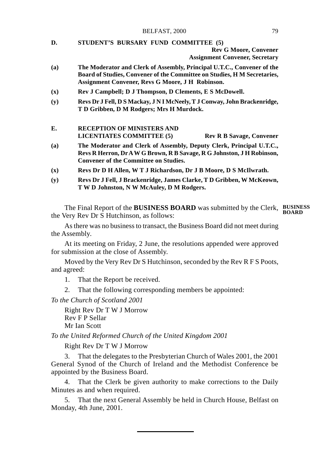**D. STUDENT'S BURSARY FUND COMMITTEE (5)**

**Rev G Moore, Convener Assignment Convener, Secretary**

- **(a) The Moderator and Clerk of Assembly, Principal U.T.C., Convener of the Board of Studies, Convener of the Committee on Studies, H M Secretaries, Assignment Convener, Revs G Moore, J H Robinson.**
- **(x) Rev J Campbell; D J Thompson, D Clements, E S McDowell.**
- **(y) Revs Dr J Fell, D S Mackay, J N I McNeely, T J Conway, John Brackenridge, T D Gribben, D M Rodgers; Mrs H Murdock.**

#### **E. RECEPTION OF MINISTERS AND LICENTIATES COMMITTEE (5) Rev R B Savage, Convener**

- **(a) The Moderator and Clerk of Assembly, Deputy Clerk, Principal U.T.C., Revs R Herron, Dr A W G Brown, R B Savage, R G Johnston, J H Robinson, Convener of the Committee on Studies.**
- **(x) Revs Dr D H Allen, W T J Richardson, Dr J B Moore, D S McIlwrath.**
- **(y) Revs Dr J Fell, J Brackenridge, James Clarke, T D Gribben, W McKeown, T W D Johnston, N W McAuley, D M Rodgers.**

The Final Report of the **BUSINESS BOARD** was submitted by the Clerk, **BUSINESS** the Very Rev Dr S Hutchinson, as follows: **BOARD**

As there was no business to transact, the Business Board did not meet during the Assembly.

At its meeting on Friday, 2 June, the resolutions appended were approved for submission at the close of Assembly.

Moved by the Very Rev Dr S Hutchinson, seconded by the Rev R F S Poots, and agreed:

- 1. That the Report be received.
- 2. That the following corresponding members be appointed:

*To the Church of Scotland 2001*

Right Rev Dr T W J Morrow Rev F P Sellar Mr Ian Scott

*To the United Reformed Church of the United Kingdom 2001*

Right Rev Dr T W J Morrow

3. That the delegates to the Presbyterian Church of Wales 2001, the 2001 General Synod of the Church of Ireland and the Methodist Conference be appointed by the Business Board.

4. That the Clerk be given authority to make corrections to the Daily Minutes as and when required.

5. That the next General Assembly be held in Church House, Belfast on Monday, 4th June, 2001.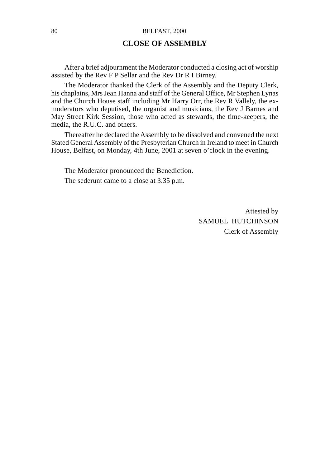#### **CLOSE OF ASSEMBLY**

After a brief adjournment the Moderator conducted a closing act of worship assisted by the Rev F P Sellar and the Rev Dr R I Birney.

The Moderator thanked the Clerk of the Assembly and the Deputy Clerk, his chaplains, Mrs Jean Hanna and staff of the General Office, Mr Stephen Lynas and the Church House staff including Mr Harry Orr, the Rev R Vallely, the exmoderators who deputised, the organist and musicians, the Rev J Barnes and May Street Kirk Session, those who acted as stewards, the time-keepers, the media, the R.U.C. and others.

Thereafter he declared the Assembly to be dissolved and convened the next Stated General Assembly of the Presbyterian Church in Ireland to meet in Church House, Belfast, on Monday, 4th June, 2001 at seven o'clock in the evening.

The Moderator pronounced the Benediction.

The sederunt came to a close at 3.35 p.m.

Attested by SAMUEL HUTCHINSON Clerk of Assembly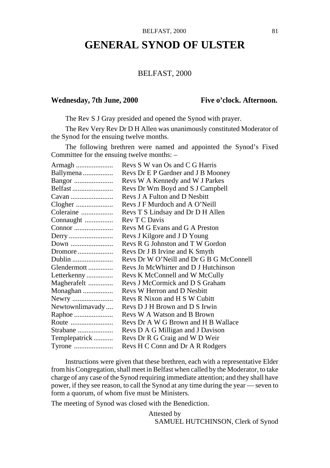## **GENERAL SYNOD OF ULSTER**

#### BELFAST, 2000

#### Wednesday, 7th June, 2000 Five o'clock. Afternoon.

The Rev S J Gray presided and opened the Synod with prayer.

The Rev Very Rev Dr D H Allen was unanimously constituted Moderator of the Synod for the ensuing twelve months.

The following brethren were named and appointed the Synod's Fixed Committee for the ensuing twelve months: –

| Armagh          | Revs S W van Os and C G Harris           |
|-----------------|------------------------------------------|
| Ballymena       | Revs Dr E P Gardner and J B Mooney       |
| Bangor          | Revs W A Kennedy and W J Parkes          |
| Belfast         | Revs Dr Wm Boyd and S J Campbell         |
| Cavan           | Revs J A Fulton and D Nesbitt            |
|                 | Revs J F Murdoch and A O'Neill           |
| Coleraine       | Revs T S Lindsay and Dr D H Allen        |
| Connaught       | Rev T C Davis                            |
| Connor          | Revs M G Evans and G A Preston           |
| Derry           | Revs J Kilgore and J D Young             |
| Down            | Revs R G Johnston and T W Gordon         |
| Dromore         | Revs Dr J B Irvine and K Smyth           |
| Dublin          | Revs Dr W O'Neill and Dr G B G McConnell |
| Glendermott     | Revs Jn McWhirter and D J Hutchinson     |
| Letterkenny     | Revs K McConnell and W McCully           |
| Magherafelt     | Revs J McCormick and D S Graham          |
| Monaghan        | Revs W Herron and D Nesbitt              |
| Newry           | Revs R Nixon and H S W Cubitt            |
| Newtownlimavady | Revs D J H Brown and D S Irwin           |
| Raphoe          | Revs W A Watson and B Brown              |
| Route           | Revs Dr A W G Brown and H B Wallace      |
| Strabane        | Revs D A G Milligan and J Davison        |
| Templepatrick   | Revs Dr R G Craig and W D Weir           |
| Tyrone          | Revs H C Conn and Dr A R Rodgers         |

Instructions were given that these brethren, each with a representative Elder from his Congregation, shall meet in Belfast when called by the Moderator, to take charge of any case of the Synod requiring immediate attention; and they shall have power, if they see reason, to call the Synod at any time during the year — seven to form a quorum, of whom five must be Ministers.

The meeting of Synod was closed with the Benediction.

Attested by SAMUEL HUTCHINSON, Clerk of Synod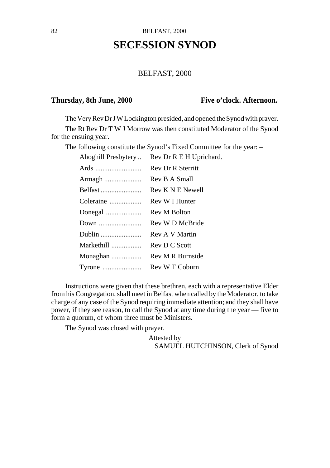# **SECESSION SYNOD**

#### BELFAST, 2000

#### Thursday, 8th June, 2000 Five o'clock. Afternoon.

The Very Rev Dr J W Lockington presided, and opened the Synod with prayer.

The Rt Rev Dr T W J Morrow was then constituted Moderator of the Synod for the ensuing year.

The following constitute the Synod's Fixed Committee for the year: –

| Ahoghill Presbytery | Rev Dr R E H Uprichard.  |
|---------------------|--------------------------|
|                     | <b>Rev Dr R Sterritt</b> |
| Armagh              | Rev B A Small            |
| Belfast             | Rev K N E Newell         |
| Coleraine           | Rev W I Hunter           |
| Donegal             | Rev M Bolton             |
| Down                | Rev W D McBride          |
| Dublin              | Rev A V Martin           |
| Markethill          | Rev D C Scott            |
| Monaghan            | Rev M R Burnside         |
|                     | Rev W T Coburn           |

Instructions were given that these brethren, each with a representative Elder from his Congregation, shall meet in Belfast when called by the Moderator, to take charge of any case of the Synod requiring immediate attention; and they shall have power, if they see reason, to call the Synod at any time during the year — five to form a quorum, of whom three must be Ministers.

The Synod was closed with prayer.

Attested by SAMUEL HUTCHINSON, Clerk of Synod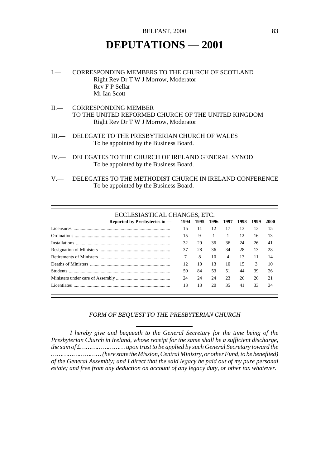## **DEPUTATIONS — 2001**

- I.— CORRESPONDING MEMBERS TO THE CHURCH OF SCOTLAND Right Rev Dr T W J Morrow, Moderator Rev F P Sellar Mr Ian Scott
- II.— CORRESPONDING MEMBER TO THE UNITED REFORMED CHURCH OF THE UNITED KINGDOM Right Rev Dr T W J Morrow, Moderator
- III.— DELEGATE TO THE PRESBYTERIAN CHURCH OF WALES To be appointed by the Business Board.
- IV.— DELEGATES TO THE CHURCH OF IRELAND GENERAL SYNOD To be appointed by the Business Board.
- V.— DELEGATES TO THE METHODIST CHURCH IN IRELAND CONFERENCE To be appointed by the Business Board.

#### ECCLESIASTICAL CHANGES, ETC.

| Reported by Presbyteries in - 1994 1995 1996 1997 |    |    |    |                | 1998 | 1999 | 2000 |
|---------------------------------------------------|----|----|----|----------------|------|------|------|
| Licensures                                        | 15 | 11 | 12 | 17             | 13   | 13   | 15   |
|                                                   | 15 | 9  |    |                | 12   | 16   | 13   |
|                                                   | 32 | 29 | 36 | 36             | 24   | 26   | 41   |
|                                                   | 37 | 28 | 36 | 34             | 28   | 13   | 28   |
|                                                   |    | 8  | 10 | $\overline{4}$ | 13   | 11   | 14   |
|                                                   | 12 | 10 | 13 | 10             | 15   | 3    | 10   |
|                                                   | 59 | 84 | 53 | 51             | 44   | 39   | 26   |
|                                                   | 24 | 24 | 24 | 23             | 26   | 26   | 21   |
| Licentiates                                       | 13 | 13 | 20 | 35             | 41   | 33   | 34   |

#### *FORM OF BEQUEST TO THE PRESBYTERIAN CHURCH*

*I hereby give and bequeath to the General Secretary for the time being of the Presbyterian Church in Ireland, whose receipt for the same shall be a sufficient discharge, the sum of £…………………… upon trust to be applied by such General Secretary toward the ……………………… (here state the Mission, Central Ministry, or other Fund, to be benefited) of the General Assembly; and I direct that the said legacy be paid out of my pure personal estate; and free from any deduction on account of any legacy duty, or other tax whatever.*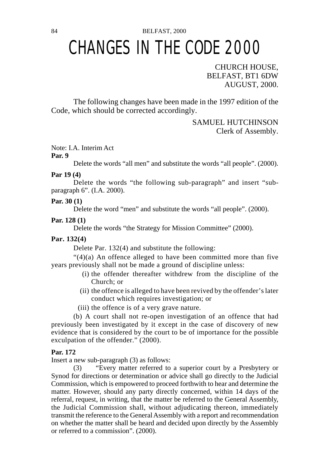# 84 BELFAST, 2000 CHANGES IN THE CODE 2000

CHURCH HOUSE, BELFAST, BT1 6DW AUGUST, 2000.

The following changes have been made in the 1997 edition of the Code, which should be corrected accordingly.

> SAMUEL HUTCHINSON Clerk of Assembly.

Note: I.A. Interim Act

#### **Par. 9**

Delete the words "all men" and substitute the words "all people". (2000).

#### **Par 19 (4)**

Delete the words "the following sub-paragraph" and insert "subparagraph 6". (I.A. 2000).

#### **Par. 30 (1)**

Delete the word "men" and substitute the words "all people". (2000).

#### **Par. 128 (1)**

Delete the words "the Strategy for Mission Committee" (2000).

#### **Par. 132(4)**

Delete Par. 132(4) and substitute the following:

 $"(4)(a)$  An offence alleged to have been committed more than five years previously shall not be made a ground of discipline unless:

- (i) the offender thereafter withdrew from the discipline of the Church; or
- (ii) the offence is alleged to have been revived by the offender's later conduct which requires investigation; or
- (iii) the offence is of a very grave nature.

(b) A court shall not re-open investigation of an offence that had previously been investigated by it except in the case of discovery of new evidence that is considered by the court to be of importance for the possible exculpation of the offender." (2000).

#### **Par. 172**

Insert a new sub-paragraph (3) as follows:

(3) "Every matter referred to a superior court by a Presbytery or Synod for directions or determination or advice shall go directly to the Judicial Commission, which is empowered to proceed forthwith to hear and determine the matter. However, should any party directly concerned, within 14 days of the referral, request, in writing, that the matter be referred to the General Assembly, the Judicial Commission shall, without adjudicating thereon, immediately transmit the reference to the General Assembly with a report and recommendation on whether the matter shall be heard and decided upon directly by the Assembly or referred to a commission". (2000).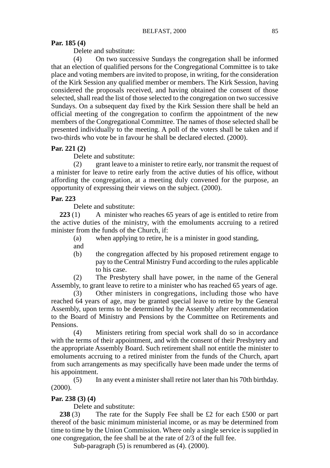#### **Par. 185 (4)**

Delete and substitute:

(4) On two successive Sundays the congregation shall be informed that an election of qualified persons for the Congregational Committee is to take place and voting members are invited to propose, in writing, for the consideration of the Kirk Session any qualified member or members. The Kirk Session, having considered the proposals received, and having obtained the consent of those selected, shall read the list of those selected to the congregation on two successive Sundays. On a subsequent day fixed by the Kirk Session there shall be held an official meeting of the congregation to confirm the appointment of the new members of the Congregational Committee. The names of those selected shall be presented individually to the meeting. A poll of the voters shall be taken and if two-thirds who vote be in favour he shall be declared elected. (2000).

#### **Par. 221 (2)**

Delete and substitute:

(2) grant leave to a minister to retire early, nor transmit the request of a minister for leave to retire early from the active duties of his office, without affording the congregation, at a meeting duly convened for the purpose, an opportunity of expressing their views on the subject. (2000).

#### **Par. 223**

Delete and substitute:

**223** (1) A minister who reaches 65 years of age is entitled to retire from the active duties of the ministry, with the emoluments accruing to a retired minister from the funds of the Church, if:

- (a) when applying to retire, he is a minister in good standing,
- and
- (b) the congregation affected by his proposed retirement engage to pay to the Central Ministry Fund according to the rules applicable to his case.

(2) The Presbytery shall have power, in the name of the General Assembly, to grant leave to retire to a minister who has reached 65 years of age.

 $(3)$  Other ministers in congregations, including those who have reached 64 years of age, may be granted special leave to retire by the General Assembly, upon terms to be determined by the Assembly after recommendation to the Board of Ministry and Pensions by the Committee on Retirements and Pensions.

(4) Ministers retiring from special work shall do so in accordance with the terms of their appointment, and with the consent of their Presbytery and the appropriate Assembly Board. Such retirement shall not entitle the minister to emoluments accruing to a retired minister from the funds of the Church, apart from such arrangements as may specifically have been made under the terms of his appointment.

(5) In any event a minister shall retire not later than his 70th birthday. (2000).

#### **Par. 238 (3) (4)**

Delete and substitute:

**238** (3) The rate for the Supply Fee shall be £2 for each £500 or part thereof of the basic minimum ministerial income, or as may be determined from time to time by the Union Commission. Where only a single service is supplied in one congregation, the fee shall be at the rate of 2/3 of the full fee.

Sub-paragraph (5) is renumbered as (4). (2000).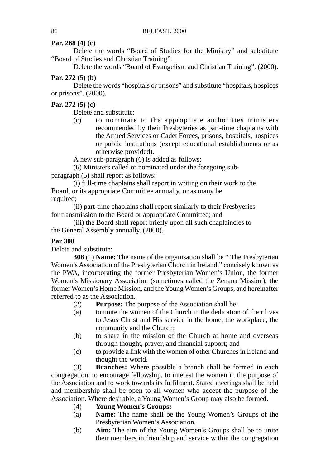#### **Par. 268 (4) (c)**

Delete the words "Board of Studies for the Ministry" and substitute "Board of Studies and Christian Training".

Delete the words "Board of Evangelism and Christian Training". (2000).

### **Par. 272 (5) (b)**

Delete the words "hospitals or prisons" and substitute "hospitals, hospices or prisons". (2000).

#### **Par. 272 (5) (c)**

Delete and substitute:

(c) to nominate to the appropriate authorities ministers recommended by their Presbyteries as part-time chaplains with the Armed Services or Cadet Forces, prisons, hospitals, hospices or public institutions (except educational establishments or as otherwise provided).

A new sub-paragraph  $(6)$  is added as follows:

(6) Ministers called or nominated under the foregoing subparagraph (5) shall report as follows:

(i) full-time chaplains shall report in writing on their work to the Board, or its appropriate Committee annually, or as many be required;

(ii) part-time chaplains shall report similarly to their Presbyeries for transmission to the Board or appropriate Committee; and

(iii) the Board shall report briefly upon all such chaplaincies to the General Assembly annually. (2000).

#### **Par 308**

Delete and substitute:

**308** (1) **Name:** The name of the organisation shall be " The Presbyterian Women's Association of the Presbyterian Church in Ireland," concisely known as the PWA, incorporating the former Presbyterian Women's Union, the former Women's Missionary Association (sometimes called the Zenana Mission), the former Women's Home Mission, and the Young Women's Groups, and hereinafter referred to as the Association.

- (2) **Purpose:** The purpose of the Association shall be:
- (a) to unite the women of the Church in the dedication of their lives to Jesus Christ and His service in the home, the workplace, the community and the Church;
- (b) to share in the mission of the Church at home and overseas through thought, prayer, and financial support; and
- (c) to provide a link with the women of other Churches in Ireland and thought the world.

(3) **Branches:** Where possible a branch shall be formed in each congregation, to encourage fellowship, to interest the women in the purpose of the Association and to work towards its fulfilment. Stated meetings shall be held and membership shall be open to all women who accept the purpose of the Association. Where desirable, a Young Women's Group may also be formed.

### (4) **Young Women's Groups:**

- (a) **Name:** The name shall be the Young Women's Groups of the Presbyterian Women's Association.
- (b) **Aim:** The aim of the Young Women's Groups shall be to unite their members in friendship and service within the congregation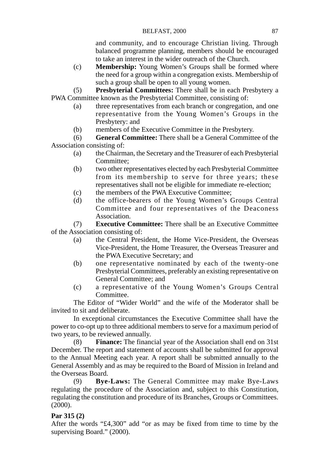and community, and to encourage Christian living. Through balanced programme planning, members should be encouraged to take an interest in the wider outreach of the Church.

(c) **Membership:** Young Women's Groups shall be formed where the need for a group within a congregation exists. Membership of such a group shall be open to all young women.

(5) **Presbyterial Committees:** There shall be in each Presbytery a PWA Committee known as the Presbyterial Committee, consisting of:

- (a) three representatives from each branch or congregation, and one representative from the Young Women's Groups in the Presbytery: and
- (b) members of the Executive Committee in the Presbytery.

(6) **General Committee:** There shall be a General Committee of the Association consisting of:

- (a) the Chairman, the Secretary and the Treasurer of each Presbyterial Committee;
- (b) two other representatives elected by each Presbyterial Committee from its membership to serve for three years; these representatives shall not be eligible for immediate re-election;
- (c) the members of the PWA Executive Committee;
- (d) the office-bearers of the Young Women's Groups Central Committee and four representatives of the Deaconess Association.

(7) **Executive Committee:** There shall be an Executive Committee of the Association consisting of:

- (a) the Central President, the Home Vice-President, the Overseas Vice-President, the Home Treasurer, the Overseas Treasurer and the PWA Executive Secretary; and
- (b) one representative nominated by each of the twenty-one Presbyterial Committees, preferably an existing representative on General Committee; and
- (c) a representative of the Young Women's Groups Central Committee.

The Editor of "Wider World" and the wife of the Moderator shall be invited to sit and deliberate.

In exceptional circumstances the Executive Committee shall have the power to co-opt up to three additional members to serve for a maximum period of two years, to be reviewed annually.

(8) **Finance:** The financial year of the Association shall end on 31st December. The report and statement of accounts shall be submitted for approval to the Annual Meeting each year. A report shall be submitted annually to the General Assembly and as may be required to the Board of Mission in Ireland and the Overseas Board.

(9) **Bye-Laws:** The General Committee may make Bye-Laws regulating the procedure of the Association and, subject to this Constitution, regulating the constitution and procedure of its Branches, Groups or Committees. (2000).

#### **Par 315 (2)**

After the words "£4,300" add "or as may be fixed from time to time by the supervising Board." (2000).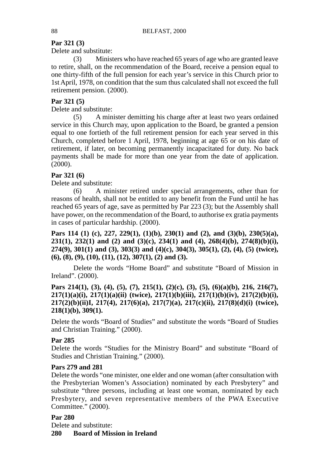### **Par 321 (3)**

Delete and substitute:

(3) Ministers who have reached 65 years of age who are granted leave to retire, shall, on the recommendation of the Board, receive a pension equal to one thirty-fifth of the full pension for each year's service in this Church prior to 1st April, 1978, on condition that the sum thus calculated shall not exceed the full retirement pension. (2000).

#### **Par 321 (5)**

Delete and substitute:

(5) A minister demitting his charge after at least two years ordained service in this Church may, upon application to the Board, be granted a pension equal to one fortieth of the full retirement pension for each year served in this Church, completed before 1 April, 1978, beginning at age 65 or on his date of retirement, if later, on becoming permanently incapacitated for duty. No back payments shall be made for more than one year from the date of application. (2000).

### **Par 321 (6)**

Delete and substitute:

(6) A minister retired under special arrangements, other than for reasons of health, shall not be entitled to any benefit from the Fund until he has reached 65 years of age, save as permitted by Par 223 (3); but the Assembly shall have power, on the recommendation of the Board, to authorise ex gratia payments in cases of particular hardship. (2000).

**Pars 114 (1) (c), 227, 229(1), (1)(b), 230(1) and (2), and (3)(b), 230(5)(a), 231(1), 232(1) and (2) and (3)(c), 234(1) and (4), 268(4)(b), 274(8)(b)(i), 274(9), 301(1) and (3), 303(3) and (4)(c), 304(3), 305(1), (2), (4), (5) (twice), (6), (8), (9), (10), (11), (12), 307(1), (2) and (3).**

Delete the words "Home Board" and substitute "Board of Mission in Ireland". (2000).

**Pars 214(1), (3), (4), (5), (7), 215(1), (2)(c), (3), (5), (6)(a)(b), 216, 216(7), 217(1)(a)(i), 217(1)(a)(ii) (twice), 217(1)(b)(iii), 217(1)(b)(iv), 217(2)(b)(i), 217(2)(b)(ii)I, 217(4), 217(6)(a), 217(7)(a), 217(c)(ii), 217(8)(d)(i) (twice), 218(1)(b), 309(1).**

Delete the words "Board of Studies" and substitute the words "Board of Studies and Christian Training." (2000).

#### **Par 285**

Delete the words "Studies for the Ministry Board" and substitute "Board of Studies and Christian Training." (2000).

#### **Pars 279 and 281**

Delete the words "one minister, one elder and one woman (after consultation with the Presbyterian Women's Association) nominated by each Presbytery" and substitute "three persons, including at least one woman, nominated by each Presbytery, and seven representative members of the PWA Executive Committee." (2000).

#### **Par 280**

Delete and substitute:<br>280 Board of Mis **280 Board of Mission in Ireland**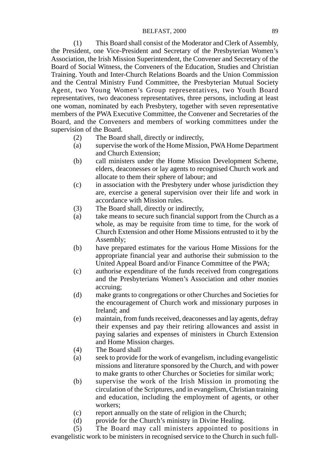#### BELFAST, 2000 89

(1) This Board shall consist of the Moderator and Clerk of Assembly, the President, one Vice-President and Secretary of the Presbyterian Women's Association, the Irish Mission Superintendent, the Convener and Secretary of the Board of Social Witness, the Conveners of the Education, Studies and Christian Training. Youth and Inter-Church Relations Boards and the Union Commission and the Central Ministry Fund Committee, the Presbyterian Mutual Society Agent, two Young Women's Group representatives, two Youth Board representatives, two deaconess representatives, three persons, including at least one woman, nominated by each Presbytery, together with seven representative members of the PWA Executive Committee, the Convener and Secretaries of the Board, and the Conveners and members of working committees under the supervision of the Board.

- (2) The Board shall, directly or indirectly,
- (a) supervise the work of the Home Mission, PWA Home Department and Church Extension;
- (b) call ministers under the Home Mission Development Scheme, elders, deaconesses or lay agents to recognised Church work and allocate to them their sphere of labour; and
- (c) in association with the Presbytery under whose jurisdiction they are, exercise a general supervision over their life and work in accordance with Mission rules.
- (3) The Board shall, directly or indirectly,
- (a) take means to secure such financial support from the Church as a whole, as may be requisite from time to time, for the work of Church Extension and other Home Missions entrusted to it by the Assembly;
- (b) have prepared estimates for the various Home Missions for the appropriate financial year and authorise their submission to the United Appeal Board and/or Finance Committee of the PWA;
- (c) authorise expenditure of the funds received from congregations and the Presbyterians Women's Association and other monies accruing;
- (d) make grants to congregations or other Churches and Societies for the encouragement of Church work and missionary purposes in Ireland; and
- (e) maintain, from funds received, deaconesses and lay agents, defray their expenses and pay their retiring allowances and assist in paying salaries and expenses of ministers in Church Extension and Home Mission charges.
- (4) The Board shall
- (a) seek to provide for the work of evangelism, including evangelistic missions and literature sponsored by the Church, and with power to make grants to other Churches or Societies for similar work;
- (b) supervise the work of the Irish Mission in promoting the circulation of the Scriptures, and in evangelism, Christian training and education, including the employment of agents, or other workers;
- (c) report annually on the state of religion in the Church;
- (d) provide for the Church's ministry in Divine Healing.

(5) The Board may call ministers appointed to positions in evangelistic work to be ministers in recognised service to the Church in such full